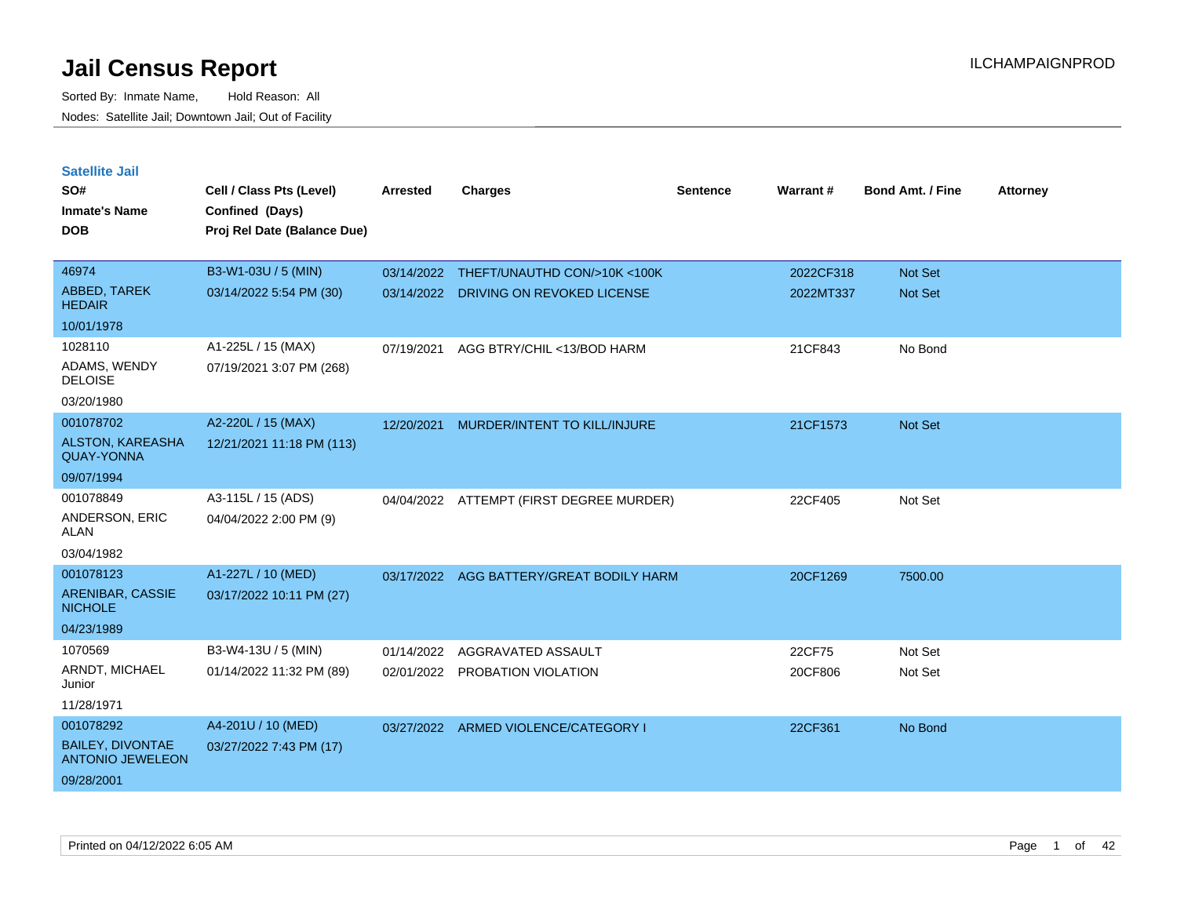| <b>Satellite Jail</b>                              |                             |                 |                               |                 |           |                         |                 |
|----------------------------------------------------|-----------------------------|-----------------|-------------------------------|-----------------|-----------|-------------------------|-----------------|
| SO#                                                | Cell / Class Pts (Level)    | <b>Arrested</b> | <b>Charges</b>                | <b>Sentence</b> | Warrant#  | <b>Bond Amt. / Fine</b> | <b>Attorney</b> |
| Inmate's Name                                      | Confined (Days)             |                 |                               |                 |           |                         |                 |
| <b>DOB</b>                                         | Proj Rel Date (Balance Due) |                 |                               |                 |           |                         |                 |
|                                                    |                             |                 |                               |                 |           |                         |                 |
| 46974                                              | B3-W1-03U / 5 (MIN)         | 03/14/2022      | THEFT/UNAUTHD CON/>10K <100K  |                 | 2022CF318 | <b>Not Set</b>          |                 |
| ABBED, TAREK<br><b>HEDAIR</b>                      | 03/14/2022 5:54 PM (30)     | 03/14/2022      | DRIVING ON REVOKED LICENSE    |                 | 2022MT337 | <b>Not Set</b>          |                 |
| 10/01/1978                                         |                             |                 |                               |                 |           |                         |                 |
| 1028110                                            | A1-225L / 15 (MAX)          | 07/19/2021      | AGG BTRY/CHIL <13/BOD HARM    |                 | 21CF843   | No Bond                 |                 |
| ADAMS, WENDY<br><b>DELOISE</b>                     | 07/19/2021 3:07 PM (268)    |                 |                               |                 |           |                         |                 |
| 03/20/1980                                         |                             |                 |                               |                 |           |                         |                 |
| 001078702                                          | A2-220L / 15 (MAX)          | 12/20/2021      | MURDER/INTENT TO KILL/INJURE  |                 | 21CF1573  | <b>Not Set</b>          |                 |
| <b>ALSTON, KAREASHA</b><br><b>QUAY-YONNA</b>       | 12/21/2021 11:18 PM (113)   |                 |                               |                 |           |                         |                 |
| 09/07/1994                                         |                             |                 |                               |                 |           |                         |                 |
| 001078849                                          | A3-115L / 15 (ADS)          | 04/04/2022      | ATTEMPT (FIRST DEGREE MURDER) |                 | 22CF405   | Not Set                 |                 |
| ANDERSON, ERIC<br>ALAN                             | 04/04/2022 2:00 PM (9)      |                 |                               |                 |           |                         |                 |
| 03/04/1982                                         |                             |                 |                               |                 |           |                         |                 |
| 001078123                                          | A1-227L / 10 (MED)          | 03/17/2022      | AGG BATTERY/GREAT BODILY HARM |                 | 20CF1269  | 7500.00                 |                 |
| <b>ARENIBAR, CASSIE</b><br><b>NICHOLE</b>          | 03/17/2022 10:11 PM (27)    |                 |                               |                 |           |                         |                 |
| 04/23/1989                                         |                             |                 |                               |                 |           |                         |                 |
| 1070569                                            | B3-W4-13U / 5 (MIN)         | 01/14/2022      | AGGRAVATED ASSAULT            |                 | 22CF75    | Not Set                 |                 |
| ARNDT, MICHAEL<br>Junior                           | 01/14/2022 11:32 PM (89)    | 02/01/2022      | PROBATION VIOLATION           |                 | 20CF806   | Not Set                 |                 |
| 11/28/1971                                         |                             |                 |                               |                 |           |                         |                 |
| 001078292                                          | A4-201U / 10 (MED)          | 03/27/2022      | ARMED VIOLENCE/CATEGORY I     |                 | 22CF361   | No Bond                 |                 |
| <b>BAILEY, DIVONTAE</b><br><b>ANTONIO JEWELEON</b> | 03/27/2022 7:43 PM (17)     |                 |                               |                 |           |                         |                 |
| 09/28/2001                                         |                             |                 |                               |                 |           |                         |                 |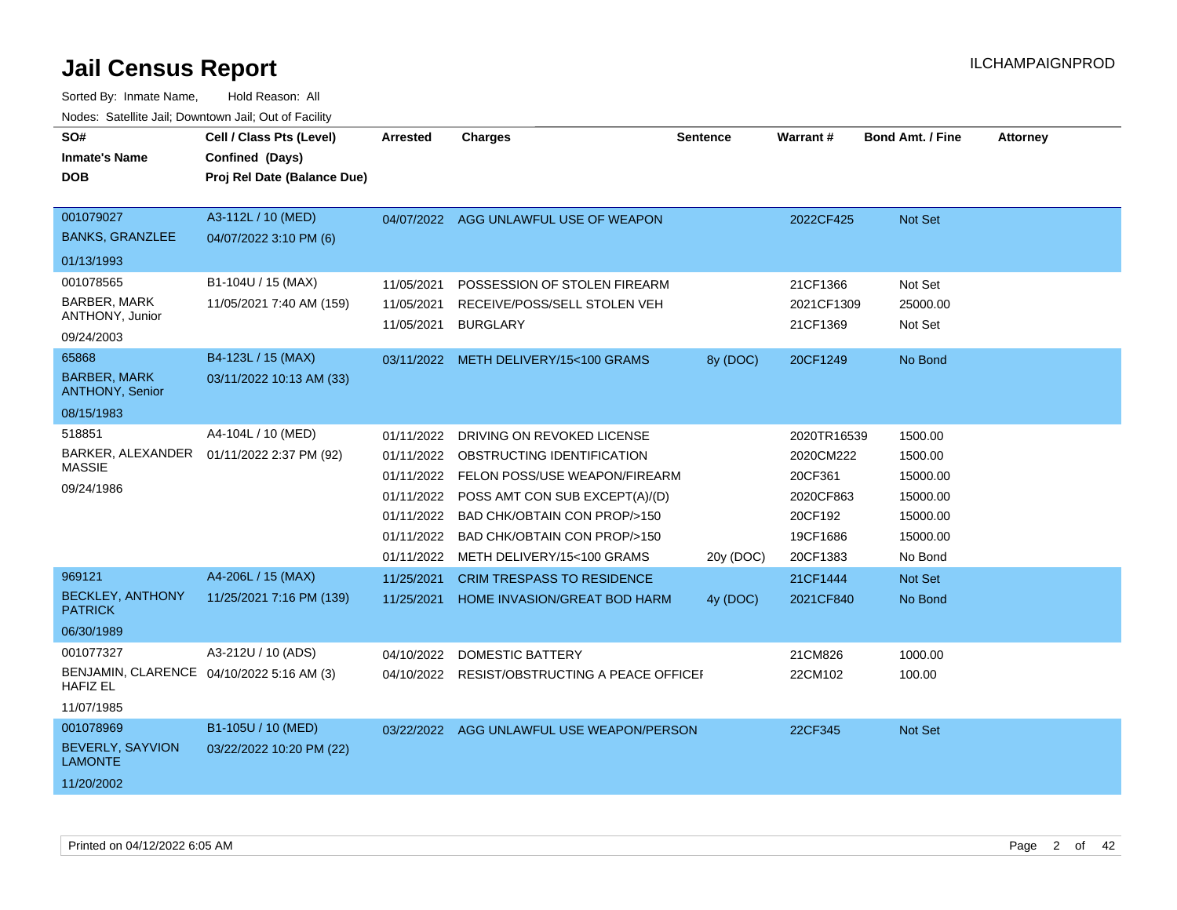| SO#<br><b>Inmate's Name</b><br><b>DOB</b>                                               | Cell / Class Pts (Level)<br>Confined (Days)<br>Proj Rel Date (Balance Due) | <b>Arrested</b>                                                                  | <b>Charges</b>                                                                                                                                                                                                                       | <b>Sentence</b> | <b>Warrant#</b>                                                                     | <b>Bond Amt. / Fine</b>                                                       | <b>Attorney</b> |
|-----------------------------------------------------------------------------------------|----------------------------------------------------------------------------|----------------------------------------------------------------------------------|--------------------------------------------------------------------------------------------------------------------------------------------------------------------------------------------------------------------------------------|-----------------|-------------------------------------------------------------------------------------|-------------------------------------------------------------------------------|-----------------|
| 001079027<br><b>BANKS, GRANZLEE</b>                                                     | A3-112L / 10 (MED)<br>04/07/2022 3:10 PM (6)                               |                                                                                  | 04/07/2022 AGG UNLAWFUL USE OF WEAPON                                                                                                                                                                                                |                 | 2022CF425                                                                           | Not Set                                                                       |                 |
| 01/13/1993                                                                              |                                                                            |                                                                                  |                                                                                                                                                                                                                                      |                 |                                                                                     |                                                                               |                 |
| 001078565<br><b>BARBER, MARK</b><br>ANTHONY, Junior<br>09/24/2003                       | B1-104U / 15 (MAX)<br>11/05/2021 7:40 AM (159)                             | 11/05/2021<br>11/05/2021<br>11/05/2021                                           | POSSESSION OF STOLEN FIREARM<br>RECEIVE/POSS/SELL STOLEN VEH<br><b>BURGLARY</b>                                                                                                                                                      |                 | 21CF1366<br>2021CF1309<br>21CF1369                                                  | Not Set<br>25000.00<br>Not Set                                                |                 |
| 65868<br><b>BARBER, MARK</b><br><b>ANTHONY, Senior</b><br>08/15/1983                    | B4-123L / 15 (MAX)<br>03/11/2022 10:13 AM (33)                             |                                                                                  | 03/11/2022 METH DELIVERY/15<100 GRAMS                                                                                                                                                                                                | 8y (DOC)        | 20CF1249                                                                            | No Bond                                                                       |                 |
| 518851<br>BARKER, ALEXANDER<br><b>MASSIE</b><br>09/24/1986                              | A4-104L / 10 (MED)<br>01/11/2022 2:37 PM (92)                              | 01/11/2022<br>01/11/2022<br>01/11/2022<br>01/11/2022<br>01/11/2022<br>01/11/2022 | DRIVING ON REVOKED LICENSE<br>OBSTRUCTING IDENTIFICATION<br>FELON POSS/USE WEAPON/FIREARM<br>POSS AMT CON SUB EXCEPT(A)/(D)<br>BAD CHK/OBTAIN CON PROP/>150<br>BAD CHK/OBTAIN CON PROP/>150<br>01/11/2022 METH DELIVERY/15<100 GRAMS | 20y (DOC)       | 2020TR16539<br>2020CM222<br>20CF361<br>2020CF863<br>20CF192<br>19CF1686<br>20CF1383 | 1500.00<br>1500.00<br>15000.00<br>15000.00<br>15000.00<br>15000.00<br>No Bond |                 |
| 969121<br><b>BECKLEY, ANTHONY</b><br><b>PATRICK</b><br>06/30/1989                       | A4-206L / 15 (MAX)<br>11/25/2021 7:16 PM (139)                             | 11/25/2021<br>11/25/2021                                                         | <b>CRIM TRESPASS TO RESIDENCE</b><br>HOME INVASION/GREAT BOD HARM                                                                                                                                                                    | 4y (DOC)        | 21CF1444<br>2021CF840                                                               | <b>Not Set</b><br>No Bond                                                     |                 |
| 001077327<br>BENJAMIN, CLARENCE 04/10/2022 5:16 AM (3)<br><b>HAFIZ EL</b><br>11/07/1985 | A3-212U / 10 (ADS)                                                         | 04/10/2022                                                                       | <b>DOMESTIC BATTERY</b><br>04/10/2022 RESIST/OBSTRUCTING A PEACE OFFICEF                                                                                                                                                             |                 | 21CM826<br>22CM102                                                                  | 1000.00<br>100.00                                                             |                 |
| 001078969<br>BEVERLY, SAYVION<br><b>LAMONTE</b><br>11/20/2002                           | B1-105U / 10 (MED)<br>03/22/2022 10:20 PM (22)                             |                                                                                  | 03/22/2022 AGG UNLAWFUL USE WEAPON/PERSON                                                                                                                                                                                            |                 | 22CF345                                                                             | <b>Not Set</b>                                                                |                 |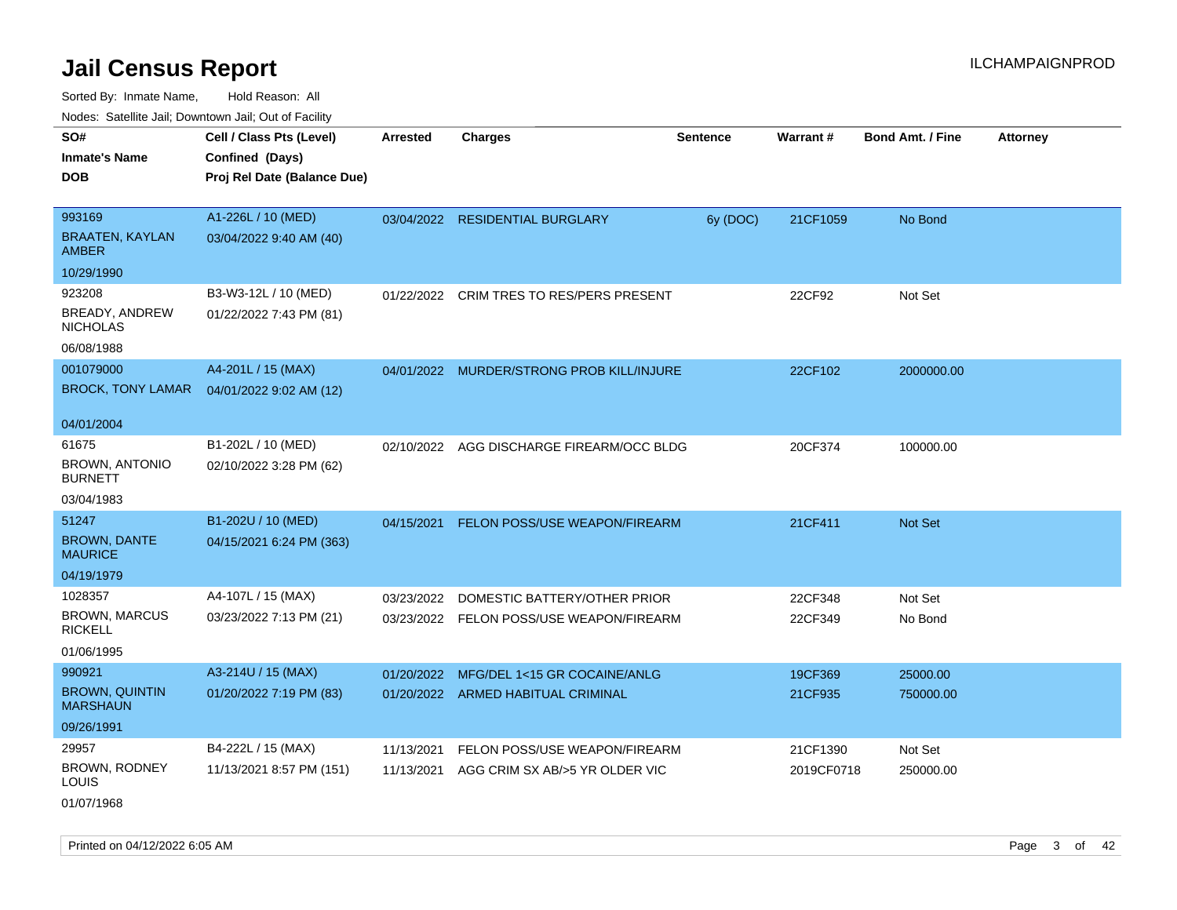Sorted By: Inmate Name, Hold Reason: All Nodes: Satellite Jail; Downtown Jail; Out of Facility

| ivodes. Satellite Jali, Downtown Jali, Out of Facility |                             |                 |                                           |                 |                 |                  |                 |
|--------------------------------------------------------|-----------------------------|-----------------|-------------------------------------------|-----------------|-----------------|------------------|-----------------|
| SO#                                                    | Cell / Class Pts (Level)    | <b>Arrested</b> | <b>Charges</b>                            | <b>Sentence</b> | <b>Warrant#</b> | Bond Amt. / Fine | <b>Attorney</b> |
| <b>Inmate's Name</b>                                   | Confined (Days)             |                 |                                           |                 |                 |                  |                 |
| <b>DOB</b>                                             | Proj Rel Date (Balance Due) |                 |                                           |                 |                 |                  |                 |
|                                                        |                             |                 |                                           |                 |                 |                  |                 |
| 993169                                                 | A1-226L / 10 (MED)          |                 | 03/04/2022 RESIDENTIAL BURGLARY           | 6y (DOC)        | 21CF1059        | No Bond          |                 |
| <b>BRAATEN, KAYLAN</b><br><b>AMBER</b>                 | 03/04/2022 9:40 AM (40)     |                 |                                           |                 |                 |                  |                 |
| 10/29/1990                                             |                             |                 |                                           |                 |                 |                  |                 |
| 923208                                                 | B3-W3-12L / 10 (MED)        |                 | 01/22/2022 CRIM TRES TO RES/PERS PRESENT  |                 | 22CF92          | Not Set          |                 |
| BREADY, ANDREW<br><b>NICHOLAS</b>                      | 01/22/2022 7:43 PM (81)     |                 |                                           |                 |                 |                  |                 |
| 06/08/1988                                             |                             |                 |                                           |                 |                 |                  |                 |
| 001079000                                              | A4-201L / 15 (MAX)          |                 | 04/01/2022 MURDER/STRONG PROB KILL/INJURE |                 | 22CF102         | 2000000.00       |                 |
| <b>BROCK, TONY LAMAR</b>                               | 04/01/2022 9:02 AM (12)     |                 |                                           |                 |                 |                  |                 |
|                                                        |                             |                 |                                           |                 |                 |                  |                 |
| 04/01/2004                                             |                             |                 |                                           |                 |                 |                  |                 |
| 61675                                                  | B1-202L / 10 (MED)          |                 | 02/10/2022 AGG DISCHARGE FIREARM/OCC BLDG |                 | 20CF374         | 100000.00        |                 |
| <b>BROWN, ANTONIO</b><br><b>BURNETT</b>                | 02/10/2022 3:28 PM (62)     |                 |                                           |                 |                 |                  |                 |
| 03/04/1983                                             |                             |                 |                                           |                 |                 |                  |                 |
| 51247                                                  | B1-202U / 10 (MED)          | 04/15/2021      | FELON POSS/USE WEAPON/FIREARM             |                 | 21CF411         | Not Set          |                 |
| <b>BROWN, DANTE</b><br><b>MAURICE</b>                  | 04/15/2021 6:24 PM (363)    |                 |                                           |                 |                 |                  |                 |
| 04/19/1979                                             |                             |                 |                                           |                 |                 |                  |                 |
| 1028357                                                | A4-107L / 15 (MAX)          | 03/23/2022      | DOMESTIC BATTERY/OTHER PRIOR              |                 | 22CF348         | Not Set          |                 |
| <b>BROWN, MARCUS</b><br><b>RICKELL</b>                 | 03/23/2022 7:13 PM (21)     |                 | 03/23/2022 FELON POSS/USE WEAPON/FIREARM  |                 | 22CF349         | No Bond          |                 |
| 01/06/1995                                             |                             |                 |                                           |                 |                 |                  |                 |
| 990921                                                 | A3-214U / 15 (MAX)          | 01/20/2022      | MFG/DEL 1<15 GR COCAINE/ANLG              |                 | 19CF369         | 25000.00         |                 |
| <b>BROWN, QUINTIN</b><br><b>MARSHAUN</b>               | 01/20/2022 7:19 PM (83)     |                 | 01/20/2022 ARMED HABITUAL CRIMINAL        |                 | 21CF935         | 750000.00        |                 |
| 09/26/1991                                             |                             |                 |                                           |                 |                 |                  |                 |
| 29957                                                  | B4-222L / 15 (MAX)          | 11/13/2021      | FELON POSS/USE WEAPON/FIREARM             |                 | 21CF1390        | Not Set          |                 |
| BROWN, RODNEY<br>LOUIS                                 | 11/13/2021 8:57 PM (151)    | 11/13/2021      | AGG CRIM SX AB/>5 YR OLDER VIC            |                 | 2019CF0718      | 250000.00        |                 |

01/07/1968

Printed on 04/12/2022 6:05 AM Page 3 of 42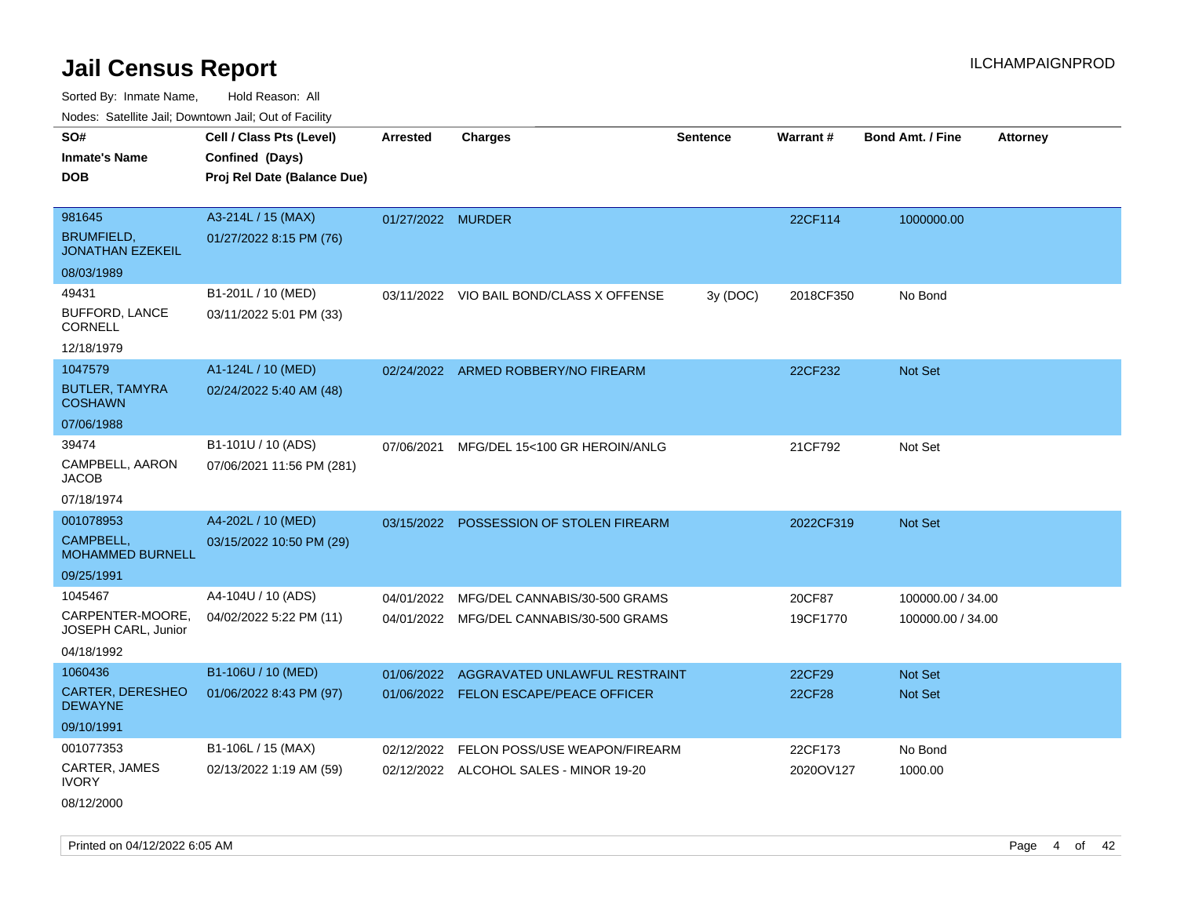| SO#                                          | Cell / Class Pts (Level)    | <b>Arrested</b>   | <b>Charges</b>                           | <b>Sentence</b> | Warrant#  | <b>Bond Amt. / Fine</b><br><b>Attorney</b> |
|----------------------------------------------|-----------------------------|-------------------|------------------------------------------|-----------------|-----------|--------------------------------------------|
| <b>Inmate's Name</b>                         | Confined (Days)             |                   |                                          |                 |           |                                            |
| <b>DOB</b>                                   | Proj Rel Date (Balance Due) |                   |                                          |                 |           |                                            |
|                                              |                             |                   |                                          |                 |           |                                            |
| 981645                                       | A3-214L / 15 (MAX)          | 01/27/2022 MURDER |                                          |                 | 22CF114   | 1000000.00                                 |
| <b>BRUMFIELD,</b><br><b>JONATHAN EZEKEIL</b> | 01/27/2022 8:15 PM (76)     |                   |                                          |                 |           |                                            |
| 08/03/1989                                   |                             |                   |                                          |                 |           |                                            |
| 49431                                        | B1-201L / 10 (MED)          |                   | 03/11/2022 VIO BAIL BOND/CLASS X OFFENSE | 3y (DOC)        | 2018CF350 | No Bond                                    |
| <b>BUFFORD, LANCE</b><br>CORNELL             | 03/11/2022 5:01 PM (33)     |                   |                                          |                 |           |                                            |
| 12/18/1979                                   |                             |                   |                                          |                 |           |                                            |
| 1047579                                      | A1-124L / 10 (MED)          |                   | 02/24/2022 ARMED ROBBERY/NO FIREARM      |                 | 22CF232   | Not Set                                    |
| <b>BUTLER, TAMYRA</b><br><b>COSHAWN</b>      | 02/24/2022 5:40 AM (48)     |                   |                                          |                 |           |                                            |
| 07/06/1988                                   |                             |                   |                                          |                 |           |                                            |
| 39474                                        | B1-101U / 10 (ADS)          | 07/06/2021        | MFG/DEL 15<100 GR HEROIN/ANLG            |                 | 21CF792   | Not Set                                    |
| CAMPBELL, AARON<br>JACOB                     | 07/06/2021 11:56 PM (281)   |                   |                                          |                 |           |                                            |
| 07/18/1974                                   |                             |                   |                                          |                 |           |                                            |
| 001078953                                    | A4-202L / 10 (MED)          |                   | 03/15/2022 POSSESSION OF STOLEN FIREARM  |                 | 2022CF319 | Not Set                                    |
| CAMPBELL.<br><b>MOHAMMED BURNELL</b>         | 03/15/2022 10:50 PM (29)    |                   |                                          |                 |           |                                            |
| 09/25/1991                                   |                             |                   |                                          |                 |           |                                            |
| 1045467                                      | A4-104U / 10 (ADS)          | 04/01/2022        | MFG/DEL CANNABIS/30-500 GRAMS            |                 | 20CF87    | 100000.00 / 34.00                          |
| CARPENTER-MOORE,<br>JOSEPH CARL, Junior      | 04/02/2022 5:22 PM (11)     |                   | 04/01/2022 MFG/DEL CANNABIS/30-500 GRAMS |                 | 19CF1770  | 100000.00 / 34.00                          |
| 04/18/1992                                   |                             |                   |                                          |                 |           |                                            |
| 1060436                                      | B1-106U / 10 (MED)          |                   | 01/06/2022 AGGRAVATED UNLAWFUL RESTRAINT |                 | 22CF29    | Not Set                                    |
| <b>CARTER, DERESHEO</b><br><b>DEWAYNE</b>    | 01/06/2022 8:43 PM (97)     |                   | 01/06/2022 FELON ESCAPE/PEACE OFFICER    |                 | 22CF28    | Not Set                                    |
| 09/10/1991                                   |                             |                   |                                          |                 |           |                                            |
| 001077353                                    | B1-106L / 15 (MAX)          | 02/12/2022        | FELON POSS/USE WEAPON/FIREARM            |                 | 22CF173   | No Bond                                    |
| CARTER, JAMES<br><b>IVORY</b>                | 02/13/2022 1:19 AM (59)     |                   | 02/12/2022 ALCOHOL SALES - MINOR 19-20   |                 | 2020OV127 | 1000.00                                    |
| 08/12/2000                                   |                             |                   |                                          |                 |           |                                            |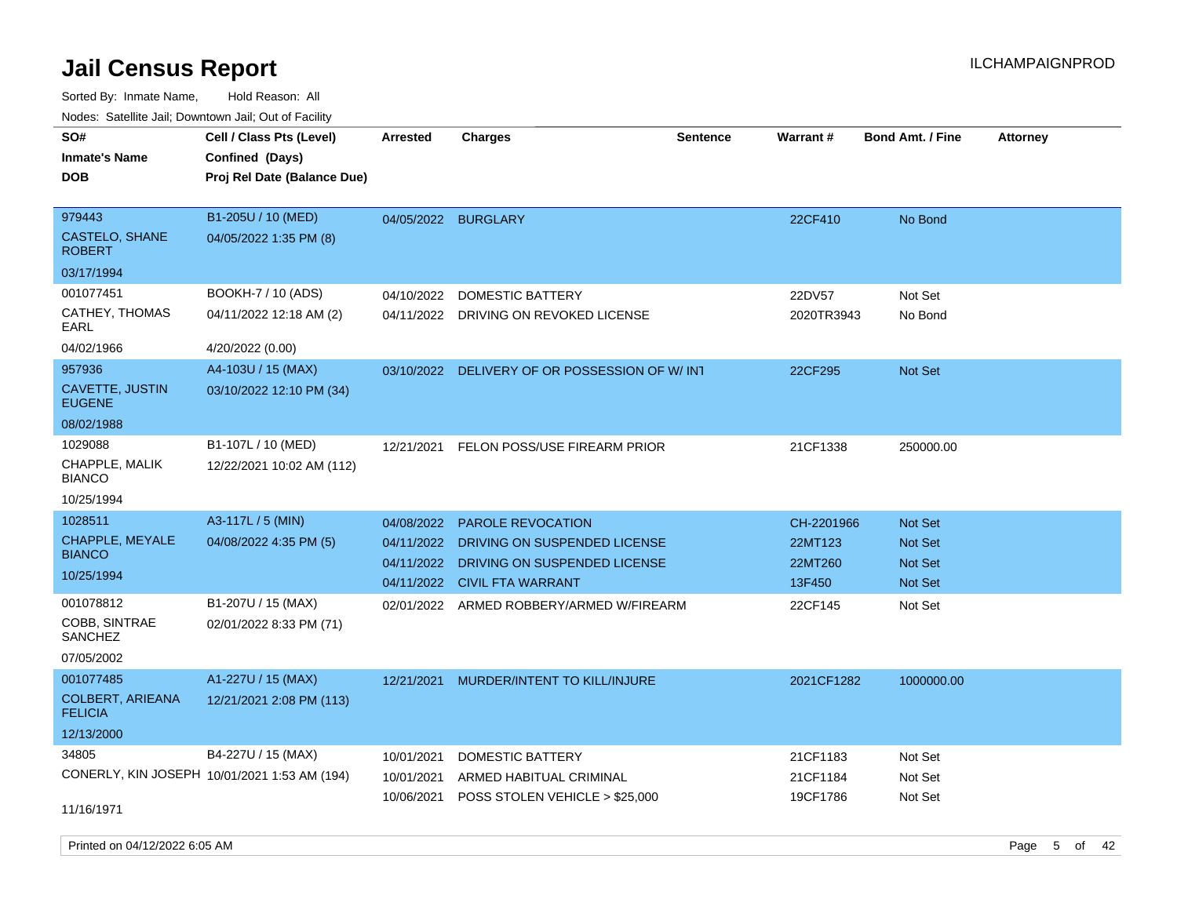Sorted By: Inmate Name, Hold Reason: All Nodes: Satellite Jail; Downtown Jail; Out of Facility

| rouco. Calcinic Jan, Downtown Jan, Out of Facility         |                                                                            |                          |                                                              |                 |                      |                                  |                 |
|------------------------------------------------------------|----------------------------------------------------------------------------|--------------------------|--------------------------------------------------------------|-----------------|----------------------|----------------------------------|-----------------|
| SO#<br>Inmate's Name<br><b>DOB</b>                         | Cell / Class Pts (Level)<br>Confined (Days)<br>Proj Rel Date (Balance Due) | <b>Arrested</b>          | <b>Charges</b>                                               | <b>Sentence</b> | <b>Warrant#</b>      | Bond Amt. / Fine                 | <b>Attorney</b> |
| 979443<br>CASTELO, SHANE<br><b>ROBERT</b><br>03/17/1994    | B1-205U / 10 (MED)<br>04/05/2022 1:35 PM (8)                               | 04/05/2022               | BURGLARY                                                     |                 | 22CF410              | No Bond                          |                 |
|                                                            |                                                                            |                          |                                                              |                 |                      |                                  |                 |
| 001077451<br>CATHEY, THOMAS<br>EARL                        | BOOKH-7 / 10 (ADS)<br>04/11/2022 12:18 AM (2)                              | 04/10/2022<br>04/11/2022 | DOMESTIC BATTERY<br>DRIVING ON REVOKED LICENSE               |                 | 22DV57<br>2020TR3943 | Not Set<br>No Bond               |                 |
| 04/02/1966                                                 | 4/20/2022 (0.00)                                                           |                          |                                                              |                 |                      |                                  |                 |
| 957936<br>CAVETTE, JUSTIN<br><b>EUGENE</b>                 | A4-103U / 15 (MAX)<br>03/10/2022 12:10 PM (34)                             | 03/10/2022               | DELIVERY OF OR POSSESSION OF W/INT                           |                 | 22CF295              | <b>Not Set</b>                   |                 |
| 08/02/1988                                                 |                                                                            |                          |                                                              |                 |                      |                                  |                 |
| 1029088                                                    | B1-107L / 10 (MED)                                                         | 12/21/2021               | FELON POSS/USE FIREARM PRIOR                                 |                 | 21CF1338             | 250000.00                        |                 |
| CHAPPLE, MALIK<br>BIANCO                                   | 12/22/2021 10:02 AM (112)                                                  |                          |                                                              |                 |                      |                                  |                 |
| 10/25/1994                                                 |                                                                            |                          |                                                              |                 |                      |                                  |                 |
| 1028511                                                    | A3-117L / 5 (MIN)                                                          | 04/08/2022               | <b>PAROLE REVOCATION</b>                                     |                 | CH-2201966           | <b>Not Set</b>                   |                 |
| CHAPPLE, MEYALE<br><b>BIANCO</b>                           | 04/08/2022 4:35 PM (5)                                                     | 04/11/2022<br>04/11/2022 | DRIVING ON SUSPENDED LICENSE<br>DRIVING ON SUSPENDED LICENSE |                 | 22MT123<br>22MT260   | <b>Not Set</b><br><b>Not Set</b> |                 |
| 10/25/1994                                                 |                                                                            | 04/11/2022               | <b>CIVIL FTA WARRANT</b>                                     |                 | 13F450               | <b>Not Set</b>                   |                 |
| 001078812<br>COBB, SINTRAE<br><b>SANCHEZ</b><br>07/05/2002 | B1-207U / 15 (MAX)<br>02/01/2022 8:33 PM (71)                              | 02/01/2022               | ARMED ROBBERY/ARMED W/FIREARM                                |                 | 22CF145              | Not Set                          |                 |
| 001077485                                                  | A1-227U / 15 (MAX)                                                         | 12/21/2021               | MURDER/INTENT TO KILL/INJURE                                 |                 | 2021CF1282           | 1000000.00                       |                 |
| <b>COLBERT, ARIEANA</b><br><b>FELICIA</b>                  | 12/21/2021 2:08 PM (113)                                                   |                          |                                                              |                 |                      |                                  |                 |
| 12/13/2000                                                 |                                                                            |                          |                                                              |                 |                      |                                  |                 |
| 34805                                                      | B4-227U / 15 (MAX)                                                         | 10/01/2021               | DOMESTIC BATTERY                                             |                 | 21CF1183             | Not Set                          |                 |
|                                                            | CONERLY, KIN JOSEPH 10/01/2021 1:53 AM (194)                               | 10/01/2021               | ARMED HABITUAL CRIMINAL                                      |                 | 21CF1184             | Not Set                          |                 |
| 11/16/1971                                                 |                                                                            | 10/06/2021               | POSS STOLEN VEHICLE > \$25,000                               |                 | 19CF1786             | Not Set                          |                 |

Printed on 04/12/2022 6:05 AM Page 5 of 42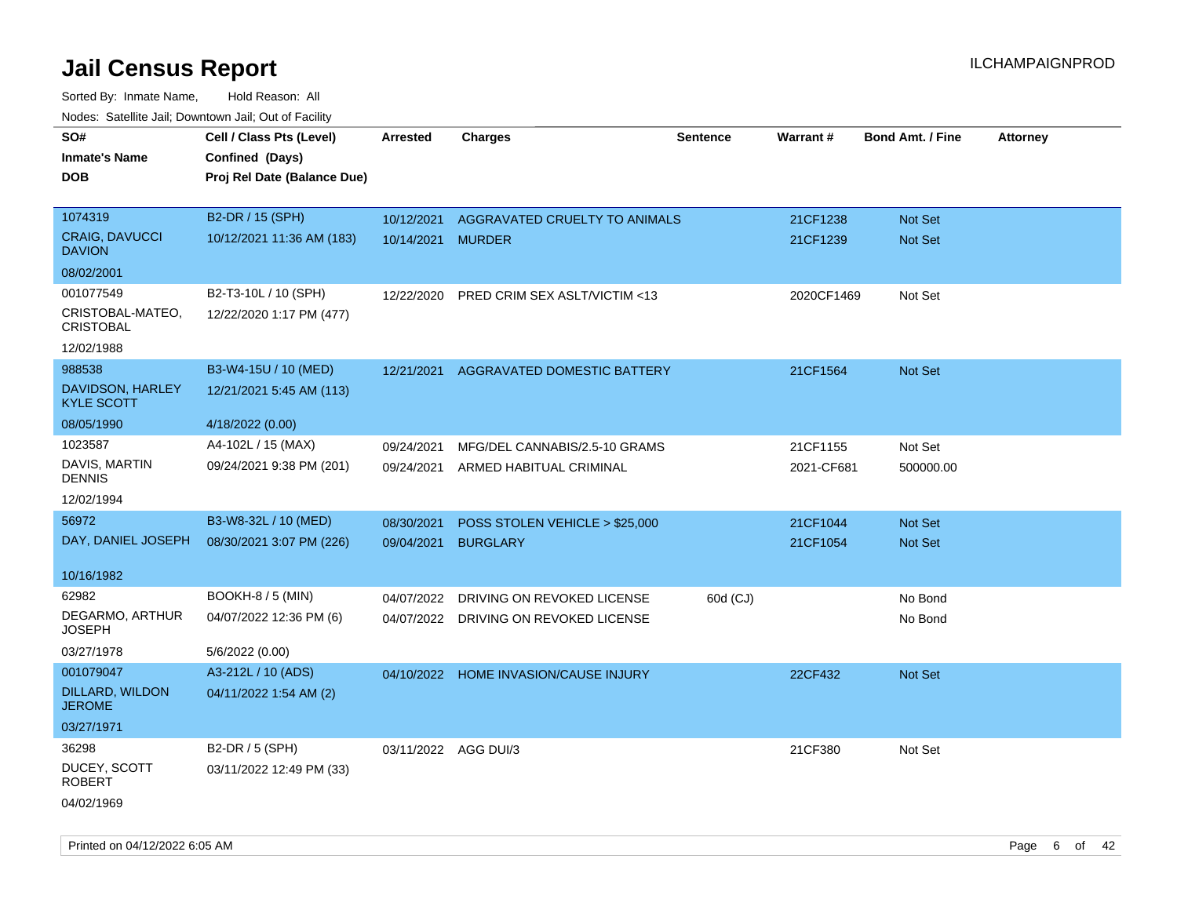| roaco. Catolino dall, Downtown dall, Out of Fability |                             |                      |                                       |                 |            |                         |                 |
|------------------------------------------------------|-----------------------------|----------------------|---------------------------------------|-----------------|------------|-------------------------|-----------------|
| SO#                                                  | Cell / Class Pts (Level)    | <b>Arrested</b>      | <b>Charges</b>                        | <b>Sentence</b> | Warrant#   | <b>Bond Amt. / Fine</b> | <b>Attorney</b> |
| <b>Inmate's Name</b>                                 | Confined (Days)             |                      |                                       |                 |            |                         |                 |
| <b>DOB</b>                                           | Proj Rel Date (Balance Due) |                      |                                       |                 |            |                         |                 |
|                                                      |                             |                      |                                       |                 |            |                         |                 |
| 1074319                                              | B2-DR / 15 (SPH)            | 10/12/2021           | AGGRAVATED CRUELTY TO ANIMALS         |                 | 21CF1238   | Not Set                 |                 |
| CRAIG, DAVUCCI<br><b>DAVION</b>                      | 10/12/2021 11:36 AM (183)   | 10/14/2021 MURDER    |                                       |                 | 21CF1239   | <b>Not Set</b>          |                 |
| 08/02/2001                                           |                             |                      |                                       |                 |            |                         |                 |
| 001077549                                            | B2-T3-10L / 10 (SPH)        | 12/22/2020           | PRED CRIM SEX ASLT/VICTIM <13         |                 | 2020CF1469 | Not Set                 |                 |
| CRISTOBAL-MATEO,<br><b>CRISTOBAL</b>                 | 12/22/2020 1:17 PM (477)    |                      |                                       |                 |            |                         |                 |
| 12/02/1988                                           |                             |                      |                                       |                 |            |                         |                 |
| 988538                                               | B3-W4-15U / 10 (MED)        | 12/21/2021           | AGGRAVATED DOMESTIC BATTERY           |                 | 21CF1564   | <b>Not Set</b>          |                 |
| DAVIDSON, HARLEY<br><b>KYLE SCOTT</b>                | 12/21/2021 5:45 AM (113)    |                      |                                       |                 |            |                         |                 |
| 08/05/1990                                           | 4/18/2022 (0.00)            |                      |                                       |                 |            |                         |                 |
| 1023587                                              | A4-102L / 15 (MAX)          | 09/24/2021           | MFG/DEL CANNABIS/2.5-10 GRAMS         |                 | 21CF1155   | Not Set                 |                 |
| DAVIS, MARTIN<br>DENNIS                              | 09/24/2021 9:38 PM (201)    | 09/24/2021           | ARMED HABITUAL CRIMINAL               |                 | 2021-CF681 | 500000.00               |                 |
| 12/02/1994                                           |                             |                      |                                       |                 |            |                         |                 |
| 56972                                                | B3-W8-32L / 10 (MED)        | 08/30/2021           | POSS STOLEN VEHICLE > \$25,000        |                 | 21CF1044   | <b>Not Set</b>          |                 |
| DAY, DANIEL JOSEPH                                   | 08/30/2021 3:07 PM (226)    | 09/04/2021           | <b>BURGLARY</b>                       |                 | 21CF1054   | Not Set                 |                 |
|                                                      |                             |                      |                                       |                 |            |                         |                 |
| 10/16/1982                                           |                             |                      |                                       |                 |            |                         |                 |
| 62982                                                | <b>BOOKH-8 / 5 (MIN)</b>    | 04/07/2022           | DRIVING ON REVOKED LICENSE            | 60d (CJ)        |            | No Bond                 |                 |
| DEGARMO, ARTHUR<br>JOSEPH                            | 04/07/2022 12:36 PM (6)     |                      | 04/07/2022 DRIVING ON REVOKED LICENSE |                 |            | No Bond                 |                 |
| 03/27/1978                                           | 5/6/2022 (0.00)             |                      |                                       |                 |            |                         |                 |
| 001079047                                            | A3-212L / 10 (ADS)          |                      | 04/10/2022 HOME INVASION/CAUSE INJURY |                 | 22CF432    | Not Set                 |                 |
| DILLARD, WILDON<br><b>JEROME</b>                     | 04/11/2022 1:54 AM (2)      |                      |                                       |                 |            |                         |                 |
| 03/27/1971                                           |                             |                      |                                       |                 |            |                         |                 |
| 36298                                                | B2-DR / 5 (SPH)             | 03/11/2022 AGG DUI/3 |                                       |                 | 21CF380    | Not Set                 |                 |
| DUCEY, SCOTT<br>ROBERT                               | 03/11/2022 12:49 PM (33)    |                      |                                       |                 |            |                         |                 |
| 04/02/1969                                           |                             |                      |                                       |                 |            |                         |                 |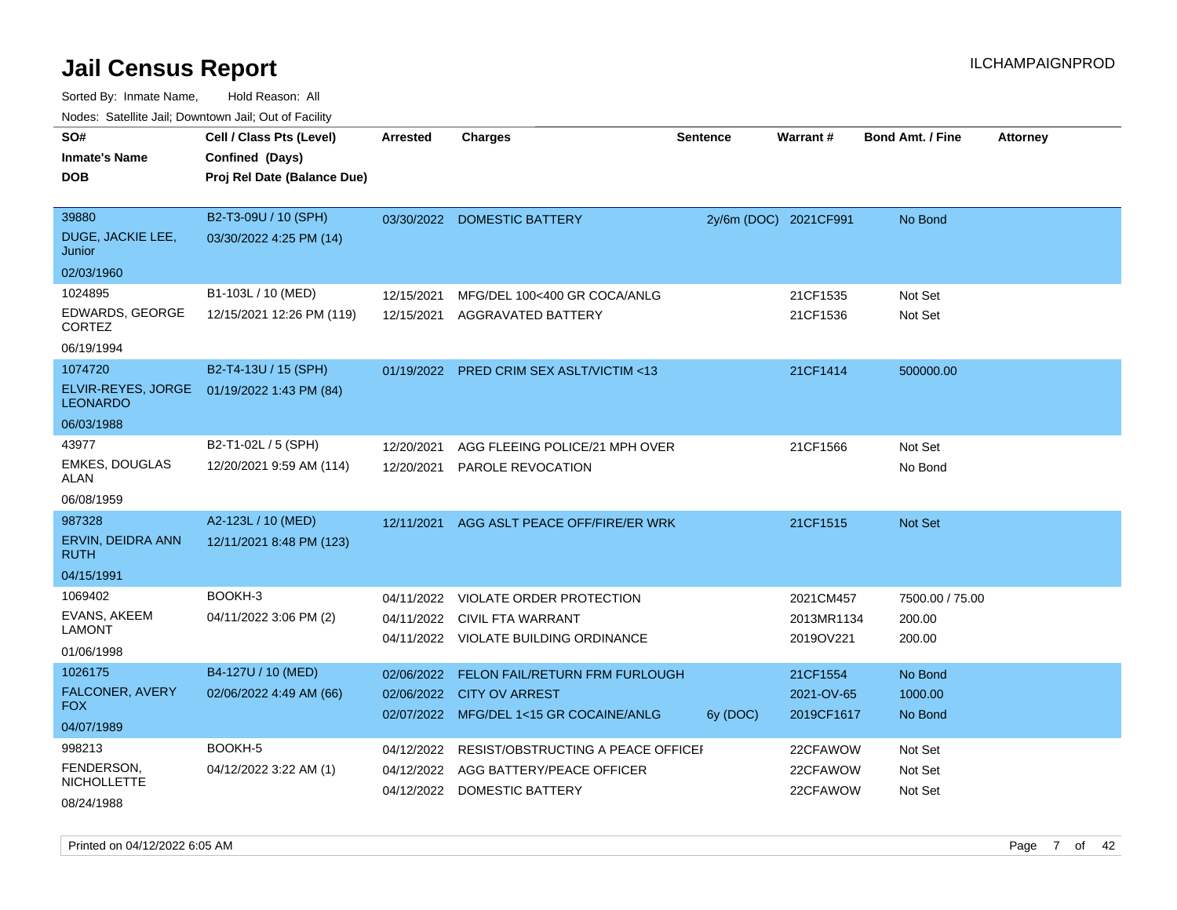Sorted By: Inmate Name, Hold Reason: All Nodes: Satellite Jail; Downtown Jail; Out of Facility

| ivouss. Satellite Jall, Downtown Jall, Out of Facility |                             |                 |                                           |                 |                       |                         |                 |
|--------------------------------------------------------|-----------------------------|-----------------|-------------------------------------------|-----------------|-----------------------|-------------------------|-----------------|
| SO#                                                    | Cell / Class Pts (Level)    | <b>Arrested</b> | <b>Charges</b>                            | <b>Sentence</b> | Warrant#              | <b>Bond Amt. / Fine</b> | <b>Attorney</b> |
| <b>Inmate's Name</b>                                   | Confined (Days)             |                 |                                           |                 |                       |                         |                 |
| <b>DOB</b>                                             | Proj Rel Date (Balance Due) |                 |                                           |                 |                       |                         |                 |
|                                                        |                             |                 |                                           |                 |                       |                         |                 |
| 39880                                                  | B2-T3-09U / 10 (SPH)        | 03/30/2022      | <b>DOMESTIC BATTERY</b>                   |                 | 2y/6m (DOC) 2021CF991 | No Bond                 |                 |
| DUGE, JACKIE LEE,<br>Junior                            | 03/30/2022 4:25 PM (14)     |                 |                                           |                 |                       |                         |                 |
| 02/03/1960                                             |                             |                 |                                           |                 |                       |                         |                 |
| 1024895                                                | B1-103L / 10 (MED)          | 12/15/2021      | MFG/DEL 100<400 GR COCA/ANLG              |                 | 21CF1535              | Not Set                 |                 |
| EDWARDS, GEORGE<br><b>CORTEZ</b>                       | 12/15/2021 12:26 PM (119)   | 12/15/2021      | AGGRAVATED BATTERY                        |                 | 21CF1536              | Not Set                 |                 |
| 06/19/1994                                             |                             |                 |                                           |                 |                       |                         |                 |
| 1074720                                                | B2-T4-13U / 15 (SPH)        |                 | 01/19/2022 PRED CRIM SEX ASLT/VICTIM <13  |                 | 21CF1414              | 500000.00               |                 |
| ELVIR-REYES, JORGE<br><b>LEONARDO</b>                  | 01/19/2022 1:43 PM (84)     |                 |                                           |                 |                       |                         |                 |
| 06/03/1988                                             |                             |                 |                                           |                 |                       |                         |                 |
| 43977                                                  | B2-T1-02L / 5 (SPH)         | 12/20/2021      | AGG FLEEING POLICE/21 MPH OVER            |                 | 21CF1566              | Not Set                 |                 |
| <b>EMKES, DOUGLAS</b><br>ALAN                          | 12/20/2021 9:59 AM (114)    | 12/20/2021      | PAROLE REVOCATION                         |                 |                       | No Bond                 |                 |
| 06/08/1959                                             |                             |                 |                                           |                 |                       |                         |                 |
| 987328                                                 | A2-123L / 10 (MED)          |                 | 12/11/2021 AGG ASLT PEACE OFF/FIRE/ER WRK |                 | 21CF1515              | Not Set                 |                 |
| ERVIN, DEIDRA ANN<br><b>RUTH</b>                       | 12/11/2021 8:48 PM (123)    |                 |                                           |                 |                       |                         |                 |
| 04/15/1991                                             |                             |                 |                                           |                 |                       |                         |                 |
| 1069402                                                | BOOKH-3                     | 04/11/2022      | VIOLATE ORDER PROTECTION                  |                 | 2021CM457             | 7500.00 / 75.00         |                 |
| <b>EVANS, AKEEM</b>                                    | 04/11/2022 3:06 PM (2)      |                 | 04/11/2022 CIVIL FTA WARRANT              |                 | 2013MR1134            | 200.00                  |                 |
| <b>LAMONT</b>                                          |                             |                 | 04/11/2022 VIOLATE BUILDING ORDINANCE     |                 | 2019OV221             | 200.00                  |                 |
| 01/06/1998                                             |                             |                 |                                           |                 |                       |                         |                 |
| 1026175                                                | B4-127U / 10 (MED)          | 02/06/2022      | FELON FAIL/RETURN FRM FURLOUGH            |                 | 21CF1554              | No Bond                 |                 |
| FALCONER, AVERY<br><b>FOX</b>                          | 02/06/2022 4:49 AM (66)     | 02/06/2022      | <b>CITY OV ARREST</b>                     |                 | 2021-OV-65            | 1000.00                 |                 |
| 04/07/1989                                             |                             |                 | 02/07/2022 MFG/DEL 1<15 GR COCAINE/ANLG   | 6y (DOC)        | 2019CF1617            | No Bond                 |                 |
| 998213                                                 | BOOKH-5                     |                 | RESIST/OBSTRUCTING A PEACE OFFICER        |                 |                       |                         |                 |
| FENDERSON,                                             | 04/12/2022 3:22 AM (1)      | 04/12/2022      |                                           |                 | 22CFAWOW              | Not Set                 |                 |
| <b>NICHOLLETTE</b>                                     |                             |                 | 04/12/2022 AGG BATTERY/PEACE OFFICER      |                 | 22CFAWOW              | Not Set                 |                 |
| 08/24/1988                                             |                             |                 | 04/12/2022 DOMESTIC BATTERY               |                 | 22CFAWOW              | Not Set                 |                 |

Printed on 04/12/2022 6:05 AM Page 7 of 42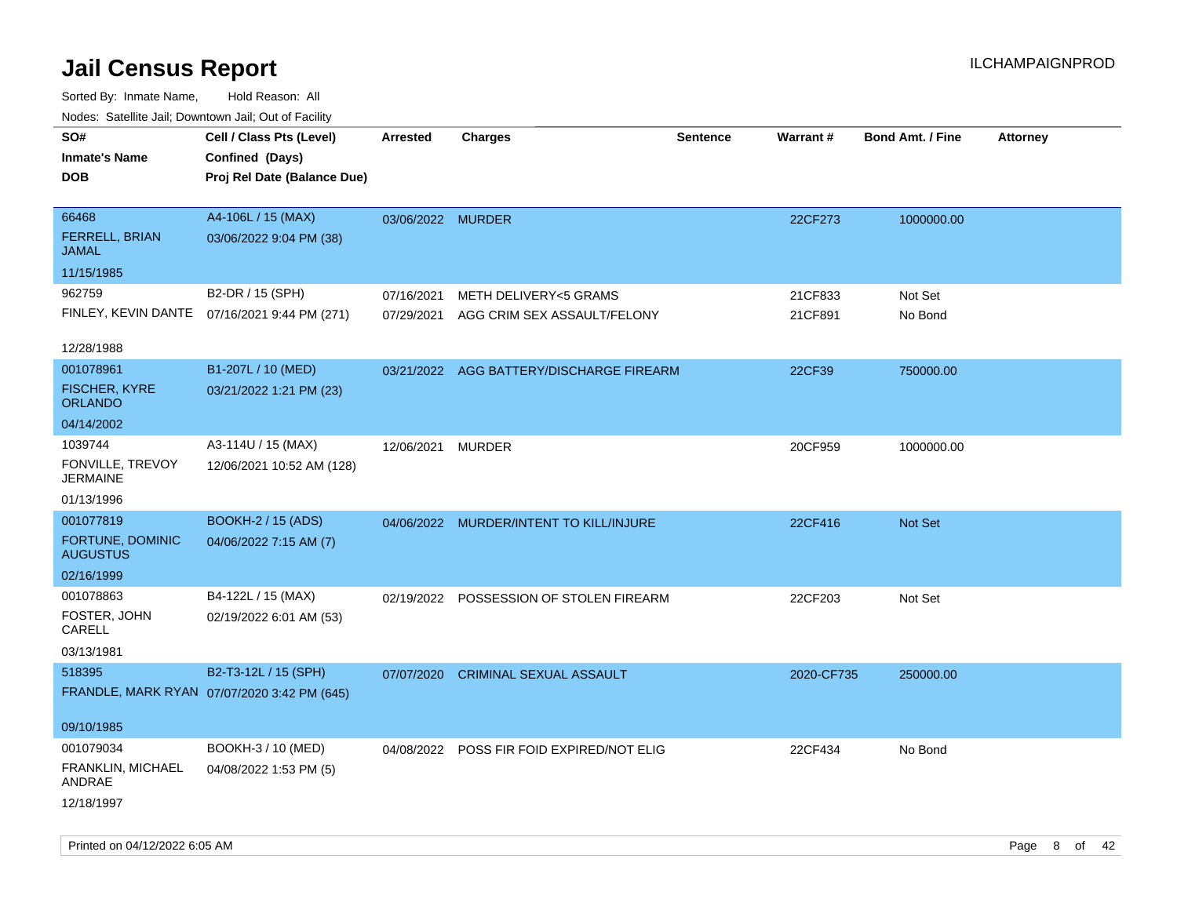| roaco. Oatomto dan, Downtown dan, Oat or Fability |                                                                            |                   |                                           |                 |            |                         |                 |
|---------------------------------------------------|----------------------------------------------------------------------------|-------------------|-------------------------------------------|-----------------|------------|-------------------------|-----------------|
| SO#<br><b>Inmate's Name</b><br><b>DOB</b>         | Cell / Class Pts (Level)<br>Confined (Days)<br>Proj Rel Date (Balance Due) | <b>Arrested</b>   | <b>Charges</b>                            | <b>Sentence</b> | Warrant#   | <b>Bond Amt. / Fine</b> | <b>Attorney</b> |
|                                                   |                                                                            |                   |                                           |                 |            |                         |                 |
| 66468<br><b>FERRELL, BRIAN</b><br>JAMAL           | A4-106L / 15 (MAX)<br>03/06/2022 9:04 PM (38)                              | 03/06/2022 MURDER |                                           |                 | 22CF273    | 1000000.00              |                 |
| 11/15/1985                                        |                                                                            |                   |                                           |                 |            |                         |                 |
| 962759                                            | B2-DR / 15 (SPH)                                                           | 07/16/2021        | METH DELIVERY<5 GRAMS                     |                 | 21CF833    | Not Set                 |                 |
| FINLEY, KEVIN DANTE                               | 07/16/2021 9:44 PM (271)                                                   | 07/29/2021        | AGG CRIM SEX ASSAULT/FELONY               |                 | 21CF891    | No Bond                 |                 |
| 12/28/1988                                        |                                                                            |                   |                                           |                 |            |                         |                 |
| 001078961                                         | B1-207L / 10 (MED)                                                         |                   | 03/21/2022 AGG BATTERY/DISCHARGE FIREARM  |                 | 22CF39     | 750000.00               |                 |
| <b>FISCHER, KYRE</b><br><b>ORLANDO</b>            | 03/21/2022 1:21 PM (23)                                                    |                   |                                           |                 |            |                         |                 |
| 04/14/2002                                        |                                                                            |                   |                                           |                 |            |                         |                 |
| 1039744                                           | A3-114U / 15 (MAX)                                                         | 12/06/2021        | <b>MURDER</b>                             |                 | 20CF959    | 1000000.00              |                 |
| FONVILLE, TREVOY<br><b>JERMAINE</b>               | 12/06/2021 10:52 AM (128)                                                  |                   |                                           |                 |            |                         |                 |
| 01/13/1996                                        |                                                                            |                   |                                           |                 |            |                         |                 |
| 001077819                                         | <b>BOOKH-2 / 15 (ADS)</b>                                                  |                   | 04/06/2022 MURDER/INTENT TO KILL/INJURE   |                 | 22CF416    | Not Set                 |                 |
| FORTUNE, DOMINIC<br><b>AUGUSTUS</b>               | 04/06/2022 7:15 AM (7)                                                     |                   |                                           |                 |            |                         |                 |
| 02/16/1999                                        |                                                                            |                   |                                           |                 |            |                         |                 |
| 001078863                                         | B4-122L / 15 (MAX)                                                         |                   | 02/19/2022 POSSESSION OF STOLEN FIREARM   |                 | 22CF203    | Not Set                 |                 |
| FOSTER, JOHN<br>CARELL                            | 02/19/2022 6:01 AM (53)                                                    |                   |                                           |                 |            |                         |                 |
| 03/13/1981                                        |                                                                            |                   |                                           |                 |            |                         |                 |
| 518395                                            | B2-T3-12L / 15 (SPH)                                                       | 07/07/2020        | <b>CRIMINAL SEXUAL ASSAULT</b>            |                 | 2020-CF735 | 250000.00               |                 |
|                                                   | FRANDLE, MARK RYAN 07/07/2020 3:42 PM (645)                                |                   |                                           |                 |            |                         |                 |
| 09/10/1985                                        |                                                                            |                   |                                           |                 |            |                         |                 |
| 001079034                                         | BOOKH-3 / 10 (MED)                                                         |                   | 04/08/2022 POSS FIR FOID EXPIRED/NOT ELIG |                 | 22CF434    | No Bond                 |                 |
| FRANKLIN, MICHAEL<br>ANDRAE                       | 04/08/2022 1:53 PM (5)                                                     |                   |                                           |                 |            |                         |                 |
| 12/18/1997                                        |                                                                            |                   |                                           |                 |            |                         |                 |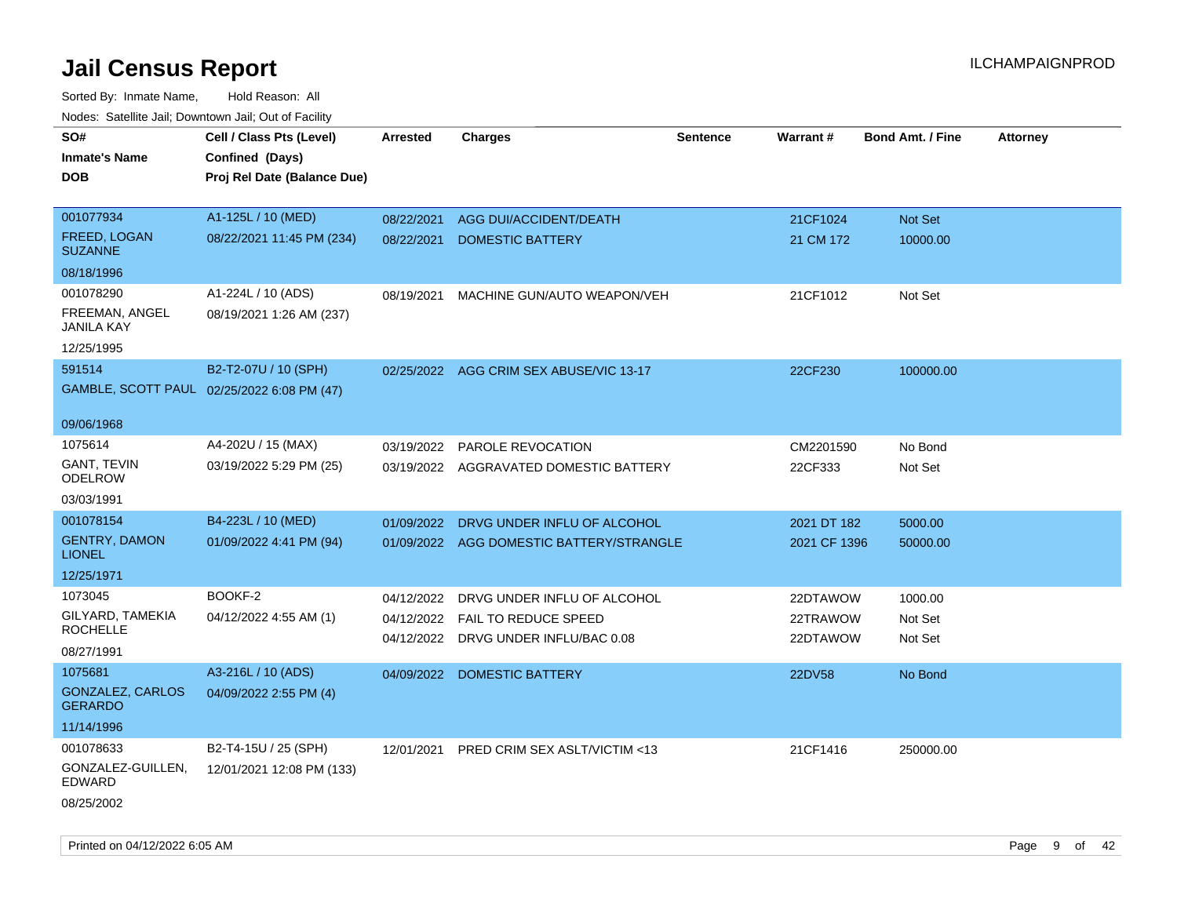| SO#                                        | Cell / Class Pts (Level)    | <b>Arrested</b> | <b>Charges</b>                           | <b>Sentence</b> | Warrant#     | <b>Bond Amt. / Fine</b> | <b>Attorney</b> |
|--------------------------------------------|-----------------------------|-----------------|------------------------------------------|-----------------|--------------|-------------------------|-----------------|
| Inmate's Name                              | Confined (Days)             |                 |                                          |                 |              |                         |                 |
| DOB                                        | Proj Rel Date (Balance Due) |                 |                                          |                 |              |                         |                 |
|                                            |                             |                 |                                          |                 |              |                         |                 |
| 001077934                                  | A1-125L / 10 (MED)          | 08/22/2021      | AGG DUI/ACCIDENT/DEATH                   |                 | 21CF1024     | Not Set                 |                 |
| FREED, LOGAN<br><b>SUZANNE</b>             | 08/22/2021 11:45 PM (234)   | 08/22/2021      | <b>DOMESTIC BATTERY</b>                  |                 | 21 CM 172    | 10000.00                |                 |
| 08/18/1996                                 |                             |                 |                                          |                 |              |                         |                 |
| 001078290                                  | A1-224L / 10 (ADS)          | 08/19/2021      | MACHINE GUN/AUTO WEAPON/VEH              |                 | 21CF1012     | Not Set                 |                 |
| FREEMAN, ANGEL<br>JANILA KAY               | 08/19/2021 1:26 AM (237)    |                 |                                          |                 |              |                         |                 |
| 12/25/1995                                 |                             |                 |                                          |                 |              |                         |                 |
| 591514                                     | B2-T2-07U / 10 (SPH)        |                 | 02/25/2022 AGG CRIM SEX ABUSE/VIC 13-17  |                 | 22CF230      | 100000.00               |                 |
| GAMBLE, SCOTT PAUL 02/25/2022 6:08 PM (47) |                             |                 |                                          |                 |              |                         |                 |
| 09/06/1968                                 |                             |                 |                                          |                 |              |                         |                 |
| 1075614                                    | A4-202U / 15 (MAX)          | 03/19/2022      | PAROLE REVOCATION                        |                 | CM2201590    | No Bond                 |                 |
| GANT, TEVIN<br>ODELROW                     | 03/19/2022 5:29 PM (25)     |                 | 03/19/2022 AGGRAVATED DOMESTIC BATTERY   |                 | 22CF333      | Not Set                 |                 |
| 03/03/1991                                 |                             |                 |                                          |                 |              |                         |                 |
| 001078154                                  | B4-223L / 10 (MED)          | 01/09/2022      | DRVG UNDER INFLU OF ALCOHOL              |                 | 2021 DT 182  | 5000.00                 |                 |
| <b>GENTRY, DAMON</b><br><b>LIONEL</b>      | 01/09/2022 4:41 PM (94)     |                 | 01/09/2022 AGG DOMESTIC BATTERY/STRANGLE |                 | 2021 CF 1396 | 50000.00                |                 |
| 12/25/1971                                 |                             |                 |                                          |                 |              |                         |                 |
| 1073045                                    | BOOKF-2                     | 04/12/2022      | DRVG UNDER INFLU OF ALCOHOL              |                 | 22DTAWOW     | 1000.00                 |                 |
| GILYARD, TAMEKIA                           | 04/12/2022 4:55 AM (1)      |                 | 04/12/2022  FAIL TO REDUCE SPEED         |                 | 22TRAWOW     | Not Set                 |                 |
| ROCHELLE                                   |                             | 04/12/2022      | DRVG UNDER INFLU/BAC 0.08                |                 | 22DTAWOW     | Not Set                 |                 |
| 08/27/1991                                 |                             |                 |                                          |                 |              |                         |                 |
| 1075681                                    | A3-216L / 10 (ADS)          |                 | 04/09/2022 DOMESTIC BATTERY              |                 | 22DV58       | No Bond                 |                 |
| <b>GONZALEZ, CARLOS</b><br><b>GERARDO</b>  | 04/09/2022 2:55 PM (4)      |                 |                                          |                 |              |                         |                 |
| 11/14/1996                                 |                             |                 |                                          |                 |              |                         |                 |
| 001078633                                  | B2-T4-15U / 25 (SPH)        | 12/01/2021      | PRED CRIM SEX ASLT/VICTIM <13            |                 | 21CF1416     | 250000.00               |                 |
| GONZALEZ-GUILLEN,<br>EDWARD                | 12/01/2021 12:08 PM (133)   |                 |                                          |                 |              |                         |                 |
| 08/25/2002                                 |                             |                 |                                          |                 |              |                         |                 |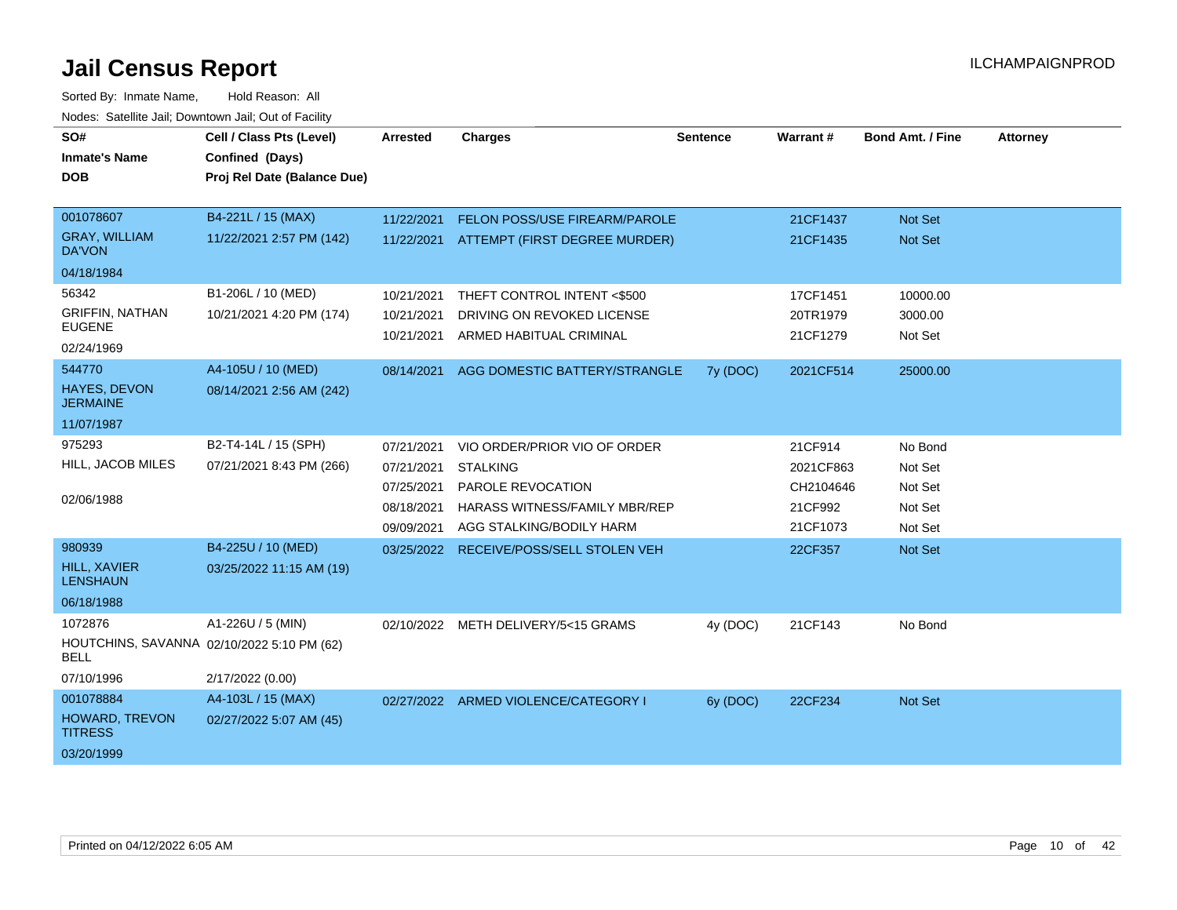| SO#<br><b>Inmate's Name</b><br><b>DOB</b>                                          | Cell / Class Pts (Level)<br>Confined (Days)<br>Proj Rel Date (Balance Due) | Arrested                                                           | <b>Charges</b>                                                                                                                    | <b>Sentence</b> | <b>Warrant#</b>                                          | <b>Bond Amt. / Fine</b>                             | <b>Attorney</b> |
|------------------------------------------------------------------------------------|----------------------------------------------------------------------------|--------------------------------------------------------------------|-----------------------------------------------------------------------------------------------------------------------------------|-----------------|----------------------------------------------------------|-----------------------------------------------------|-----------------|
| 001078607<br><b>GRAY, WILLIAM</b><br><b>DA'VON</b><br>04/18/1984                   | B4-221L / 15 (MAX)<br>11/22/2021 2:57 PM (142)                             | 11/22/2021                                                         | FELON POSS/USE FIREARM/PAROLE<br>11/22/2021 ATTEMPT (FIRST DEGREE MURDER)                                                         |                 | 21CF1437<br>21CF1435                                     | Not Set<br>Not Set                                  |                 |
| 56342<br><b>GRIFFIN, NATHAN</b><br><b>EUGENE</b><br>02/24/1969                     | B1-206L / 10 (MED)<br>10/21/2021 4:20 PM (174)                             | 10/21/2021<br>10/21/2021<br>10/21/2021                             | THEFT CONTROL INTENT <\$500<br>DRIVING ON REVOKED LICENSE<br>ARMED HABITUAL CRIMINAL                                              |                 | 17CF1451<br>20TR1979<br>21CF1279                         | 10000.00<br>3000.00<br>Not Set                      |                 |
| 544770<br>HAYES, DEVON<br><b>JERMAINE</b><br>11/07/1987                            | A4-105U / 10 (MED)<br>08/14/2021 2:56 AM (242)                             | 08/14/2021                                                         | AGG DOMESTIC BATTERY/STRANGLE                                                                                                     | 7y (DOC)        | 2021CF514                                                | 25000.00                                            |                 |
| 975293<br>HILL, JACOB MILES<br>02/06/1988                                          | B2-T4-14L / 15 (SPH)<br>07/21/2021 8:43 PM (266)                           | 07/21/2021<br>07/21/2021<br>07/25/2021<br>08/18/2021<br>09/09/2021 | VIO ORDER/PRIOR VIO OF ORDER<br><b>STALKING</b><br>PAROLE REVOCATION<br>HARASS WITNESS/FAMILY MBR/REP<br>AGG STALKING/BODILY HARM |                 | 21CF914<br>2021CF863<br>CH2104646<br>21CF992<br>21CF1073 | No Bond<br>Not Set<br>Not Set<br>Not Set<br>Not Set |                 |
| 980939<br><b>HILL, XAVIER</b><br><b>LENSHAUN</b><br>06/18/1988                     | B4-225U / 10 (MED)<br>03/25/2022 11:15 AM (19)                             | 03/25/2022                                                         | RECEIVE/POSS/SELL STOLEN VEH                                                                                                      |                 | 22CF357                                                  | Not Set                                             |                 |
| 1072876<br>HOUTCHINS, SAVANNA 02/10/2022 5:10 PM (62)<br><b>BELL</b><br>07/10/1996 | A1-226U / 5 (MIN)<br>2/17/2022 (0.00)                                      | 02/10/2022                                                         | METH DELIVERY/5<15 GRAMS                                                                                                          | 4y (DOC)        | 21CF143                                                  | No Bond                                             |                 |
| 001078884<br>HOWARD, TREVON<br><b>TITRESS</b><br>03/20/1999                        | A4-103L / 15 (MAX)<br>02/27/2022 5:07 AM (45)                              |                                                                    | 02/27/2022 ARMED VIOLENCE/CATEGORY I                                                                                              | 6y (DOC)        | 22CF234                                                  | Not Set                                             |                 |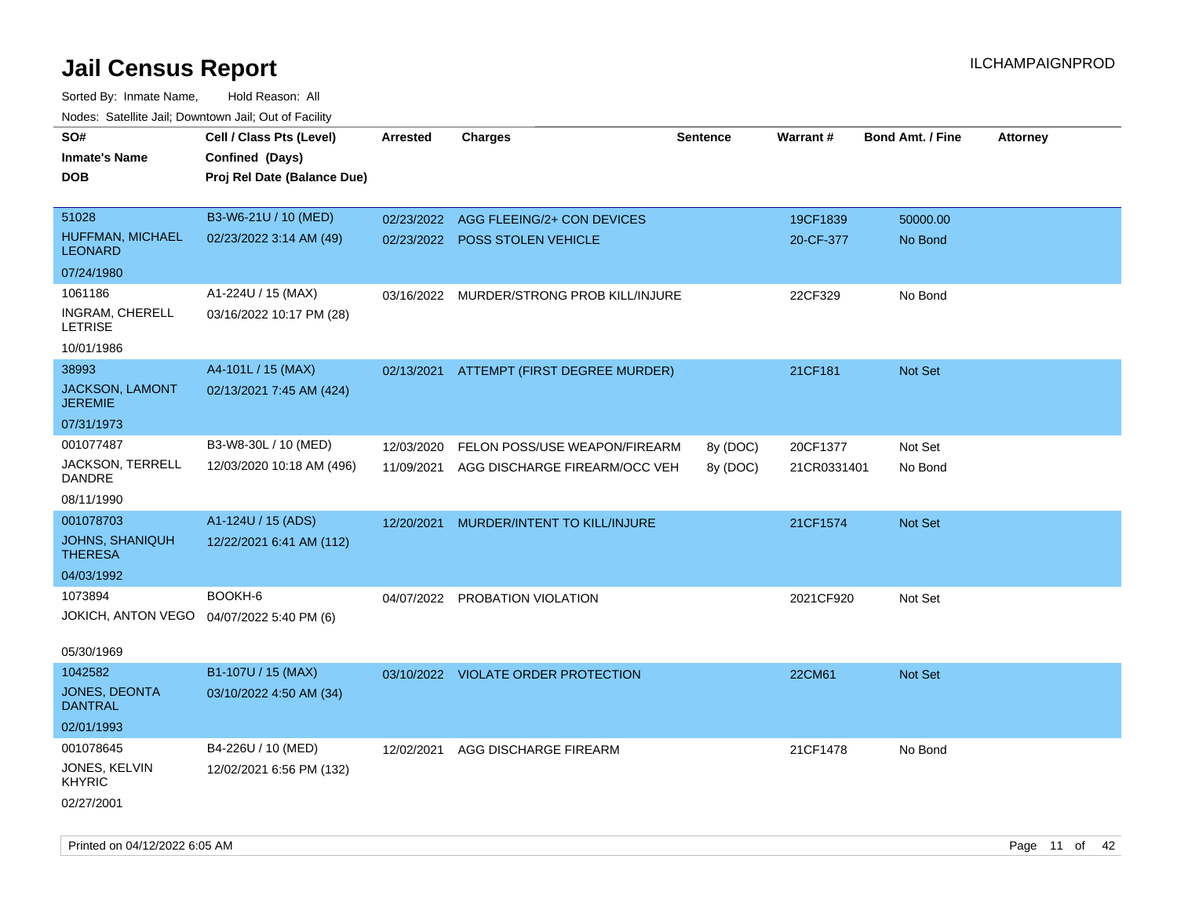| roaco. Catolino dall, Downtown dall, Out of Fability |                             |                 |                                           |                 |             |                         |                 |
|------------------------------------------------------|-----------------------------|-----------------|-------------------------------------------|-----------------|-------------|-------------------------|-----------------|
| SO#                                                  | Cell / Class Pts (Level)    | <b>Arrested</b> | <b>Charges</b>                            | <b>Sentence</b> | Warrant#    | <b>Bond Amt. / Fine</b> | <b>Attorney</b> |
| <b>Inmate's Name</b>                                 | Confined (Days)             |                 |                                           |                 |             |                         |                 |
| <b>DOB</b>                                           | Proj Rel Date (Balance Due) |                 |                                           |                 |             |                         |                 |
|                                                      |                             |                 |                                           |                 |             |                         |                 |
| 51028                                                | B3-W6-21U / 10 (MED)        | 02/23/2022      | AGG FLEEING/2+ CON DEVICES                |                 | 19CF1839    | 50000.00                |                 |
| HUFFMAN, MICHAEL<br><b>LEONARD</b>                   | 02/23/2022 3:14 AM (49)     |                 | 02/23/2022 POSS STOLEN VEHICLE            |                 | 20-CF-377   | No Bond                 |                 |
| 07/24/1980                                           |                             |                 |                                           |                 |             |                         |                 |
| 1061186                                              | A1-224U / 15 (MAX)          |                 | 03/16/2022 MURDER/STRONG PROB KILL/INJURE |                 | 22CF329     | No Bond                 |                 |
| INGRAM, CHERELL<br><b>LETRISE</b>                    | 03/16/2022 10:17 PM (28)    |                 |                                           |                 |             |                         |                 |
| 10/01/1986                                           |                             |                 |                                           |                 |             |                         |                 |
| 38993                                                | A4-101L / 15 (MAX)          |                 | 02/13/2021 ATTEMPT (FIRST DEGREE MURDER)  |                 | 21CF181     | Not Set                 |                 |
| JACKSON, LAMONT<br><b>JEREMIE</b>                    | 02/13/2021 7:45 AM (424)    |                 |                                           |                 |             |                         |                 |
| 07/31/1973                                           |                             |                 |                                           |                 |             |                         |                 |
| 001077487                                            | B3-W8-30L / 10 (MED)        | 12/03/2020      | FELON POSS/USE WEAPON/FIREARM             | 8y (DOC)        | 20CF1377    | Not Set                 |                 |
| JACKSON, TERRELL<br><b>DANDRE</b>                    | 12/03/2020 10:18 AM (496)   | 11/09/2021      | AGG DISCHARGE FIREARM/OCC VEH             | 8y (DOC)        | 21CR0331401 | No Bond                 |                 |
| 08/11/1990                                           |                             |                 |                                           |                 |             |                         |                 |
| 001078703                                            | A1-124U / 15 (ADS)          | 12/20/2021      | MURDER/INTENT TO KILL/INJURE              |                 | 21CF1574    | Not Set                 |                 |
| <b>JOHNS, SHANIQUH</b><br><b>THERESA</b>             | 12/22/2021 6:41 AM (112)    |                 |                                           |                 |             |                         |                 |
| 04/03/1992                                           |                             |                 |                                           |                 |             |                         |                 |
| 1073894                                              | BOOKH-6                     |                 | 04/07/2022 PROBATION VIOLATION            |                 | 2021CF920   | Not Set                 |                 |
| JOKICH, ANTON VEGO                                   | 04/07/2022 5:40 PM (6)      |                 |                                           |                 |             |                         |                 |
|                                                      |                             |                 |                                           |                 |             |                         |                 |
| 05/30/1969                                           |                             |                 |                                           |                 |             |                         |                 |
| 1042582                                              | B1-107U / 15 (MAX)          |                 | 03/10/2022 VIOLATE ORDER PROTECTION       |                 | 22CM61      | Not Set                 |                 |
| JONES, DEONTA<br><b>DANTRAL</b>                      | 03/10/2022 4:50 AM (34)     |                 |                                           |                 |             |                         |                 |
| 02/01/1993                                           |                             |                 |                                           |                 |             |                         |                 |
| 001078645                                            | B4-226U / 10 (MED)          | 12/02/2021      | AGG DISCHARGE FIREARM                     |                 | 21CF1478    | No Bond                 |                 |
| JONES, KELVIN<br><b>KHYRIC</b>                       | 12/02/2021 6:56 PM (132)    |                 |                                           |                 |             |                         |                 |
| 02/27/2001                                           |                             |                 |                                           |                 |             |                         |                 |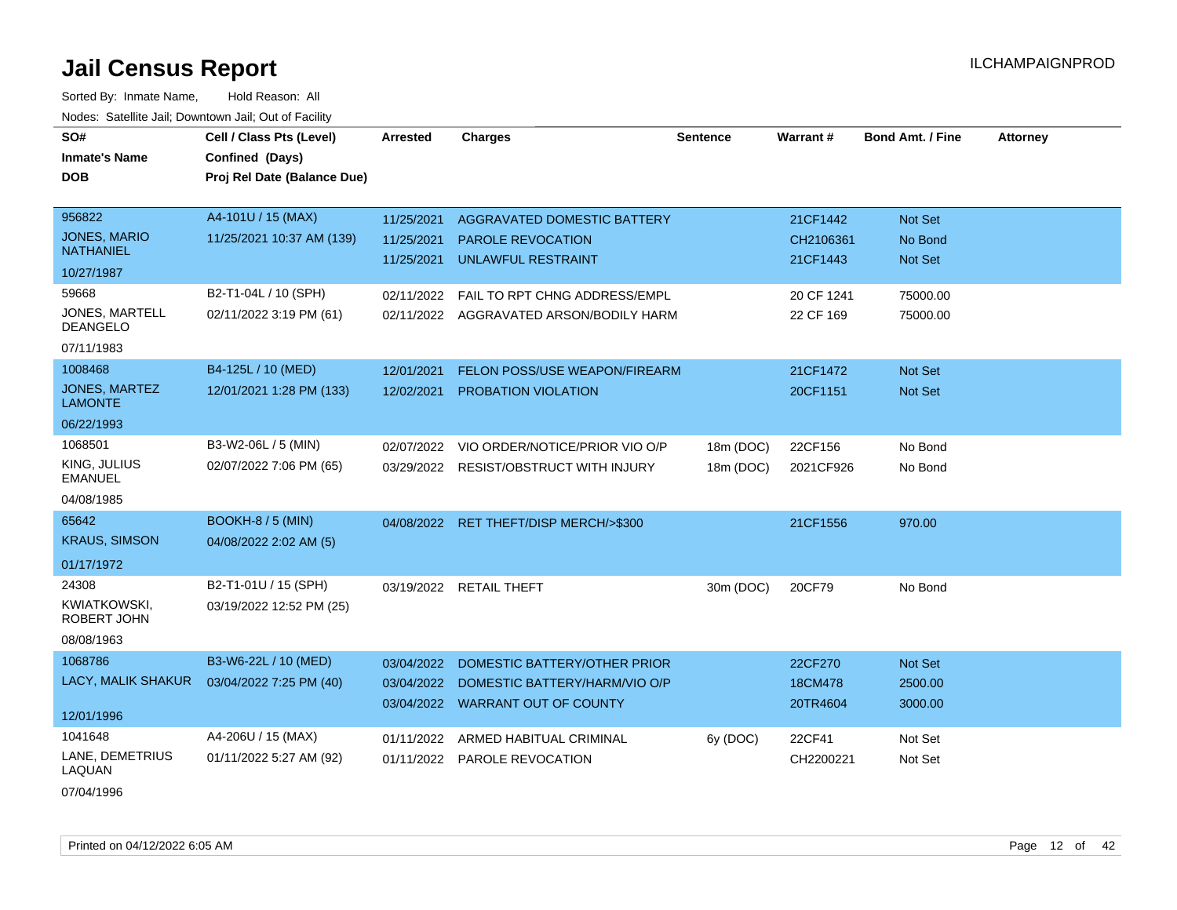| SO#<br><b>Inmate's Name</b><br><b>DOB</b> | Cell / Class Pts (Level)<br>Confined (Days)<br>Proj Rel Date (Balance Due) | Arrested   | <b>Charges</b>                         | <b>Sentence</b> | <b>Warrant#</b> | <b>Bond Amt. / Fine</b> | <b>Attorney</b> |
|-------------------------------------------|----------------------------------------------------------------------------|------------|----------------------------------------|-----------------|-----------------|-------------------------|-----------------|
| 956822                                    | A4-101U / 15 (MAX)                                                         | 11/25/2021 | AGGRAVATED DOMESTIC BATTERY            |                 | 21CF1442        | Not Set                 |                 |
| <b>JONES, MARIO</b><br><b>NATHANIEL</b>   | 11/25/2021 10:37 AM (139)                                                  | 11/25/2021 | <b>PAROLE REVOCATION</b>               |                 | CH2106361       | No Bond                 |                 |
| 10/27/1987                                |                                                                            | 11/25/2021 | <b>UNLAWFUL RESTRAINT</b>              |                 | 21CF1443        | Not Set                 |                 |
| 59668                                     | B2-T1-04L / 10 (SPH)                                                       | 02/11/2022 | FAIL TO RPT CHNG ADDRESS/EMPL          |                 | 20 CF 1241      | 75000.00                |                 |
| JONES, MARTELL<br><b>DEANGELO</b>         | 02/11/2022 3:19 PM (61)                                                    | 02/11/2022 | AGGRAVATED ARSON/BODILY HARM           |                 | 22 CF 169       | 75000.00                |                 |
| 07/11/1983                                |                                                                            |            |                                        |                 |                 |                         |                 |
| 1008468                                   | B4-125L / 10 (MED)                                                         | 12/01/2021 | FELON POSS/USE WEAPON/FIREARM          |                 | 21CF1472        | Not Set                 |                 |
| JONES, MARTEZ<br><b>LAMONTE</b>           | 12/01/2021 1:28 PM (133)                                                   | 12/02/2021 | <b>PROBATION VIOLATION</b>             |                 | 20CF1151        | Not Set                 |                 |
| 06/22/1993                                |                                                                            |            |                                        |                 |                 |                         |                 |
| 1068501                                   | B3-W2-06L / 5 (MIN)                                                        | 02/07/2022 | VIO ORDER/NOTICE/PRIOR VIO O/P         | 18m (DOC)       | 22CF156         | No Bond                 |                 |
| KING, JULIUS<br><b>EMANUEL</b>            | 02/07/2022 7:06 PM (65)                                                    |            | 03/29/2022 RESIST/OBSTRUCT WITH INJURY | 18m (DOC)       | 2021CF926       | No Bond                 |                 |
| 04/08/1985                                |                                                                            |            |                                        |                 |                 |                         |                 |
| 65642                                     | <b>BOOKH-8 / 5 (MIN)</b>                                                   | 04/08/2022 | RET THEFT/DISP MERCH/>\$300            |                 | 21CF1556        | 970.00                  |                 |
| <b>KRAUS, SIMSON</b>                      | 04/08/2022 2:02 AM (5)                                                     |            |                                        |                 |                 |                         |                 |
| 01/17/1972                                |                                                                            |            |                                        |                 |                 |                         |                 |
| 24308                                     | B2-T1-01U / 15 (SPH)                                                       |            | 03/19/2022 RETAIL THEFT                | 30m (DOC)       | 20CF79          | No Bond                 |                 |
| <b>KWIATKOWSKI,</b><br>ROBERT JOHN        | 03/19/2022 12:52 PM (25)                                                   |            |                                        |                 |                 |                         |                 |
| 08/08/1963                                |                                                                            |            |                                        |                 |                 |                         |                 |
| 1068786                                   | B3-W6-22L / 10 (MED)                                                       | 03/04/2022 | DOMESTIC BATTERY/OTHER PRIOR           |                 | 22CF270         | Not Set                 |                 |
| LACY, MALIK SHAKUR                        | 03/04/2022 7:25 PM (40)                                                    | 03/04/2022 | DOMESTIC BATTERY/HARM/VIO O/P          |                 | 18CM478         | 2500.00                 |                 |
| 12/01/1996                                |                                                                            |            | 03/04/2022 WARRANT OUT OF COUNTY       |                 | 20TR4604        | 3000.00                 |                 |
| 1041648                                   | A4-206U / 15 (MAX)                                                         | 01/11/2022 | ARMED HABITUAL CRIMINAL                | 6y (DOC)        | 22CF41          | Not Set                 |                 |
| LANE, DEMETRIUS<br>LAQUAN                 | 01/11/2022 5:27 AM (92)                                                    |            | 01/11/2022 PAROLE REVOCATION           |                 | CH2200221       | Not Set                 |                 |
| 07/04/1996                                |                                                                            |            |                                        |                 |                 |                         |                 |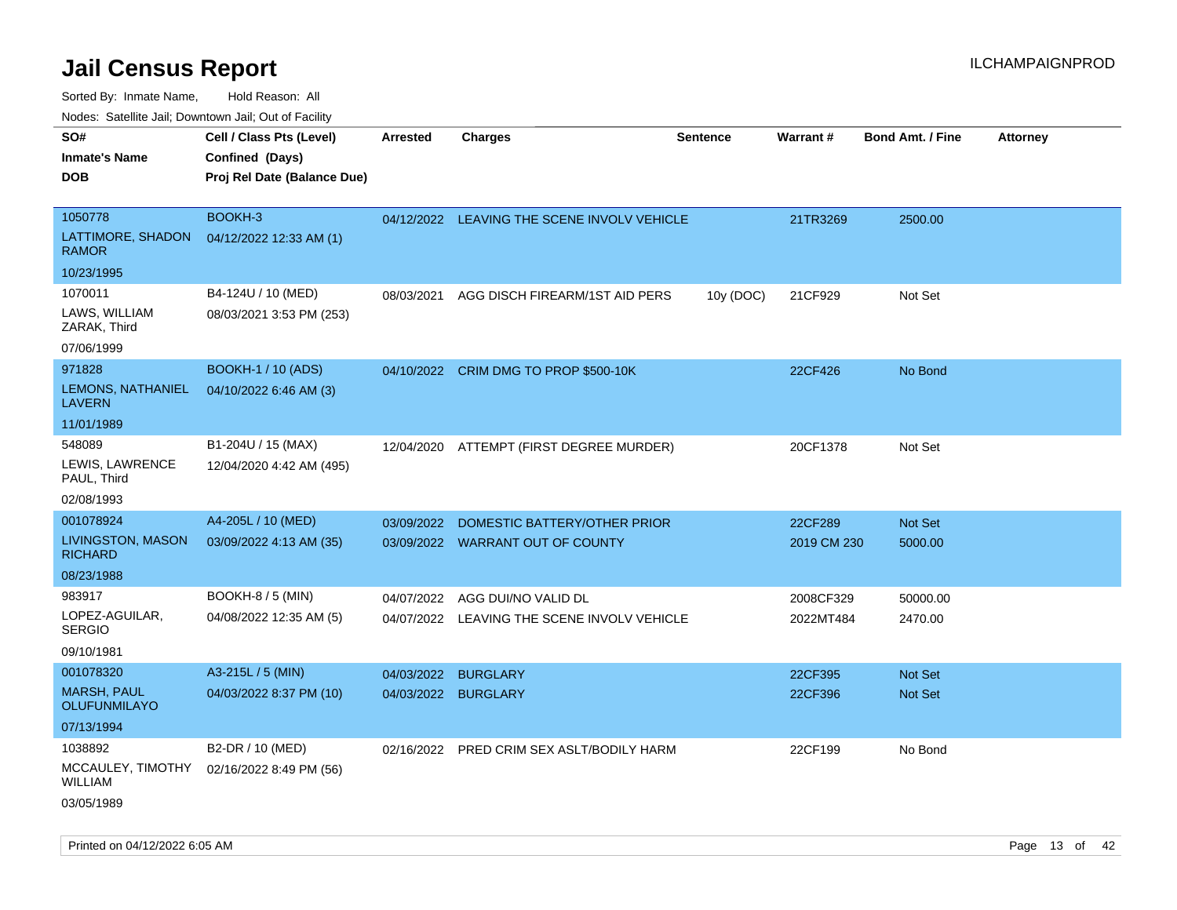| ivodes. Satellite Jali, Downtown Jali, Out of Facility |                             |            |                                             |                 |             |                         |                 |
|--------------------------------------------------------|-----------------------------|------------|---------------------------------------------|-----------------|-------------|-------------------------|-----------------|
| SO#                                                    | Cell / Class Pts (Level)    | Arrested   | <b>Charges</b>                              | <b>Sentence</b> | Warrant#    | <b>Bond Amt. / Fine</b> | <b>Attorney</b> |
| Inmate's Name                                          | Confined (Days)             |            |                                             |                 |             |                         |                 |
| <b>DOB</b>                                             | Proj Rel Date (Balance Due) |            |                                             |                 |             |                         |                 |
|                                                        |                             |            |                                             |                 |             |                         |                 |
| 1050778                                                | BOOKH-3                     |            | 04/12/2022 LEAVING THE SCENE INVOLV VEHICLE |                 | 21TR3269    | 2500.00                 |                 |
| LATTIMORE, SHADON<br>RAMOR                             | 04/12/2022 12:33 AM (1)     |            |                                             |                 |             |                         |                 |
| 10/23/1995                                             |                             |            |                                             |                 |             |                         |                 |
| 1070011                                                | B4-124U / 10 (MED)          | 08/03/2021 | AGG DISCH FIREARM/1ST AID PERS              | 10y (DOC)       | 21CF929     | Not Set                 |                 |
| LAWS, WILLIAM<br>ZARAK, Third                          | 08/03/2021 3:53 PM (253)    |            |                                             |                 |             |                         |                 |
| 07/06/1999                                             |                             |            |                                             |                 |             |                         |                 |
| 971828                                                 | <b>BOOKH-1 / 10 (ADS)</b>   |            | 04/10/2022 CRIM DMG TO PROP \$500-10K       |                 | 22CF426     | No Bond                 |                 |
| LEMONS, NATHANIEL<br>LAVERN                            | 04/10/2022 6:46 AM (3)      |            |                                             |                 |             |                         |                 |
| 11/01/1989                                             |                             |            |                                             |                 |             |                         |                 |
| 548089                                                 | B1-204U / 15 (MAX)          |            | 12/04/2020 ATTEMPT (FIRST DEGREE MURDER)    |                 | 20CF1378    | Not Set                 |                 |
| LEWIS, LAWRENCE<br>PAUL, Third                         | 12/04/2020 4:42 AM (495)    |            |                                             |                 |             |                         |                 |
| 02/08/1993                                             |                             |            |                                             |                 |             |                         |                 |
| 001078924                                              | A4-205L / 10 (MED)          | 03/09/2022 | DOMESTIC BATTERY/OTHER PRIOR                |                 | 22CF289     | <b>Not Set</b>          |                 |
| LIVINGSTON, MASON<br><b>RICHARD</b>                    | 03/09/2022 4:13 AM (35)     | 03/09/2022 | <b>WARRANT OUT OF COUNTY</b>                |                 | 2019 CM 230 | 5000.00                 |                 |
| 08/23/1988                                             |                             |            |                                             |                 |             |                         |                 |
| 983917                                                 | <b>BOOKH-8 / 5 (MIN)</b>    | 04/07/2022 | AGG DUI/NO VALID DL                         |                 | 2008CF329   | 50000.00                |                 |
| LOPEZ-AGUILAR,<br>SERGIO                               | 04/08/2022 12:35 AM (5)     |            | 04/07/2022 LEAVING THE SCENE INVOLV VEHICLE |                 | 2022MT484   | 2470.00                 |                 |
| 09/10/1981                                             |                             |            |                                             |                 |             |                         |                 |
| 001078320                                              | A3-215L / 5 (MIN)           | 04/03/2022 | <b>BURGLARY</b>                             |                 | 22CF395     | <b>Not Set</b>          |                 |
| MARSH, PAUL<br>OLUFUNMILAYO                            | 04/03/2022 8:37 PM (10)     | 04/03/2022 | <b>BURGLARY</b>                             |                 | 22CF396     | Not Set                 |                 |
| 07/13/1994                                             |                             |            |                                             |                 |             |                         |                 |
| 1038892                                                | B2-DR / 10 (MED)            | 02/16/2022 | PRED CRIM SEX ASLT/BODILY HARM              |                 | 22CF199     | No Bond                 |                 |
| MCCAULEY, TIMOTHY<br>WILLIAM                           | 02/16/2022 8:49 PM (56)     |            |                                             |                 |             |                         |                 |
| 03/05/1989                                             |                             |            |                                             |                 |             |                         |                 |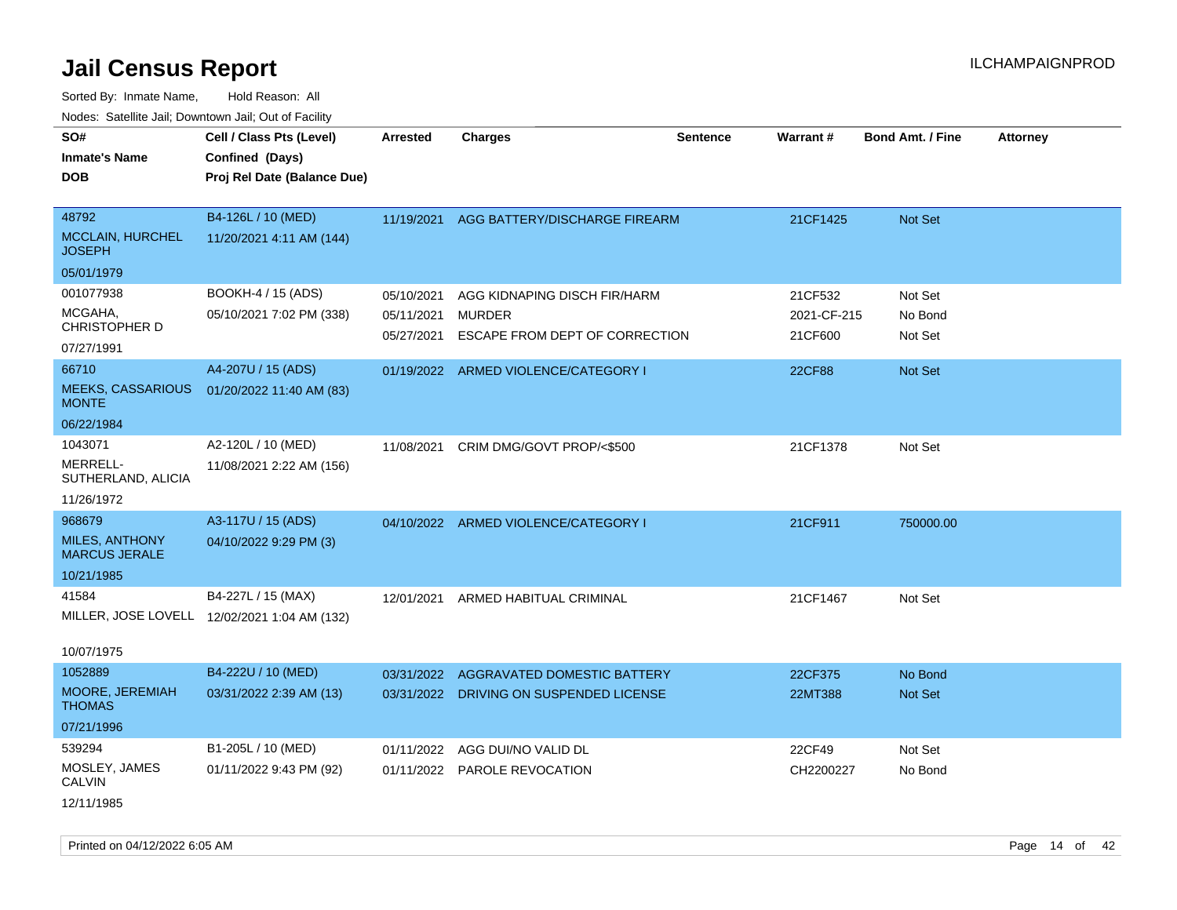Sorted By: Inmate Name, Hold Reason: All Nodes: Satellite Jail; Downtown Jail; Out of Facility

| SO#                                           | Cell / Class Pts (Level)                     | <b>Arrested</b> | <b>Charges</b>                           | <b>Sentence</b> | Warrant#    | <b>Bond Amt. / Fine</b> | <b>Attorney</b> |
|-----------------------------------------------|----------------------------------------------|-----------------|------------------------------------------|-----------------|-------------|-------------------------|-----------------|
| <b>Inmate's Name</b>                          | Confined (Days)                              |                 |                                          |                 |             |                         |                 |
| <b>DOB</b>                                    | Proj Rel Date (Balance Due)                  |                 |                                          |                 |             |                         |                 |
|                                               |                                              |                 |                                          |                 |             |                         |                 |
| 48792                                         | B4-126L / 10 (MED)                           |                 | 11/19/2021 AGG BATTERY/DISCHARGE FIREARM |                 | 21CF1425    | Not Set                 |                 |
| <b>MCCLAIN, HURCHEL</b><br><b>JOSEPH</b>      | 11/20/2021 4:11 AM (144)                     |                 |                                          |                 |             |                         |                 |
| 05/01/1979                                    |                                              |                 |                                          |                 |             |                         |                 |
| 001077938                                     | BOOKH-4 / 15 (ADS)                           | 05/10/2021      | AGG KIDNAPING DISCH FIR/HARM             |                 | 21CF532     | Not Set                 |                 |
| MCGAHA,<br><b>CHRISTOPHER D</b>               | 05/10/2021 7:02 PM (338)                     | 05/11/2021      | <b>MURDER</b>                            |                 | 2021-CF-215 | No Bond                 |                 |
| 07/27/1991                                    |                                              | 05/27/2021      | ESCAPE FROM DEPT OF CORRECTION           |                 | 21CF600     | Not Set                 |                 |
| 66710                                         | A4-207U / 15 (ADS)                           |                 | 01/19/2022 ARMED VIOLENCE/CATEGORY I     |                 | 22CF88      | Not Set                 |                 |
| <b>MEEKS, CASSARIOUS</b><br><b>MONTE</b>      | 01/20/2022 11:40 AM (83)                     |                 |                                          |                 |             |                         |                 |
| 06/22/1984                                    |                                              |                 |                                          |                 |             |                         |                 |
| 1043071                                       | A2-120L / 10 (MED)                           | 11/08/2021      | CRIM DMG/GOVT PROP/<\$500                |                 | 21CF1378    | Not Set                 |                 |
| MERRELL-<br>SUTHERLAND, ALICIA                | 11/08/2021 2:22 AM (156)                     |                 |                                          |                 |             |                         |                 |
| 11/26/1972                                    |                                              |                 |                                          |                 |             |                         |                 |
| 968679                                        | A3-117U / 15 (ADS)                           |                 | 04/10/2022 ARMED VIOLENCE/CATEGORY I     |                 | 21CF911     | 750000.00               |                 |
| <b>MILES, ANTHONY</b><br><b>MARCUS JERALE</b> | 04/10/2022 9:29 PM (3)                       |                 |                                          |                 |             |                         |                 |
| 10/21/1985                                    |                                              |                 |                                          |                 |             |                         |                 |
| 41584                                         | B4-227L / 15 (MAX)                           | 12/01/2021      | ARMED HABITUAL CRIMINAL                  |                 | 21CF1467    | Not Set                 |                 |
|                                               | MILLER, JOSE LOVELL 12/02/2021 1:04 AM (132) |                 |                                          |                 |             |                         |                 |
| 10/07/1975                                    |                                              |                 |                                          |                 |             |                         |                 |
| 1052889                                       | B4-222U / 10 (MED)                           | 03/31/2022      | AGGRAVATED DOMESTIC BATTERY              |                 | 22CF375     | No Bond                 |                 |
| MOORE, JEREMIAH<br><b>THOMAS</b>              | 03/31/2022 2:39 AM (13)                      |                 | 03/31/2022 DRIVING ON SUSPENDED LICENSE  |                 | 22MT388     | <b>Not Set</b>          |                 |
| 07/21/1996                                    |                                              |                 |                                          |                 |             |                         |                 |
| 539294                                        | B1-205L / 10 (MED)                           | 01/11/2022      | AGG DUI/NO VALID DL                      |                 | 22CF49      | Not Set                 |                 |
| MOSLEY, JAMES<br><b>CALVIN</b>                | 01/11/2022 9:43 PM (92)                      |                 | 01/11/2022 PAROLE REVOCATION             |                 | CH2200227   | No Bond                 |                 |
| 101111000                                     |                                              |                 |                                          |                 |             |                         |                 |

12/11/1985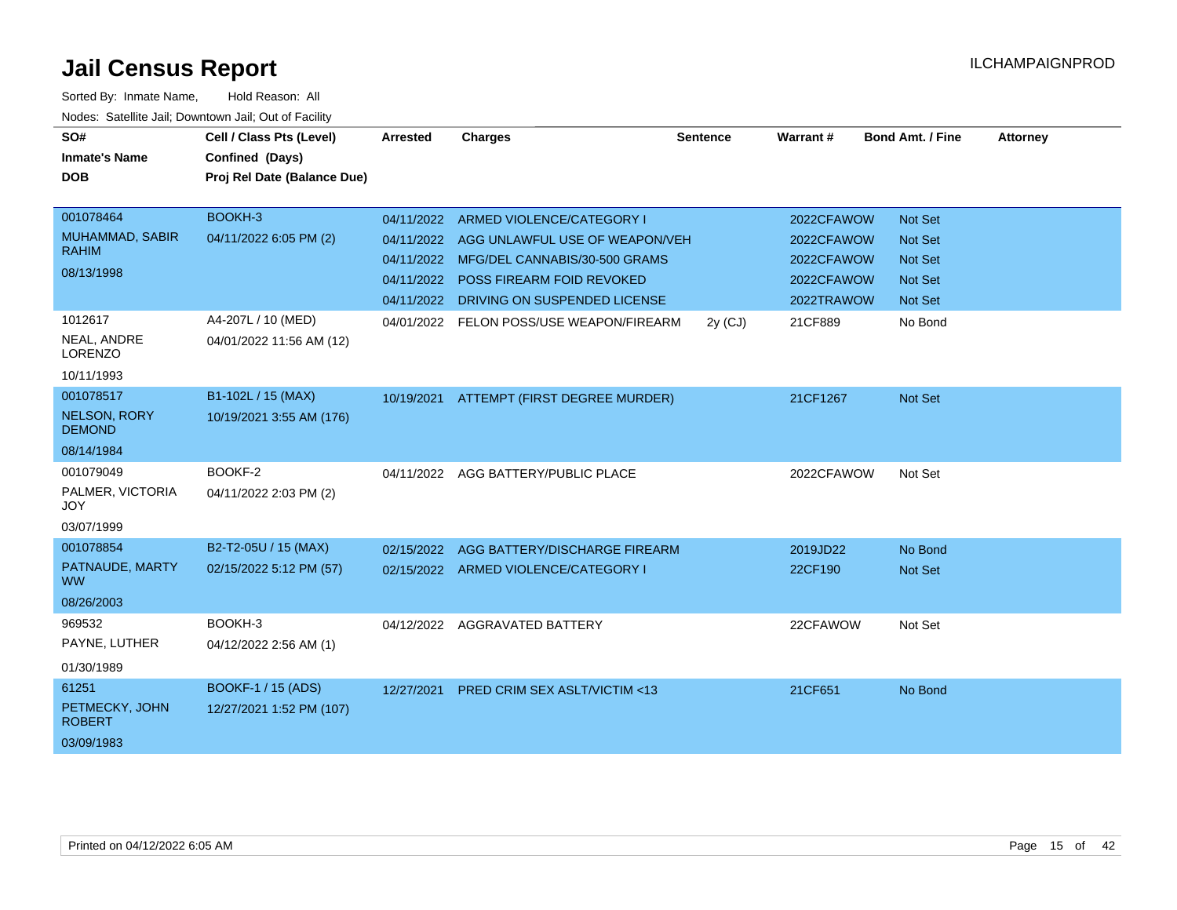| SO#                                  | Cell / Class Pts (Level)    | <b>Arrested</b> | <b>Charges</b>                            | <b>Sentence</b> | Warrant#   | <b>Bond Amt. / Fine</b> | <b>Attorney</b> |
|--------------------------------------|-----------------------------|-----------------|-------------------------------------------|-----------------|------------|-------------------------|-----------------|
| <b>Inmate's Name</b>                 | Confined (Days)             |                 |                                           |                 |            |                         |                 |
| <b>DOB</b>                           | Proj Rel Date (Balance Due) |                 |                                           |                 |            |                         |                 |
|                                      |                             |                 |                                           |                 |            |                         |                 |
| 001078464                            | BOOKH-3                     |                 | 04/11/2022 ARMED VIOLENCE/CATEGORY I      |                 | 2022CFAWOW | <b>Not Set</b>          |                 |
| MUHAMMAD, SABIR<br><b>RAHIM</b>      | 04/11/2022 6:05 PM (2)      |                 | 04/11/2022 AGG UNLAWFUL USE OF WEAPON/VEH |                 | 2022CFAWOW | <b>Not Set</b>          |                 |
| 08/13/1998                           |                             |                 | 04/11/2022 MFG/DEL CANNABIS/30-500 GRAMS  |                 | 2022CFAWOW | <b>Not Set</b>          |                 |
|                                      |                             |                 | 04/11/2022 POSS FIREARM FOID REVOKED      |                 | 2022CFAWOW | Not Set                 |                 |
|                                      |                             | 04/11/2022      | DRIVING ON SUSPENDED LICENSE              |                 | 2022TRAWOW | <b>Not Set</b>          |                 |
| 1012617                              | A4-207L / 10 (MED)          |                 | 04/01/2022 FELON POSS/USE WEAPON/FIREARM  | $2y$ (CJ)       | 21CF889    | No Bond                 |                 |
| NEAL, ANDRE<br>LORENZO               | 04/01/2022 11:56 AM (12)    |                 |                                           |                 |            |                         |                 |
| 10/11/1993                           |                             |                 |                                           |                 |            |                         |                 |
| 001078517                            | B1-102L / 15 (MAX)          |                 | 10/19/2021 ATTEMPT (FIRST DEGREE MURDER)  |                 | 21CF1267   | Not Set                 |                 |
| <b>NELSON, RORY</b><br><b>DEMOND</b> | 10/19/2021 3:55 AM (176)    |                 |                                           |                 |            |                         |                 |
| 08/14/1984                           |                             |                 |                                           |                 |            |                         |                 |
| 001079049                            | BOOKF-2                     |                 | 04/11/2022 AGG BATTERY/PUBLIC PLACE       |                 | 2022CFAWOW | Not Set                 |                 |
| PALMER, VICTORIA<br><b>JOY</b>       | 04/11/2022 2:03 PM (2)      |                 |                                           |                 |            |                         |                 |
| 03/07/1999                           |                             |                 |                                           |                 |            |                         |                 |
| 001078854                            | B2-T2-05U / 15 (MAX)        | 02/15/2022      | AGG BATTERY/DISCHARGE FIREARM             |                 | 2019JD22   | No Bond                 |                 |
| PATNAUDE, MARTY<br><b>WW</b>         | 02/15/2022 5:12 PM (57)     |                 | 02/15/2022 ARMED VIOLENCE/CATEGORY I      |                 | 22CF190    | Not Set                 |                 |
| 08/26/2003                           |                             |                 |                                           |                 |            |                         |                 |
| 969532                               | BOOKH-3                     |                 | 04/12/2022 AGGRAVATED BATTERY             |                 | 22CFAWOW   | Not Set                 |                 |
| PAYNE, LUTHER                        | 04/12/2022 2:56 AM (1)      |                 |                                           |                 |            |                         |                 |
| 01/30/1989                           |                             |                 |                                           |                 |            |                         |                 |
| 61251                                | <b>BOOKF-1 / 15 (ADS)</b>   | 12/27/2021      | <b>PRED CRIM SEX ASLT/VICTIM &lt;13</b>   |                 | 21CF651    | No Bond                 |                 |
| PETMECKY, JOHN<br><b>ROBERT</b>      | 12/27/2021 1:52 PM (107)    |                 |                                           |                 |            |                         |                 |
| 03/09/1983                           |                             |                 |                                           |                 |            |                         |                 |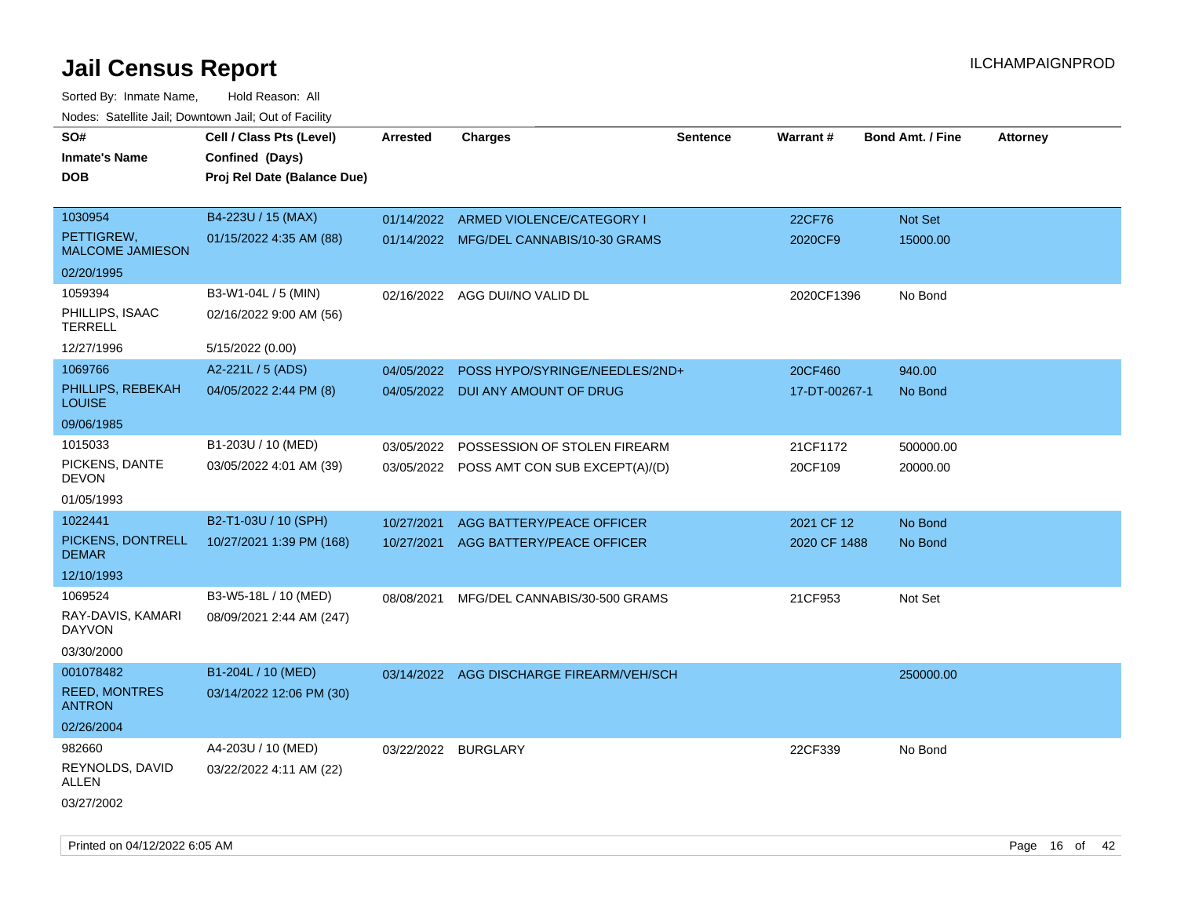| SO#<br><b>Inmate's Name</b><br><b>DOB</b> | Cell / Class Pts (Level)<br>Confined (Days)<br>Proj Rel Date (Balance Due) | <b>Arrested</b> | <b>Charges</b>                            | <b>Sentence</b> | <b>Warrant#</b> | <b>Bond Amt. / Fine</b> | <b>Attorney</b> |
|-------------------------------------------|----------------------------------------------------------------------------|-----------------|-------------------------------------------|-----------------|-----------------|-------------------------|-----------------|
| 1030954                                   | B4-223U / 15 (MAX)                                                         |                 | 01/14/2022 ARMED VIOLENCE/CATEGORY I      |                 | 22CF76          | Not Set                 |                 |
| PETTIGREW,<br><b>MALCOME JAMIESON</b>     | 01/15/2022 4:35 AM (88)                                                    |                 | 01/14/2022 MFG/DEL CANNABIS/10-30 GRAMS   |                 | 2020CF9         | 15000.00                |                 |
| 02/20/1995                                |                                                                            |                 |                                           |                 |                 |                         |                 |
| 1059394                                   | B3-W1-04L / 5 (MIN)                                                        | 02/16/2022      | AGG DUI/NO VALID DL                       |                 | 2020CF1396      | No Bond                 |                 |
| PHILLIPS, ISAAC<br><b>TERRELL</b>         | 02/16/2022 9:00 AM (56)                                                    |                 |                                           |                 |                 |                         |                 |
| 12/27/1996                                | 5/15/2022 (0.00)                                                           |                 |                                           |                 |                 |                         |                 |
| 1069766                                   | A2-221L / 5 (ADS)                                                          | 04/05/2022      | POSS HYPO/SYRINGE/NEEDLES/2ND+            |                 | 20CF460         | 940.00                  |                 |
| PHILLIPS, REBEKAH<br><b>LOUISE</b>        | 04/05/2022 2:44 PM (8)                                                     |                 | 04/05/2022 DUI ANY AMOUNT OF DRUG         |                 | 17-DT-00267-1   | No Bond                 |                 |
| 09/06/1985                                |                                                                            |                 |                                           |                 |                 |                         |                 |
| 1015033                                   | B1-203U / 10 (MED)                                                         | 03/05/2022      | POSSESSION OF STOLEN FIREARM              |                 | 21CF1172        | 500000.00               |                 |
| PICKENS, DANTE<br><b>DEVON</b>            | 03/05/2022 4:01 AM (39)                                                    |                 | 03/05/2022 POSS AMT CON SUB EXCEPT(A)/(D) |                 | 20CF109         | 20000.00                |                 |
| 01/05/1993                                |                                                                            |                 |                                           |                 |                 |                         |                 |
| 1022441                                   | B2-T1-03U / 10 (SPH)                                                       | 10/27/2021      | AGG BATTERY/PEACE OFFICER                 |                 | 2021 CF 12      | No Bond                 |                 |
| PICKENS, DONTRELL<br><b>DEMAR</b>         | 10/27/2021 1:39 PM (168)                                                   |                 | 10/27/2021 AGG BATTERY/PEACE OFFICER      |                 | 2020 CF 1488    | No Bond                 |                 |
| 12/10/1993                                |                                                                            |                 |                                           |                 |                 |                         |                 |
| 1069524                                   | B3-W5-18L / 10 (MED)                                                       | 08/08/2021      | MFG/DEL CANNABIS/30-500 GRAMS             |                 | 21CF953         | Not Set                 |                 |
| RAY-DAVIS, KAMARI<br><b>DAYVON</b>        | 08/09/2021 2:44 AM (247)                                                   |                 |                                           |                 |                 |                         |                 |
| 03/30/2000                                |                                                                            |                 |                                           |                 |                 |                         |                 |
| 001078482                                 | B1-204L / 10 (MED)                                                         |                 | 03/14/2022 AGG DISCHARGE FIREARM/VEH/SCH  |                 |                 | 250000.00               |                 |
| <b>REED, MONTRES</b><br><b>ANTRON</b>     | 03/14/2022 12:06 PM (30)                                                   |                 |                                           |                 |                 |                         |                 |
| 02/26/2004                                |                                                                            |                 |                                           |                 |                 |                         |                 |
| 982660                                    | A4-203U / 10 (MED)                                                         |                 | 03/22/2022 BURGLARY                       |                 | 22CF339         | No Bond                 |                 |
| REYNOLDS, DAVID<br><b>ALLEN</b>           | 03/22/2022 4:11 AM (22)                                                    |                 |                                           |                 |                 |                         |                 |
| 03/27/2002                                |                                                                            |                 |                                           |                 |                 |                         |                 |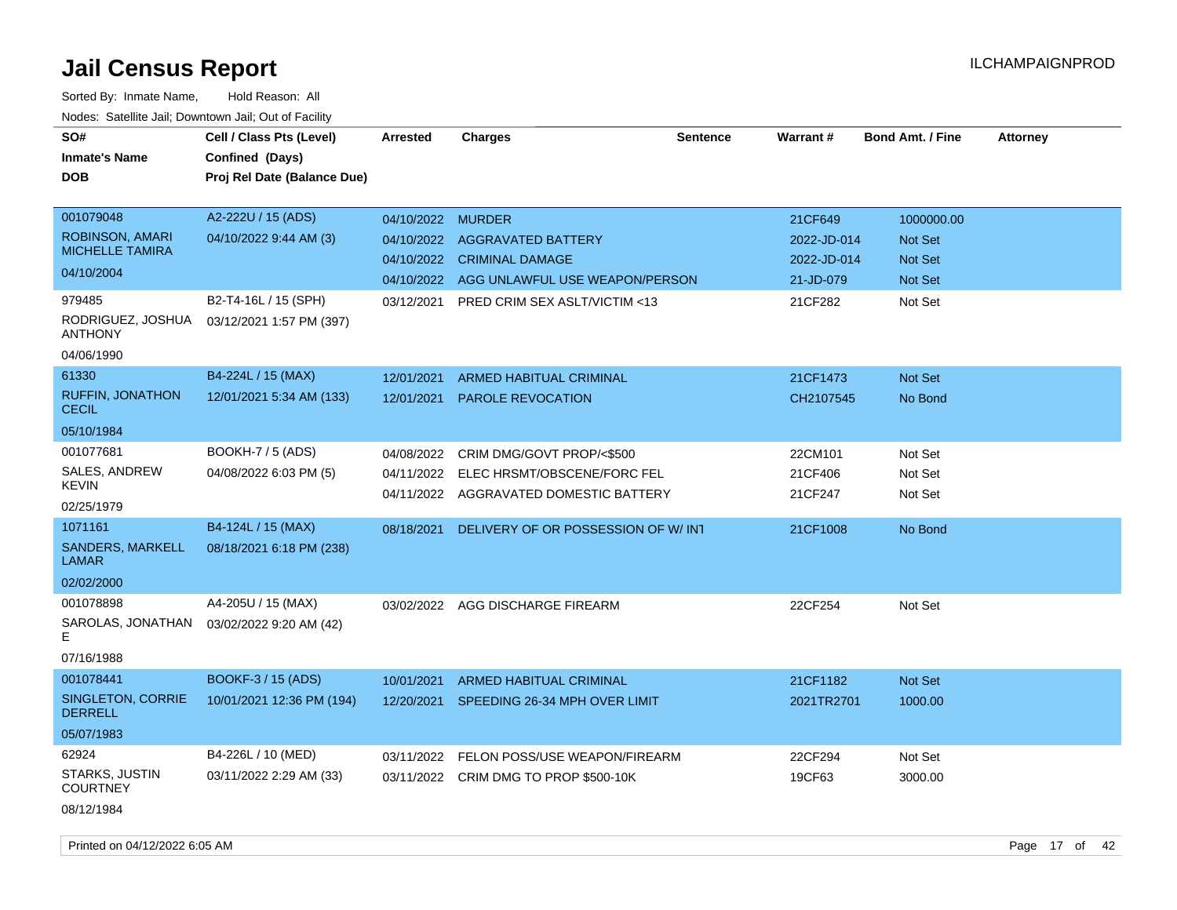| SO#<br><b>Inmate's Name</b><br><b>DOB</b>                            | Cell / Class Pts (Level)<br>Confined (Days)<br>Proj Rel Date (Balance Due) | <b>Arrested</b>                               | Charges                                                                                            | <b>Sentence</b> | <b>Warrant#</b>                                    | <b>Bond Amt. / Fine</b>                                   | <b>Attorney</b> |
|----------------------------------------------------------------------|----------------------------------------------------------------------------|-----------------------------------------------|----------------------------------------------------------------------------------------------------|-----------------|----------------------------------------------------|-----------------------------------------------------------|-----------------|
| 001079048<br>ROBINSON, AMARI<br><b>MICHELLE TAMIRA</b><br>04/10/2004 | A2-222U / 15 (ADS)<br>04/10/2022 9:44 AM (3)                               | 04/10/2022 MURDER<br>04/10/2022<br>04/10/2022 | <b>AGGRAVATED BATTERY</b><br><b>CRIMINAL DAMAGE</b><br>04/10/2022 AGG UNLAWFUL USE WEAPON/PERSON   |                 | 21CF649<br>2022-JD-014<br>2022-JD-014<br>21-JD-079 | 1000000.00<br><b>Not Set</b><br><b>Not Set</b><br>Not Set |                 |
| 979485<br>RODRIGUEZ, JOSHUA<br><b>ANTHONY</b><br>04/06/1990          | B2-T4-16L / 15 (SPH)<br>03/12/2021 1:57 PM (397)                           | 03/12/2021                                    | <b>PRED CRIM SEX ASLT/VICTIM &lt;13</b>                                                            |                 | 21CF282                                            | Not Set                                                   |                 |
| 61330<br><b>RUFFIN, JONATHON</b><br><b>CECIL</b><br>05/10/1984       | B4-224L / 15 (MAX)<br>12/01/2021 5:34 AM (133)                             | 12/01/2021<br>12/01/2021                      | <b>ARMED HABITUAL CRIMINAL</b><br><b>PAROLE REVOCATION</b>                                         |                 | 21CF1473<br>CH2107545                              | <b>Not Set</b><br>No Bond                                 |                 |
| 001077681<br>SALES, ANDREW<br>KEVIN<br>02/25/1979                    | <b>BOOKH-7 / 5 (ADS)</b><br>04/08/2022 6:03 PM (5)                         | 04/08/2022<br>04/11/2022                      | CRIM DMG/GOVT PROP/<\$500<br>ELEC HRSMT/OBSCENE/FORC FEL<br>04/11/2022 AGGRAVATED DOMESTIC BATTERY |                 | 22CM101<br>21CF406<br>21CF247                      | Not Set<br>Not Set<br>Not Set                             |                 |
| 1071161<br>SANDERS, MARKELL<br><b>LAMAR</b><br>02/02/2000            | B4-124L / 15 (MAX)<br>08/18/2021 6:18 PM (238)                             | 08/18/2021                                    | DELIVERY OF OR POSSESSION OF W/INT                                                                 |                 | 21CF1008                                           | No Bond                                                   |                 |
| 001078898<br>SAROLAS, JONATHAN<br>Е<br>07/16/1988                    | A4-205U / 15 (MAX)<br>03/02/2022 9:20 AM (42)                              |                                               | 03/02/2022 AGG DISCHARGE FIREARM                                                                   |                 | 22CF254                                            | Not Set                                                   |                 |
| 001078441<br>SINGLETON, CORRIE<br><b>DERRELL</b><br>05/07/1983       | BOOKF-3 / 15 (ADS)<br>10/01/2021 12:36 PM (194)                            | 10/01/2021<br>12/20/2021                      | <b>ARMED HABITUAL CRIMINAL</b><br>SPEEDING 26-34 MPH OVER LIMIT                                    |                 | 21CF1182<br>2021TR2701                             | <b>Not Set</b><br>1000.00                                 |                 |
| 62924<br>STARKS, JUSTIN<br><b>COURTNEY</b><br>08/12/1984             | B4-226L / 10 (MED)<br>03/11/2022 2:29 AM (33)                              | 03/11/2022                                    | FELON POSS/USE WEAPON/FIREARM<br>03/11/2022 CRIM DMG TO PROP \$500-10K                             |                 | 22CF294<br>19CF63                                  | Not Set<br>3000.00                                        |                 |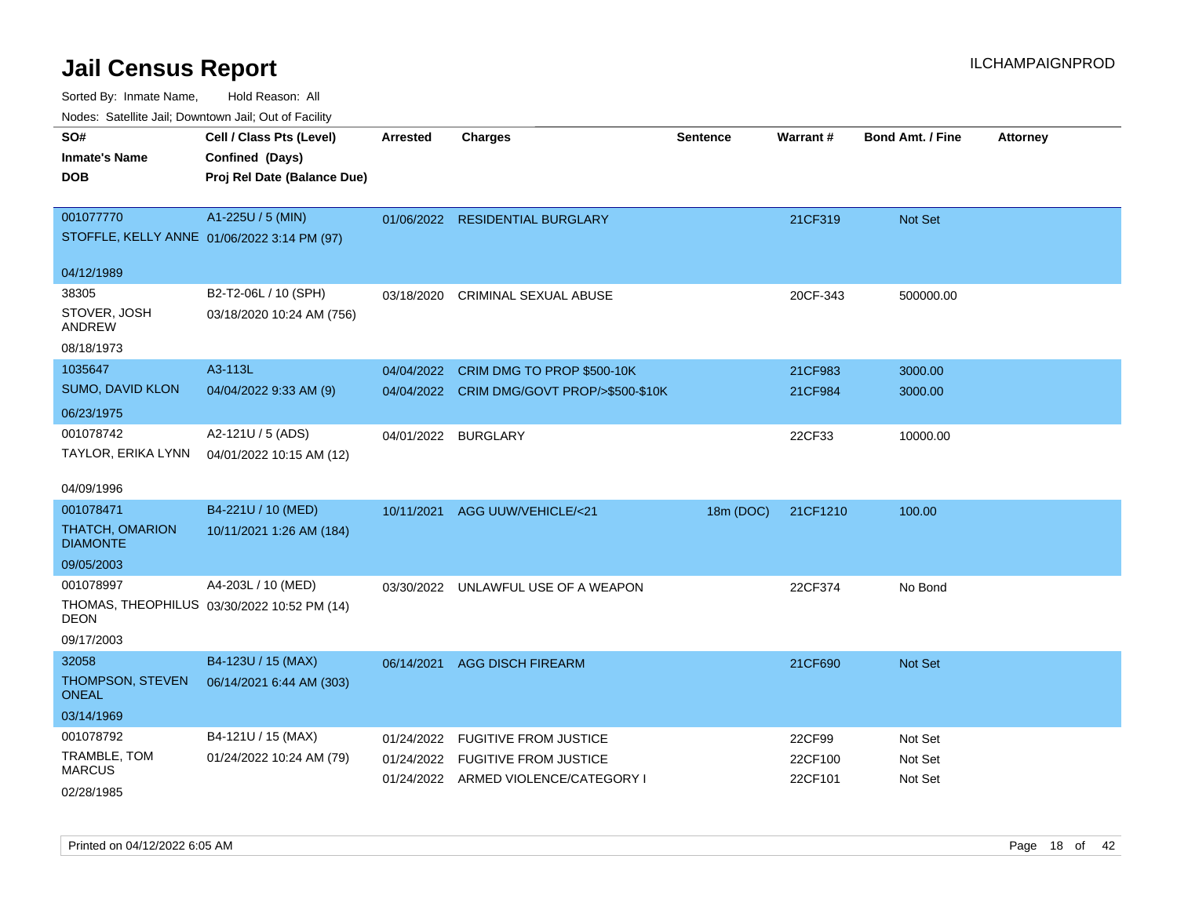| <b>NOULD:</b> Catoline bail, Downtown bail, Out of I dollty |                                             |            |                                            |                 |          |                         |                 |
|-------------------------------------------------------------|---------------------------------------------|------------|--------------------------------------------|-----------------|----------|-------------------------|-----------------|
| SO#                                                         | Cell / Class Pts (Level)                    | Arrested   | <b>Charges</b>                             | <b>Sentence</b> | Warrant# | <b>Bond Amt. / Fine</b> | <b>Attorney</b> |
| <b>Inmate's Name</b>                                        | Confined (Days)                             |            |                                            |                 |          |                         |                 |
| <b>DOB</b>                                                  | Proj Rel Date (Balance Due)                 |            |                                            |                 |          |                         |                 |
|                                                             |                                             |            |                                            |                 |          |                         |                 |
| 001077770                                                   | A1-225U / 5 (MIN)                           |            | 01/06/2022 RESIDENTIAL BURGLARY            |                 | 21CF319  | <b>Not Set</b>          |                 |
| STOFFLE, KELLY ANNE 01/06/2022 3:14 PM (97)                 |                                             |            |                                            |                 |          |                         |                 |
|                                                             |                                             |            |                                            |                 |          |                         |                 |
| 04/12/1989                                                  |                                             |            |                                            |                 |          |                         |                 |
| 38305                                                       | B2-T2-06L / 10 (SPH)                        | 03/18/2020 | <b>CRIMINAL SEXUAL ABUSE</b>               |                 | 20CF-343 | 500000.00               |                 |
| STOVER, JOSH                                                | 03/18/2020 10:24 AM (756)                   |            |                                            |                 |          |                         |                 |
| ANDREW                                                      |                                             |            |                                            |                 |          |                         |                 |
| 08/18/1973                                                  |                                             |            |                                            |                 |          |                         |                 |
| 1035647                                                     | A3-113L                                     | 04/04/2022 | CRIM DMG TO PROP \$500-10K                 |                 | 21CF983  | 3000.00                 |                 |
| SUMO, DAVID KLON                                            | 04/04/2022 9:33 AM (9)                      |            | 04/04/2022 CRIM DMG/GOVT PROP/>\$500-\$10K |                 | 21CF984  | 3000.00                 |                 |
| 06/23/1975                                                  |                                             |            |                                            |                 |          |                         |                 |
| 001078742                                                   | A2-121U / 5 (ADS)                           | 04/01/2022 | BURGLARY                                   |                 | 22CF33   | 10000.00                |                 |
| TAYLOR, ERIKA LYNN                                          | 04/01/2022 10:15 AM (12)                    |            |                                            |                 |          |                         |                 |
|                                                             |                                             |            |                                            |                 |          |                         |                 |
| 04/09/1996                                                  |                                             |            |                                            |                 |          |                         |                 |
| 001078471                                                   | B4-221U / 10 (MED)                          | 10/11/2021 | AGG UUW/VEHICLE/<21                        | 18m (DOC)       | 21CF1210 | 100.00                  |                 |
| <b>THATCH, OMARION</b>                                      | 10/11/2021 1:26 AM (184)                    |            |                                            |                 |          |                         |                 |
| <b>DIAMONTE</b>                                             |                                             |            |                                            |                 |          |                         |                 |
| 09/05/2003                                                  |                                             |            |                                            |                 |          |                         |                 |
| 001078997                                                   | A4-203L / 10 (MED)                          | 03/30/2022 | UNLAWFUL USE OF A WEAPON                   |                 | 22CF374  | No Bond                 |                 |
|                                                             | THOMAS, THEOPHILUS 03/30/2022 10:52 PM (14) |            |                                            |                 |          |                         |                 |
| <b>DEON</b>                                                 |                                             |            |                                            |                 |          |                         |                 |
| 09/17/2003                                                  |                                             |            |                                            |                 |          |                         |                 |
| 32058                                                       | B4-123U / 15 (MAX)                          | 06/14/2021 | <b>AGG DISCH FIREARM</b>                   |                 | 21CF690  | <b>Not Set</b>          |                 |
| THOMPSON, STEVEN                                            | 06/14/2021 6:44 AM (303)                    |            |                                            |                 |          |                         |                 |
| <b>ONEAL</b>                                                |                                             |            |                                            |                 |          |                         |                 |
| 03/14/1969                                                  |                                             |            |                                            |                 |          |                         |                 |
| 001078792                                                   | B4-121U / 15 (MAX)                          | 01/24/2022 | <b>FUGITIVE FROM JUSTICE</b>               |                 | 22CF99   | Not Set                 |                 |
| TRAMBLE, TOM                                                | 01/24/2022 10:24 AM (79)                    | 01/24/2022 | <b>FUGITIVE FROM JUSTICE</b>               |                 | 22CF100  | Not Set                 |                 |
| <b>MARCUS</b>                                               |                                             |            | 01/24/2022 ARMED VIOLENCE/CATEGORY I       |                 | 22CF101  | Not Set                 |                 |
| 02/28/1985                                                  |                                             |            |                                            |                 |          |                         |                 |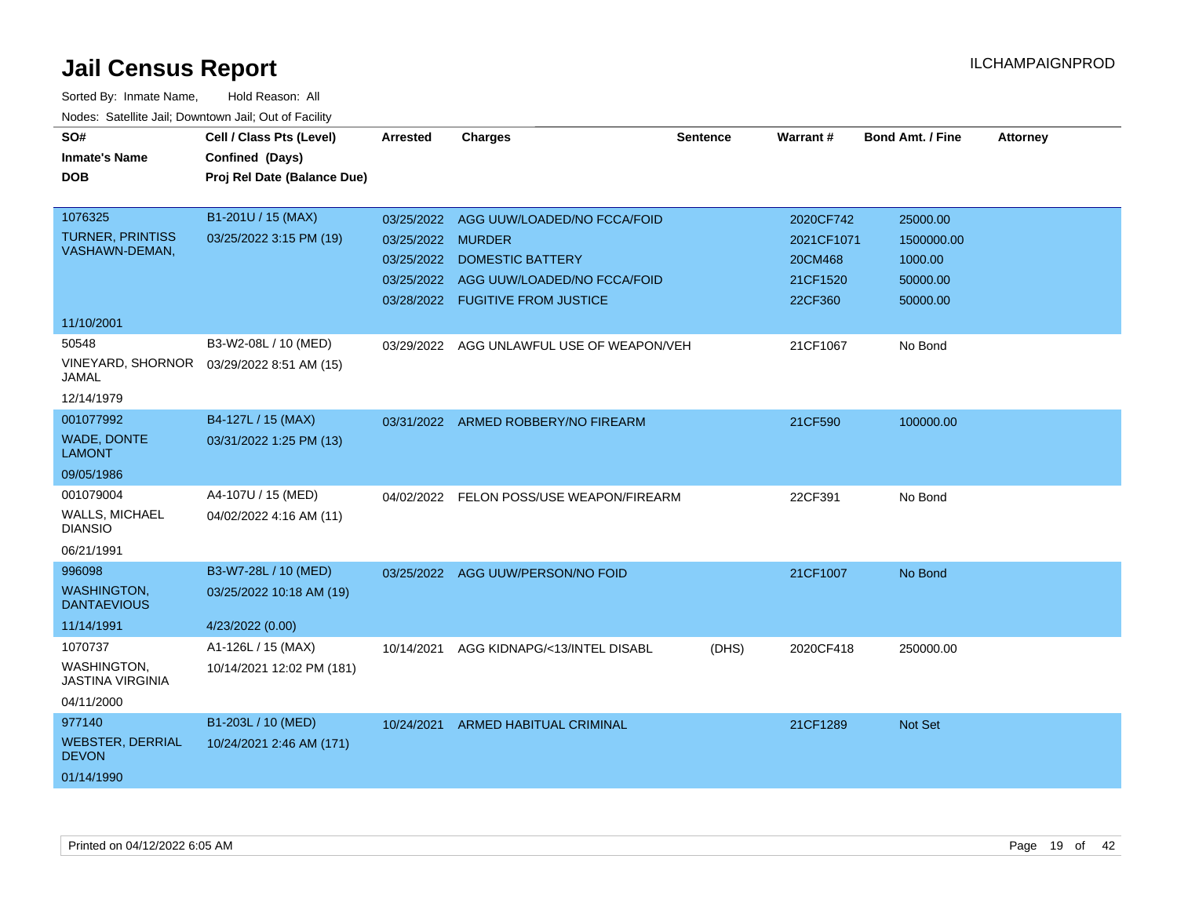| roaco. Oatomto dan, Downtown dan, Oat or Fability<br>SO# | Cell / Class Pts (Level)    | <b>Arrested</b>   | <b>Charges</b>                           | <b>Sentence</b> | Warrant#   | <b>Bond Amt. / Fine</b> | <b>Attorney</b> |
|----------------------------------------------------------|-----------------------------|-------------------|------------------------------------------|-----------------|------------|-------------------------|-----------------|
| <b>Inmate's Name</b>                                     |                             |                   |                                          |                 |            |                         |                 |
|                                                          | Confined (Days)             |                   |                                          |                 |            |                         |                 |
| <b>DOB</b>                                               | Proj Rel Date (Balance Due) |                   |                                          |                 |            |                         |                 |
| 1076325                                                  | B1-201U / 15 (MAX)          |                   | 03/25/2022 AGG UUW/LOADED/NO FCCA/FOID   |                 | 2020CF742  | 25000.00                |                 |
| <b>TURNER, PRINTISS</b>                                  | 03/25/2022 3:15 PM (19)     | 03/25/2022 MURDER |                                          |                 | 2021CF1071 | 1500000.00              |                 |
| VASHAWN-DEMAN,                                           |                             |                   | 03/25/2022 DOMESTIC BATTERY              |                 | 20CM468    | 1000.00                 |                 |
|                                                          |                             |                   | 03/25/2022 AGG UUW/LOADED/NO FCCA/FOID   |                 | 21CF1520   | 50000.00                |                 |
|                                                          |                             |                   | 03/28/2022 FUGITIVE FROM JUSTICE         |                 | 22CF360    | 50000.00                |                 |
| 11/10/2001                                               |                             |                   |                                          |                 |            |                         |                 |
| 50548                                                    | B3-W2-08L / 10 (MED)        | 03/29/2022        | AGG UNLAWFUL USE OF WEAPON/VEH           |                 | 21CF1067   | No Bond                 |                 |
| VINEYARD, SHORNOR<br>JAMAL                               | 03/29/2022 8:51 AM (15)     |                   |                                          |                 |            |                         |                 |
| 12/14/1979                                               |                             |                   |                                          |                 |            |                         |                 |
| 001077992                                                | B4-127L / 15 (MAX)          |                   | 03/31/2022 ARMED ROBBERY/NO FIREARM      |                 | 21CF590    | 100000.00               |                 |
| <b>WADE, DONTE</b><br><b>LAMONT</b>                      | 03/31/2022 1:25 PM (13)     |                   |                                          |                 |            |                         |                 |
| 09/05/1986                                               |                             |                   |                                          |                 |            |                         |                 |
| 001079004                                                | A4-107U / 15 (MED)          |                   | 04/02/2022 FELON POSS/USE WEAPON/FIREARM |                 | 22CF391    | No Bond                 |                 |
| WALLS, MICHAEL<br><b>DIANSIO</b>                         | 04/02/2022 4:16 AM (11)     |                   |                                          |                 |            |                         |                 |
| 06/21/1991                                               |                             |                   |                                          |                 |            |                         |                 |
| 996098                                                   | B3-W7-28L / 10 (MED)        |                   | 03/25/2022 AGG UUW/PERSON/NO FOID        |                 | 21CF1007   | No Bond                 |                 |
| <b>WASHINGTON,</b><br><b>DANTAEVIOUS</b>                 | 03/25/2022 10:18 AM (19)    |                   |                                          |                 |            |                         |                 |
| 11/14/1991                                               | 4/23/2022 (0.00)            |                   |                                          |                 |            |                         |                 |
| 1070737                                                  | A1-126L / 15 (MAX)          | 10/14/2021        | AGG KIDNAPG/<13/INTEL DISABL             | (DHS)           | 2020CF418  | 250000.00               |                 |
| WASHINGTON,<br><b>JASTINA VIRGINIA</b>                   | 10/14/2021 12:02 PM (181)   |                   |                                          |                 |            |                         |                 |
| 04/11/2000                                               |                             |                   |                                          |                 |            |                         |                 |
| 977140                                                   | B1-203L / 10 (MED)          | 10/24/2021        | <b>ARMED HABITUAL CRIMINAL</b>           |                 | 21CF1289   | Not Set                 |                 |
| <b>WEBSTER, DERRIAL</b><br><b>DEVON</b>                  | 10/24/2021 2:46 AM (171)    |                   |                                          |                 |            |                         |                 |
| 01/14/1990                                               |                             |                   |                                          |                 |            |                         |                 |
|                                                          |                             |                   |                                          |                 |            |                         |                 |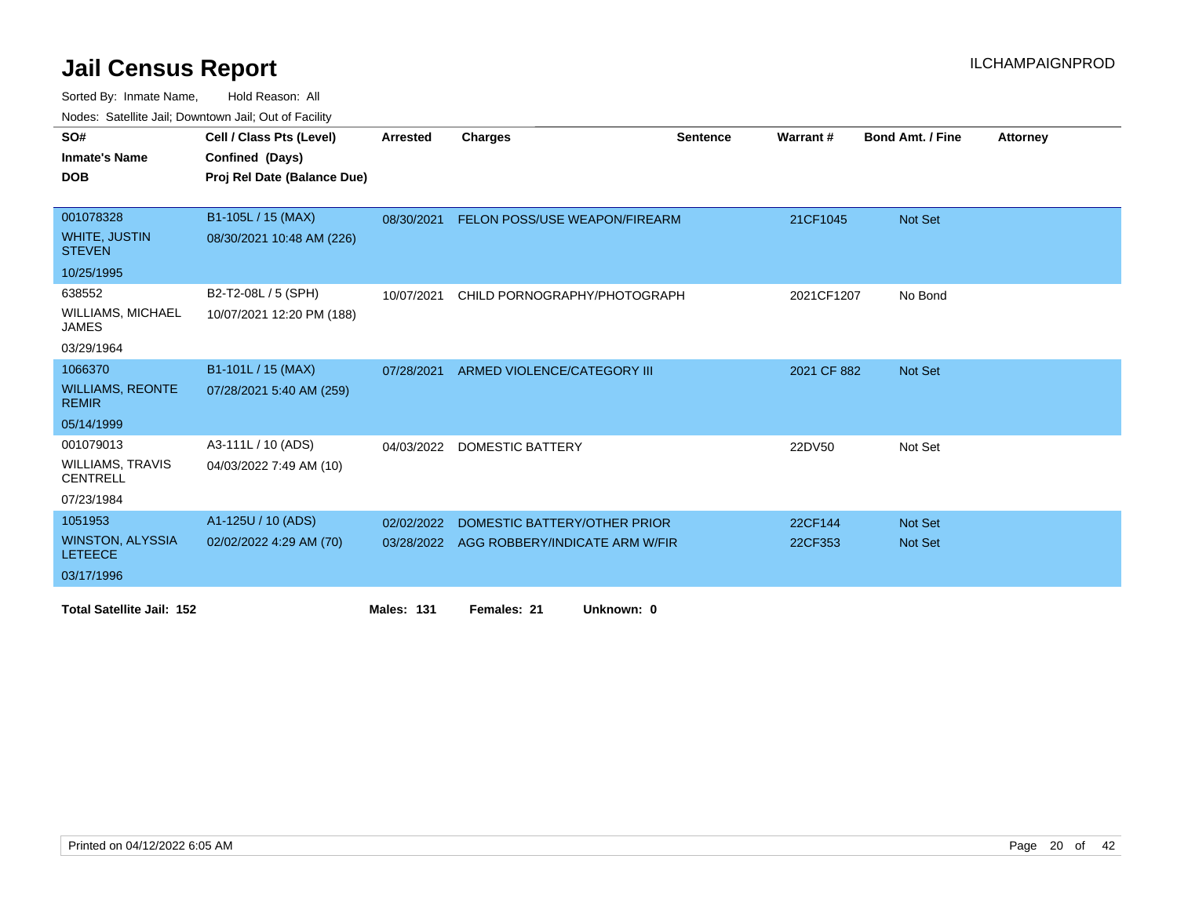| SO#                                        | Cell / Class Pts (Level)    | Arrested          | <b>Charges</b>                       | <b>Sentence</b> | Warrant#    | <b>Bond Amt. / Fine</b> | <b>Attorney</b> |
|--------------------------------------------|-----------------------------|-------------------|--------------------------------------|-----------------|-------------|-------------------------|-----------------|
| <b>Inmate's Name</b>                       | Confined (Days)             |                   |                                      |                 |             |                         |                 |
| <b>DOB</b>                                 | Proj Rel Date (Balance Due) |                   |                                      |                 |             |                         |                 |
|                                            |                             |                   |                                      |                 |             |                         |                 |
| 001078328                                  | B1-105L / 15 (MAX)          | 08/30/2021        | <b>FELON POSS/USE WEAPON/FIREARM</b> |                 | 21CF1045    | Not Set                 |                 |
| <b>WHITE, JUSTIN</b><br><b>STEVEN</b>      | 08/30/2021 10:48 AM (226)   |                   |                                      |                 |             |                         |                 |
| 10/25/1995                                 |                             |                   |                                      |                 |             |                         |                 |
| 638552                                     | B2-T2-08L / 5 (SPH)         | 10/07/2021        | CHILD PORNOGRAPHY/PHOTOGRAPH         |                 | 2021CF1207  | No Bond                 |                 |
| <b>WILLIAMS, MICHAEL</b><br>JAMES          | 10/07/2021 12:20 PM (188)   |                   |                                      |                 |             |                         |                 |
| 03/29/1964                                 |                             |                   |                                      |                 |             |                         |                 |
| 1066370                                    | B1-101L / 15 (MAX)          | 07/28/2021        | ARMED VIOLENCE/CATEGORY III          |                 | 2021 CF 882 | Not Set                 |                 |
| <b>WILLIAMS, REONTE</b><br><b>REMIR</b>    | 07/28/2021 5:40 AM (259)    |                   |                                      |                 |             |                         |                 |
| 05/14/1999                                 |                             |                   |                                      |                 |             |                         |                 |
| 001079013                                  | A3-111L / 10 (ADS)          |                   | 04/03/2022 DOMESTIC BATTERY          |                 | 22DV50      | Not Set                 |                 |
| <b>WILLIAMS, TRAVIS</b><br><b>CENTRELL</b> | 04/03/2022 7:49 AM (10)     |                   |                                      |                 |             |                         |                 |
| 07/23/1984                                 |                             |                   |                                      |                 |             |                         |                 |
| 1051953                                    | A1-125U / 10 (ADS)          | 02/02/2022        | DOMESTIC BATTERY/OTHER PRIOR         |                 | 22CF144     | Not Set                 |                 |
| <b>WINSTON, ALYSSIA</b><br><b>LETEECE</b>  | 02/02/2022 4:29 AM (70)     | 03/28/2022        | AGG ROBBERY/INDICATE ARM W/FIR       |                 | 22CF353     | Not Set                 |                 |
| 03/17/1996                                 |                             |                   |                                      |                 |             |                         |                 |
| <b>Total Satellite Jail: 152</b>           |                             | <b>Males: 131</b> | Females: 21<br>Unknown: 0            |                 |             |                         |                 |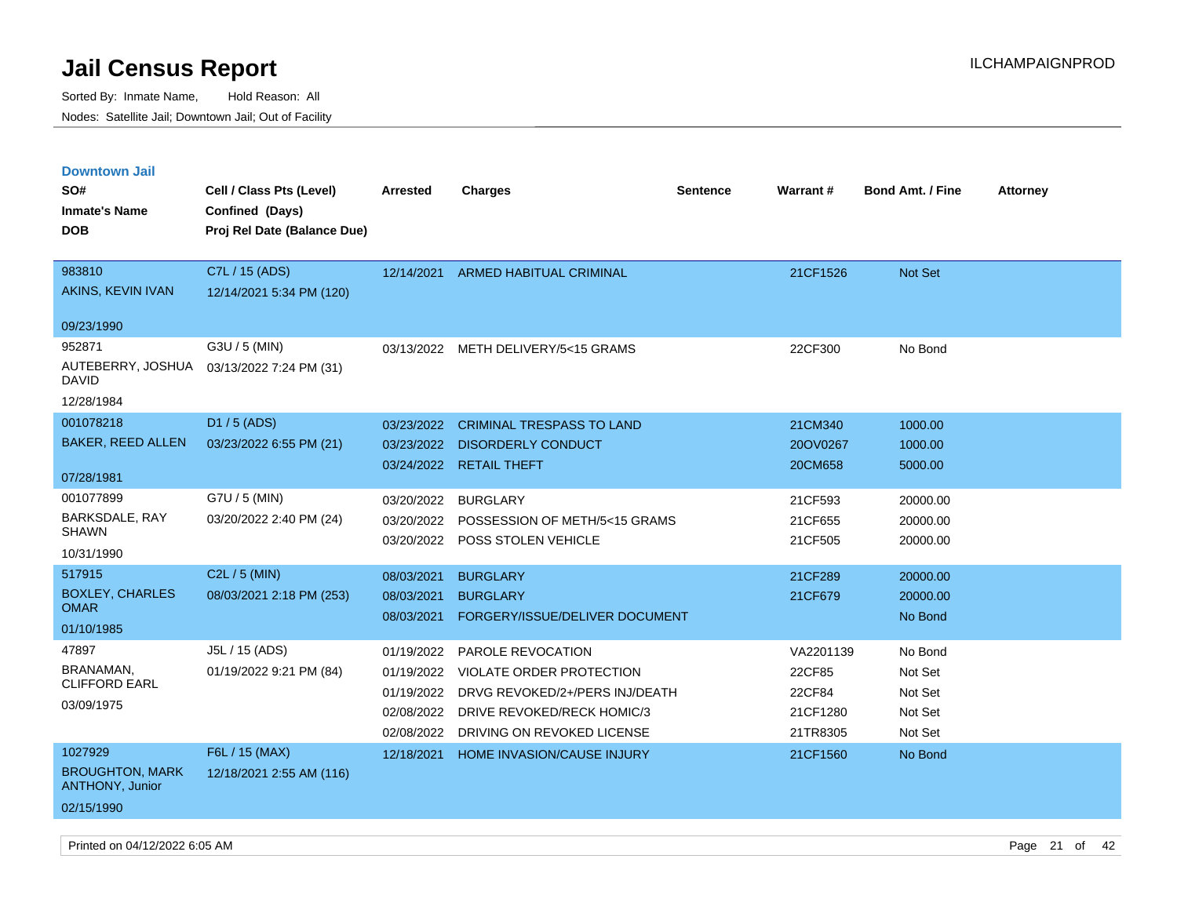| <b>Downtown Jail</b>                             |                             |                 |                                     |                 |                 |                         |                 |
|--------------------------------------------------|-----------------------------|-----------------|-------------------------------------|-----------------|-----------------|-------------------------|-----------------|
| SO#                                              | Cell / Class Pts (Level)    | <b>Arrested</b> | <b>Charges</b>                      | <b>Sentence</b> | <b>Warrant#</b> | <b>Bond Amt. / Fine</b> | <b>Attorney</b> |
| <b>Inmate's Name</b>                             | <b>Confined (Days)</b>      |                 |                                     |                 |                 |                         |                 |
| <b>DOB</b>                                       | Proj Rel Date (Balance Due) |                 |                                     |                 |                 |                         |                 |
|                                                  |                             |                 |                                     |                 |                 |                         |                 |
| 983810                                           | C7L / 15 (ADS)              | 12/14/2021      | <b>ARMED HABITUAL CRIMINAL</b>      |                 | 21CF1526        | <b>Not Set</b>          |                 |
| AKINS, KEVIN IVAN                                | 12/14/2021 5:34 PM (120)    |                 |                                     |                 |                 |                         |                 |
| 09/23/1990                                       |                             |                 |                                     |                 |                 |                         |                 |
| 952871                                           | G3U / 5 (MIN)               |                 | 03/13/2022 METH DELIVERY/5<15 GRAMS |                 | 22CF300         | No Bond                 |                 |
| AUTEBERRY, JOSHUA<br><b>DAVID</b>                | 03/13/2022 7:24 PM (31)     |                 |                                     |                 |                 |                         |                 |
| 12/28/1984                                       |                             |                 |                                     |                 |                 |                         |                 |
| 001078218                                        | D1 / 5 (ADS)                | 03/23/2022      | <b>CRIMINAL TRESPASS TO LAND</b>    |                 | 21CM340         | 1000.00                 |                 |
| <b>BAKER, REED ALLEN</b>                         | 03/23/2022 6:55 PM (21)     | 03/23/2022      | <b>DISORDERLY CONDUCT</b>           |                 | 20OV0267        | 1000.00                 |                 |
|                                                  |                             | 03/24/2022      | <b>RETAIL THEFT</b>                 |                 | 20CM658         | 5000.00                 |                 |
| 07/28/1981                                       |                             |                 |                                     |                 |                 |                         |                 |
| 001077899                                        | G7U / 5 (MIN)               | 03/20/2022      | <b>BURGLARY</b>                     |                 | 21CF593         | 20000.00                |                 |
| BARKSDALE, RAY<br><b>SHAWN</b>                   | 03/20/2022 2:40 PM (24)     | 03/20/2022      | POSSESSION OF METH/5<15 GRAMS       |                 | 21CF655         | 20000.00                |                 |
| 10/31/1990                                       |                             | 03/20/2022      | POSS STOLEN VEHICLE                 |                 | 21CF505         | 20000.00                |                 |
| 517915                                           | $C2L / 5$ (MIN)             |                 |                                     |                 |                 |                         |                 |
| <b>BOXLEY, CHARLES</b>                           |                             | 08/03/2021      | <b>BURGLARY</b>                     |                 | 21CF289         | 20000.00                |                 |
| <b>OMAR</b>                                      | 08/03/2021 2:18 PM (253)    | 08/03/2021      | <b>BURGLARY</b>                     |                 | 21CF679         | 20000.00                |                 |
| 01/10/1985                                       |                             | 08/03/2021      | FORGERY/ISSUE/DELIVER DOCUMENT      |                 |                 | No Bond                 |                 |
| 47897                                            | J5L / 15 (ADS)              | 01/19/2022      | PAROLE REVOCATION                   |                 | VA2201139       | No Bond                 |                 |
| BRANAMAN,                                        | 01/19/2022 9:21 PM (84)     | 01/19/2022      | <b>VIOLATE ORDER PROTECTION</b>     |                 | 22CF85          | Not Set                 |                 |
| <b>CLIFFORD EARL</b>                             |                             | 01/19/2022      | DRVG REVOKED/2+/PERS INJ/DEATH      |                 | 22CF84          | Not Set                 |                 |
| 03/09/1975                                       |                             | 02/08/2022      | DRIVE REVOKED/RECK HOMIC/3          |                 | 21CF1280        | Not Set                 |                 |
|                                                  |                             | 02/08/2022      | DRIVING ON REVOKED LICENSE          |                 | 21TR8305        | Not Set                 |                 |
| 1027929                                          | F6L / 15 (MAX)              | 12/18/2021      | HOME INVASION/CAUSE INJURY          |                 | 21CF1560        | No Bond                 |                 |
| <b>BROUGHTON, MARK</b><br><b>ANTHONY, Junior</b> | 12/18/2021 2:55 AM (116)    |                 |                                     |                 |                 |                         |                 |
| 02/15/1990                                       |                             |                 |                                     |                 |                 |                         |                 |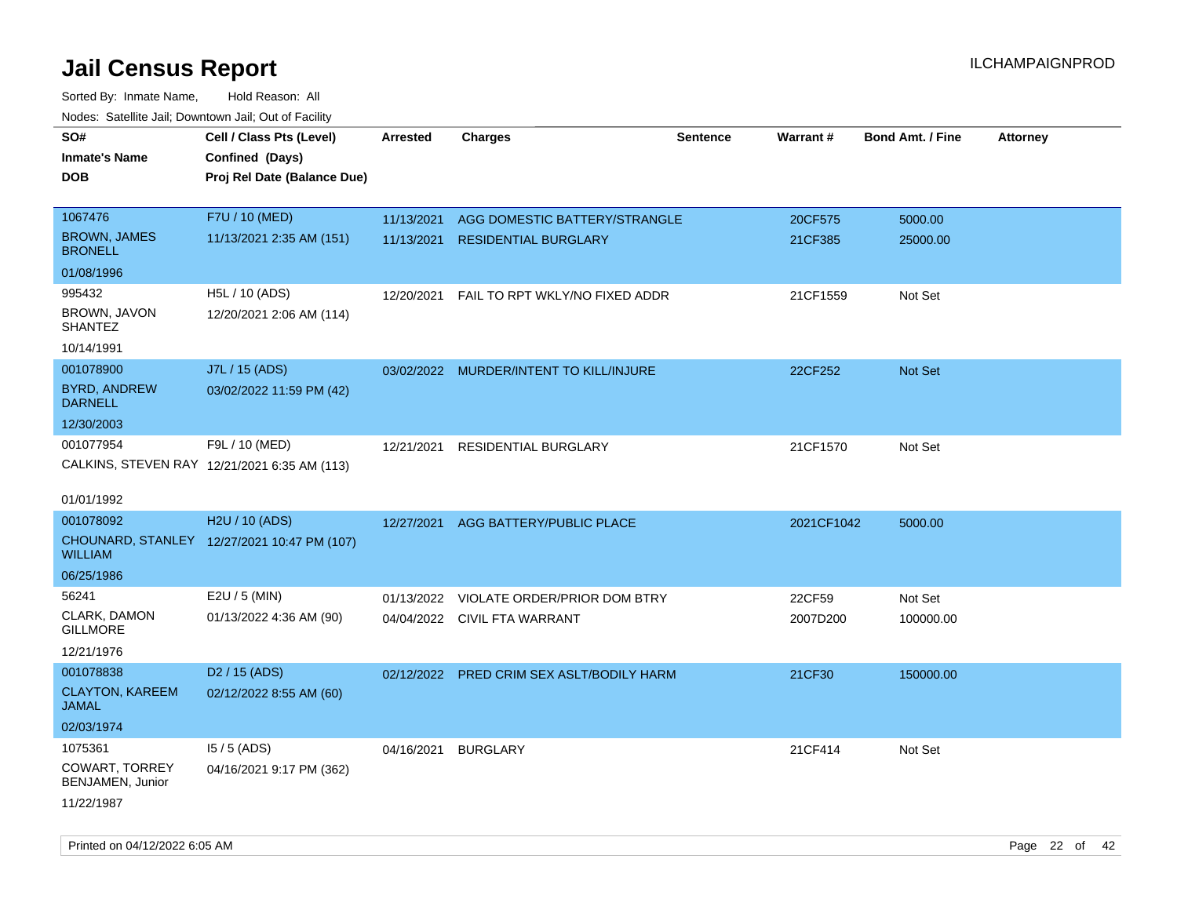| rougs. Calcing Jan, Downtown Jan, Out of Facility |                                                                            |                 |                                         |                 |            |                         |                 |
|---------------------------------------------------|----------------------------------------------------------------------------|-----------------|-----------------------------------------|-----------------|------------|-------------------------|-----------------|
| SO#<br><b>Inmate's Name</b><br><b>DOB</b>         | Cell / Class Pts (Level)<br>Confined (Days)<br>Proj Rel Date (Balance Due) | <b>Arrested</b> | <b>Charges</b>                          | <b>Sentence</b> | Warrant#   | <b>Bond Amt. / Fine</b> | <b>Attorney</b> |
|                                                   |                                                                            |                 |                                         |                 |            |                         |                 |
| 1067476                                           | F7U / 10 (MED)                                                             | 11/13/2021      | AGG DOMESTIC BATTERY/STRANGLE           |                 | 20CF575    | 5000.00                 |                 |
| <b>BROWN, JAMES</b><br><b>BRONELL</b>             | 11/13/2021 2:35 AM (151)                                                   | 11/13/2021      | <b>RESIDENTIAL BURGLARY</b>             |                 | 21CF385    | 25000.00                |                 |
| 01/08/1996                                        |                                                                            |                 |                                         |                 |            |                         |                 |
| 995432                                            | H5L / 10 (ADS)                                                             | 12/20/2021      | FAIL TO RPT WKLY/NO FIXED ADDR          |                 | 21CF1559   | Not Set                 |                 |
| BROWN, JAVON<br><b>SHANTEZ</b>                    | 12/20/2021 2:06 AM (114)                                                   |                 |                                         |                 |            |                         |                 |
| 10/14/1991                                        |                                                                            |                 |                                         |                 |            |                         |                 |
| 001078900                                         | J7L / 15 (ADS)                                                             |                 | 03/02/2022 MURDER/INTENT TO KILL/INJURE |                 | 22CF252    | Not Set                 |                 |
| <b>BYRD, ANDREW</b><br><b>DARNELL</b>             | 03/02/2022 11:59 PM (42)                                                   |                 |                                         |                 |            |                         |                 |
| 12/30/2003                                        |                                                                            |                 |                                         |                 |            |                         |                 |
| 001077954                                         | F9L / 10 (MED)                                                             | 12/21/2021      | RESIDENTIAL BURGLARY                    |                 | 21CF1570   | Not Set                 |                 |
|                                                   | CALKINS, STEVEN RAY 12/21/2021 6:35 AM (113)                               |                 |                                         |                 |            |                         |                 |
|                                                   |                                                                            |                 |                                         |                 |            |                         |                 |
| 01/01/1992                                        |                                                                            |                 |                                         |                 |            |                         |                 |
| 001078092                                         | H2U / 10 (ADS)                                                             | 12/27/2021      | AGG BATTERY/PUBLIC PLACE                |                 | 2021CF1042 | 5000.00                 |                 |
| <b>WILLIAM</b>                                    | CHOUNARD, STANLEY 12/27/2021 10:47 PM (107)                                |                 |                                         |                 |            |                         |                 |
| 06/25/1986                                        |                                                                            |                 |                                         |                 |            |                         |                 |
| 56241                                             | E2U / 5 (MIN)                                                              | 01/13/2022      | VIOLATE ORDER/PRIOR DOM BTRY            |                 | 22CF59     | Not Set                 |                 |
| CLARK, DAMON<br><b>GILLMORE</b>                   | 01/13/2022 4:36 AM (90)                                                    |                 | 04/04/2022 CIVIL FTA WARRANT            |                 | 2007D200   | 100000.00               |                 |
| 12/21/1976                                        |                                                                            |                 |                                         |                 |            |                         |                 |
| 001078838                                         | D <sub>2</sub> / 15 (ADS)                                                  | 02/12/2022      | PRED CRIM SEX ASLT/BODILY HARM          |                 | 21CF30     | 150000.00               |                 |
| <b>CLAYTON, KAREEM</b><br>JAMAL                   | 02/12/2022 8:55 AM (60)                                                    |                 |                                         |                 |            |                         |                 |
| 02/03/1974                                        |                                                                            |                 |                                         |                 |            |                         |                 |
| 1075361                                           | $15/5$ (ADS)                                                               | 04/16/2021      | <b>BURGLARY</b>                         |                 | 21CF414    | Not Set                 |                 |
| <b>COWART, TORREY</b><br>BENJAMEN, Junior         | 04/16/2021 9:17 PM (362)                                                   |                 |                                         |                 |            |                         |                 |
| 11/22/1987                                        |                                                                            |                 |                                         |                 |            |                         |                 |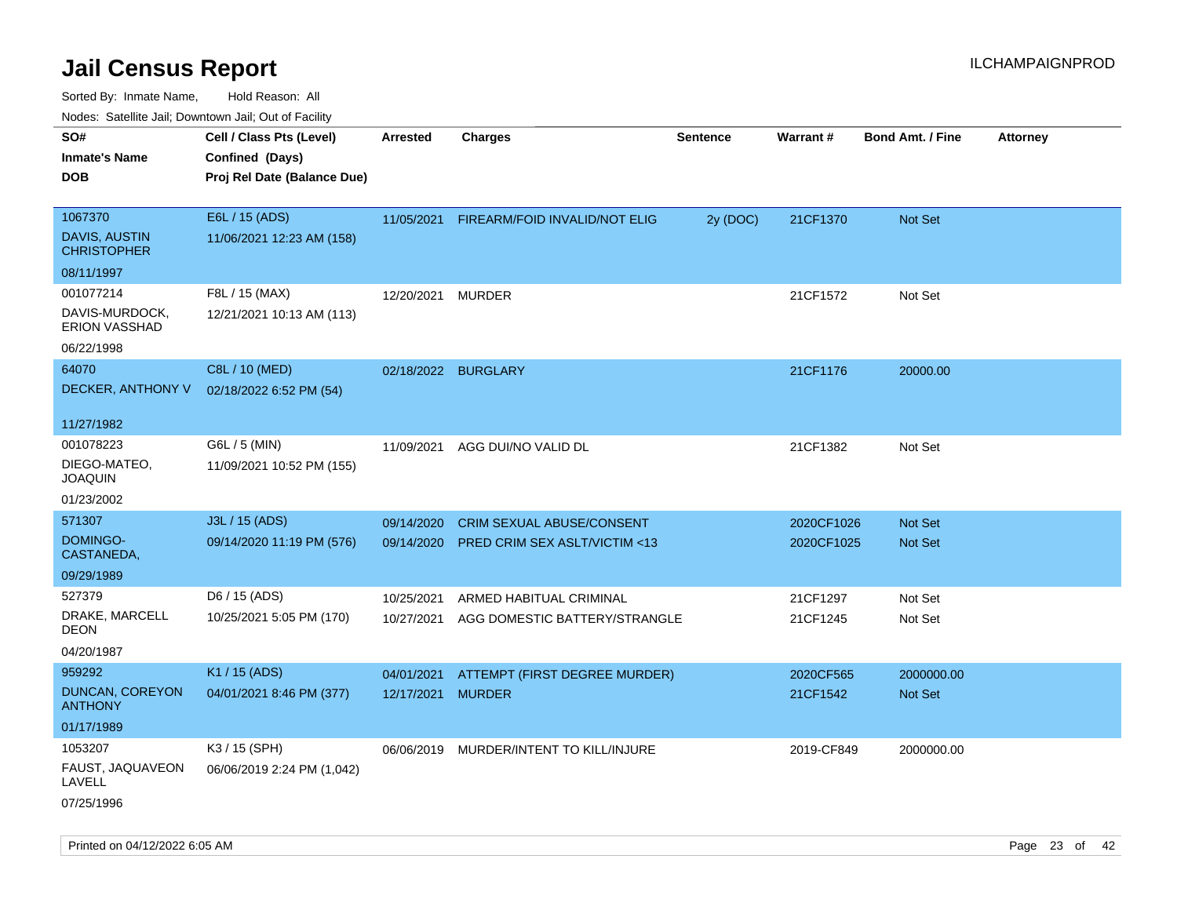| rouce. Calcinic Jan, Downtown Jan, Out or Facility |                             |                   |                                          |                 |            |                         |                 |
|----------------------------------------------------|-----------------------------|-------------------|------------------------------------------|-----------------|------------|-------------------------|-----------------|
| SO#                                                | Cell / Class Pts (Level)    | <b>Arrested</b>   | <b>Charges</b>                           | <b>Sentence</b> | Warrant#   | <b>Bond Amt. / Fine</b> | <b>Attorney</b> |
| <b>Inmate's Name</b>                               | Confined (Days)             |                   |                                          |                 |            |                         |                 |
| <b>DOB</b>                                         | Proj Rel Date (Balance Due) |                   |                                          |                 |            |                         |                 |
|                                                    |                             |                   |                                          |                 |            |                         |                 |
| 1067370                                            | E6L / 15 (ADS)              |                   | 11/05/2021 FIREARM/FOID INVALID/NOT ELIG | 2y (DOC)        | 21CF1370   | Not Set                 |                 |
| <b>DAVIS, AUSTIN</b><br><b>CHRISTOPHER</b>         | 11/06/2021 12:23 AM (158)   |                   |                                          |                 |            |                         |                 |
| 08/11/1997                                         |                             |                   |                                          |                 |            |                         |                 |
| 001077214                                          | F8L / 15 (MAX)              | 12/20/2021        | <b>MURDER</b>                            |                 | 21CF1572   | Not Set                 |                 |
| DAVIS-MURDOCK,<br>ERION VASSHAD                    | 12/21/2021 10:13 AM (113)   |                   |                                          |                 |            |                         |                 |
| 06/22/1998                                         |                             |                   |                                          |                 |            |                         |                 |
| 64070                                              | C8L / 10 (MED)              |                   | 02/18/2022 BURGLARY                      |                 | 21CF1176   | 20000.00                |                 |
| DECKER, ANTHONY V                                  | 02/18/2022 6:52 PM (54)     |                   |                                          |                 |            |                         |                 |
|                                                    |                             |                   |                                          |                 |            |                         |                 |
| 11/27/1982                                         |                             |                   |                                          |                 |            |                         |                 |
| 001078223                                          | G6L / 5 (MIN)               | 11/09/2021        | AGG DUI/NO VALID DL                      |                 | 21CF1382   | Not Set                 |                 |
| DIEGO-MATEO,<br><b>JOAQUIN</b>                     | 11/09/2021 10:52 PM (155)   |                   |                                          |                 |            |                         |                 |
| 01/23/2002                                         |                             |                   |                                          |                 |            |                         |                 |
| 571307                                             | J3L / 15 (ADS)              | 09/14/2020        | <b>CRIM SEXUAL ABUSE/CONSENT</b>         |                 | 2020CF1026 | Not Set                 |                 |
| <b>DOMINGO-</b><br>CASTANEDA,                      | 09/14/2020 11:19 PM (576)   | 09/14/2020        | PRED CRIM SEX ASLT/VICTIM <13            |                 | 2020CF1025 | Not Set                 |                 |
| 09/29/1989                                         |                             |                   |                                          |                 |            |                         |                 |
| 527379                                             | D6 / 15 (ADS)               | 10/25/2021        | ARMED HABITUAL CRIMINAL                  |                 | 21CF1297   | Not Set                 |                 |
| DRAKE, MARCELL<br><b>DEON</b>                      | 10/25/2021 5:05 PM (170)    | 10/27/2021        | AGG DOMESTIC BATTERY/STRANGLE            |                 | 21CF1245   | Not Set                 |                 |
| 04/20/1987                                         |                             |                   |                                          |                 |            |                         |                 |
| 959292                                             | K1 / 15 (ADS)               | 04/01/2021        | ATTEMPT (FIRST DEGREE MURDER)            |                 | 2020CF565  | 2000000.00              |                 |
| <b>DUNCAN, COREYON</b><br><b>ANTHONY</b>           | 04/01/2021 8:46 PM (377)    | 12/17/2021 MURDER |                                          |                 | 21CF1542   | Not Set                 |                 |
| 01/17/1989                                         |                             |                   |                                          |                 |            |                         |                 |
| 1053207                                            | K3 / 15 (SPH)               | 06/06/2019        | MURDER/INTENT TO KILL/INJURE             |                 | 2019-CF849 | 2000000.00              |                 |
| FAUST, JAQUAVEON<br>LAVELL                         | 06/06/2019 2:24 PM (1,042)  |                   |                                          |                 |            |                         |                 |
| 07/25/1996                                         |                             |                   |                                          |                 |            |                         |                 |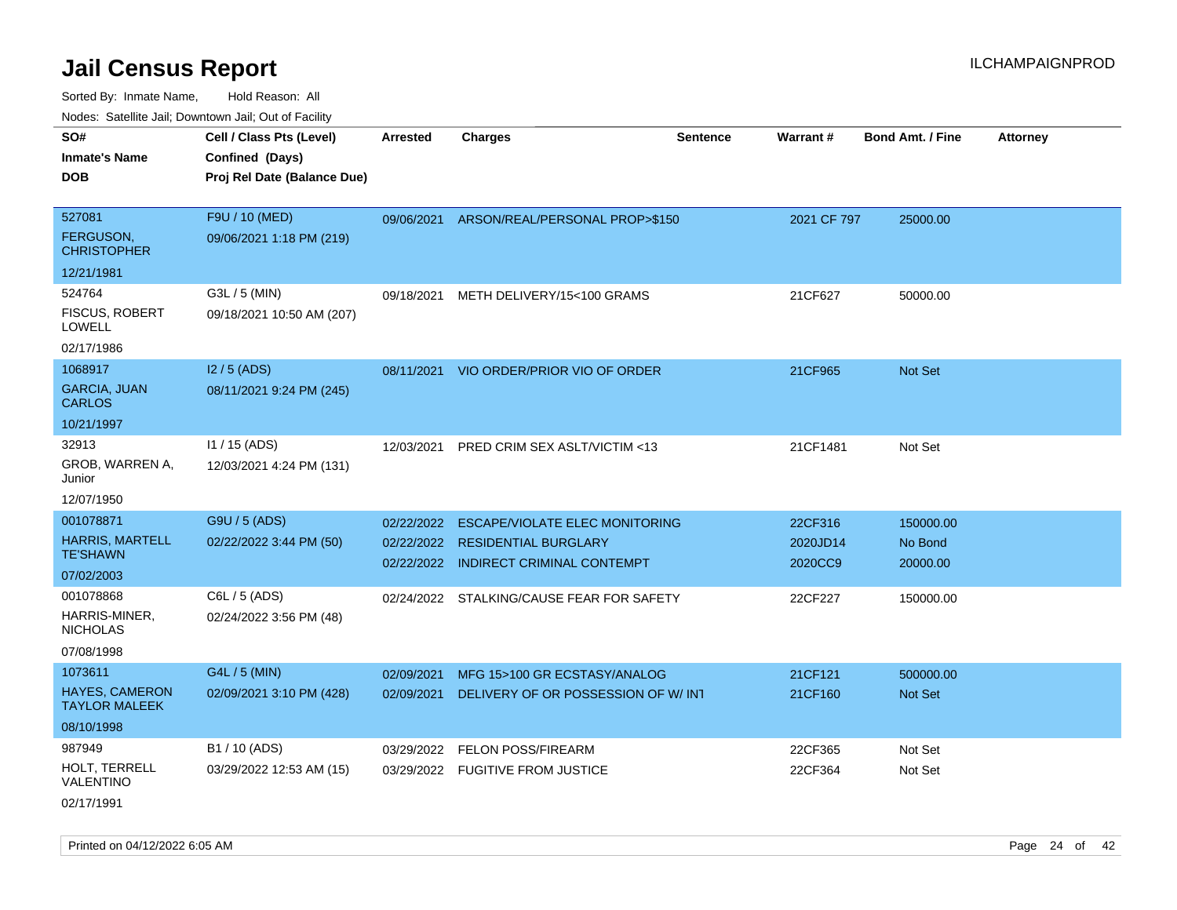Sorted By: Inmate Name, Hold Reason: All Nodes: Satellite Jail; Downtown Jail; Out of Facility

| rougs. Calcinic Jan, Downtown Jan, Out of Facility |                             |            |                                           |                 |             |                         |                 |
|----------------------------------------------------|-----------------------------|------------|-------------------------------------------|-----------------|-------------|-------------------------|-----------------|
| SO#                                                | Cell / Class Pts (Level)    | Arrested   | <b>Charges</b>                            | <b>Sentence</b> | Warrant#    | <b>Bond Amt. / Fine</b> | <b>Attorney</b> |
| <b>Inmate's Name</b>                               | Confined (Days)             |            |                                           |                 |             |                         |                 |
| <b>DOB</b>                                         | Proj Rel Date (Balance Due) |            |                                           |                 |             |                         |                 |
|                                                    |                             |            |                                           |                 |             |                         |                 |
| 527081                                             | F9U / 10 (MED)              |            | 09/06/2021 ARSON/REAL/PERSONAL PROP>\$150 |                 | 2021 CF 797 | 25000.00                |                 |
| FERGUSON,<br><b>CHRISTOPHER</b>                    | 09/06/2021 1:18 PM (219)    |            |                                           |                 |             |                         |                 |
| 12/21/1981                                         |                             |            |                                           |                 |             |                         |                 |
| 524764                                             | G3L / 5 (MIN)               | 09/18/2021 | METH DELIVERY/15<100 GRAMS                |                 | 21CF627     | 50000.00                |                 |
| <b>FISCUS, ROBERT</b><br><b>LOWELL</b>             | 09/18/2021 10:50 AM (207)   |            |                                           |                 |             |                         |                 |
| 02/17/1986                                         |                             |            |                                           |                 |             |                         |                 |
| 1068917                                            | $12/5$ (ADS)                |            | 08/11/2021 VIO ORDER/PRIOR VIO OF ORDER   |                 | 21CF965     | Not Set                 |                 |
| <b>GARCIA, JUAN</b><br><b>CARLOS</b>               | 08/11/2021 9:24 PM (245)    |            |                                           |                 |             |                         |                 |
| 10/21/1997                                         |                             |            |                                           |                 |             |                         |                 |
| 32913                                              | $11 / 15$ (ADS)             | 12/03/2021 | PRED CRIM SEX ASLT/VICTIM <13             |                 | 21CF1481    | Not Set                 |                 |
| GROB, WARREN A,<br>Junior                          | 12/03/2021 4:24 PM (131)    |            |                                           |                 |             |                         |                 |
| 12/07/1950                                         |                             |            |                                           |                 |             |                         |                 |
| 001078871                                          | G9U / 5 (ADS)               | 02/22/2022 | <b>ESCAPE/VIOLATE ELEC MONITORING</b>     |                 | 22CF316     | 150000.00               |                 |
| <b>HARRIS, MARTELL</b>                             | 02/22/2022 3:44 PM (50)     |            | 02/22/2022 RESIDENTIAL BURGLARY           |                 | 2020JD14    | No Bond                 |                 |
| <b>TE'SHAWN</b>                                    |                             |            | 02/22/2022 INDIRECT CRIMINAL CONTEMPT     |                 | 2020CC9     | 20000.00                |                 |
| 07/02/2003                                         |                             |            |                                           |                 |             |                         |                 |
| 001078868                                          | C6L / 5 (ADS)               |            | 02/24/2022 STALKING/CAUSE FEAR FOR SAFETY |                 | 22CF227     | 150000.00               |                 |
| HARRIS-MINER,<br><b>NICHOLAS</b>                   | 02/24/2022 3:56 PM (48)     |            |                                           |                 |             |                         |                 |
| 07/08/1998                                         |                             |            |                                           |                 |             |                         |                 |
| 1073611                                            | G4L / 5 (MIN)               | 02/09/2021 | MFG 15>100 GR ECSTASY/ANALOG              |                 | 21CF121     | 500000.00               |                 |
| HAYES, CAMERON<br><b>TAYLOR MALEEK</b>             | 02/09/2021 3:10 PM (428)    | 02/09/2021 | DELIVERY OF OR POSSESSION OF W/INT        |                 | 21CF160     | Not Set                 |                 |
| 08/10/1998                                         |                             |            |                                           |                 |             |                         |                 |
| 987949                                             | B1 / 10 (ADS)               | 03/29/2022 | <b>FELON POSS/FIREARM</b>                 |                 | 22CF365     | Not Set                 |                 |
| HOLT, TERRELL<br>VALENTINO                         | 03/29/2022 12:53 AM (15)    |            | 03/29/2022 FUGITIVE FROM JUSTICE          |                 | 22CF364     | Not Set                 |                 |
| 02/17/1991                                         |                             |            |                                           |                 |             |                         |                 |

Printed on 04/12/2022 6:05 AM Page 24 of 42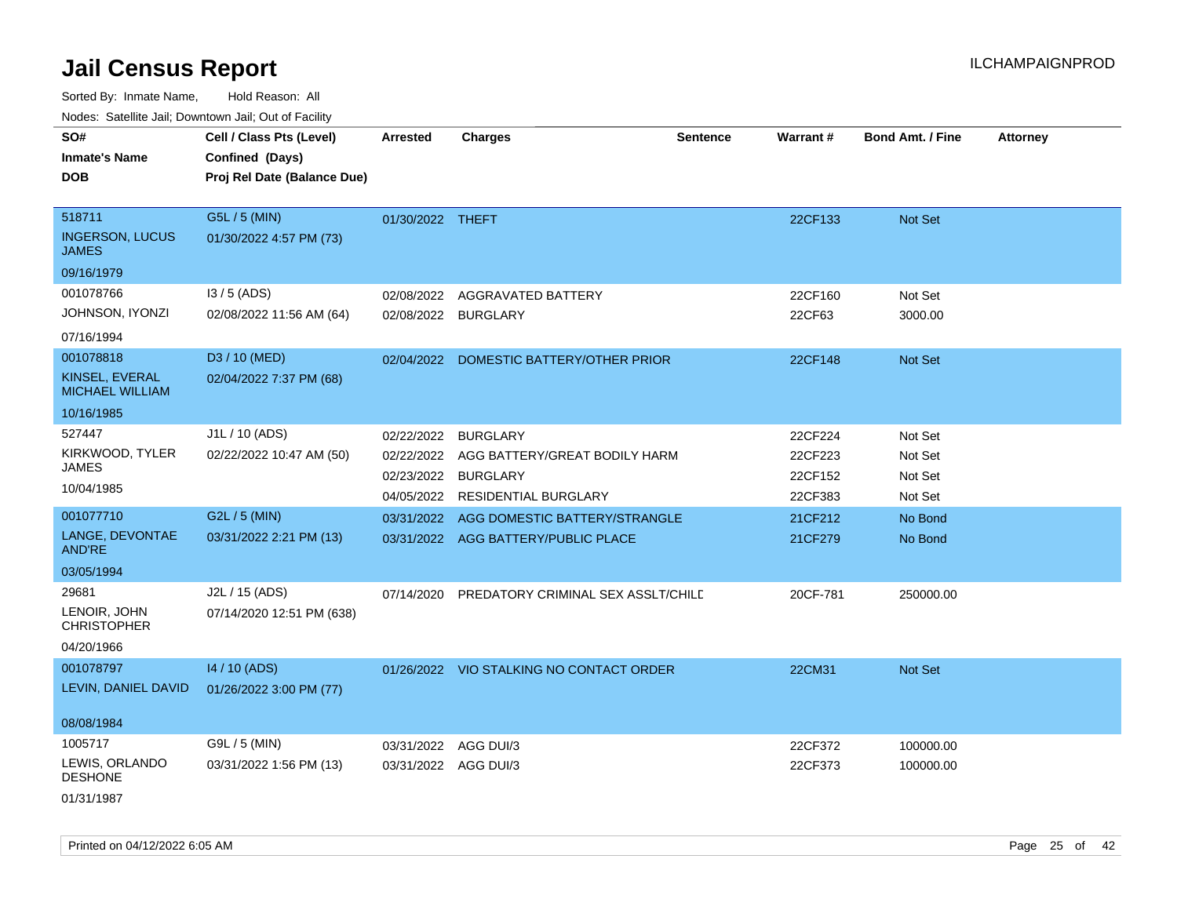Sorted By: Inmate Name, Hold Reason: All

Nodes: Satellite Jail; Downtown Jail; Out of Facility

| SO#<br><b>Inmate's Name</b><br><b>DOB</b>                           | Cell / Class Pts (Level)<br>Confined (Days)<br>Proj Rel Date (Balance Due) | <b>Arrested</b>                        | <b>Charges</b>                                                                                         | <b>Sentence</b> | Warrant#                                 | <b>Bond Amt. / Fine</b>                  | <b>Attorney</b> |
|---------------------------------------------------------------------|----------------------------------------------------------------------------|----------------------------------------|--------------------------------------------------------------------------------------------------------|-----------------|------------------------------------------|------------------------------------------|-----------------|
| 518711<br><b>INGERSON, LUCUS</b><br><b>JAMES</b><br>09/16/1979      | G5L / 5 (MIN)<br>01/30/2022 4:57 PM (73)                                   | 01/30/2022 THEFT                       |                                                                                                        |                 | 22CF133                                  | Not Set                                  |                 |
| 001078766<br>JOHNSON, IYONZI<br>07/16/1994                          | $13/5$ (ADS)<br>02/08/2022 11:56 AM (64)                                   | 02/08/2022<br>02/08/2022 BURGLARY      | AGGRAVATED BATTERY                                                                                     |                 | 22CF160<br>22CF63                        | Not Set<br>3000.00                       |                 |
| 001078818<br>KINSEL, EVERAL<br><b>MICHAEL WILLIAM</b><br>10/16/1985 | D3 / 10 (MED)<br>02/04/2022 7:37 PM (68)                                   |                                        | 02/04/2022 DOMESTIC BATTERY/OTHER PRIOR                                                                |                 | 22CF148                                  | Not Set                                  |                 |
| 527447<br>KIRKWOOD, TYLER<br><b>JAMES</b><br>10/04/1985             | J1L / 10 (ADS)<br>02/22/2022 10:47 AM (50)                                 | 02/22/2022<br>02/22/2022<br>02/23/2022 | <b>BURGLARY</b><br>AGG BATTERY/GREAT BODILY HARM<br><b>BURGLARY</b><br>04/05/2022 RESIDENTIAL BURGLARY |                 | 22CF224<br>22CF223<br>22CF152<br>22CF383 | Not Set<br>Not Set<br>Not Set<br>Not Set |                 |
| 001077710<br>LANGE, DEVONTAE<br><b>AND'RE</b><br>03/05/1994         | G2L / 5 (MIN)<br>03/31/2022 2:21 PM (13)                                   | 03/31/2022                             | AGG DOMESTIC BATTERY/STRANGLE<br>03/31/2022 AGG BATTERY/PUBLIC PLACE                                   |                 | 21CF212<br>21CF279                       | No Bond<br>No Bond                       |                 |
| 29681<br>LENOIR, JOHN<br><b>CHRISTOPHER</b><br>04/20/1966           | J2L / 15 (ADS)<br>07/14/2020 12:51 PM (638)                                | 07/14/2020                             | PREDATORY CRIMINAL SEX ASSLT/CHILE                                                                     |                 | 20CF-781                                 | 250000.00                                |                 |
| 001078797<br>LEVIN, DANIEL DAVID<br>08/08/1984                      | 14 / 10 (ADS)<br>01/26/2022 3:00 PM (77)                                   |                                        | 01/26/2022 VIO STALKING NO CONTACT ORDER                                                               |                 | 22CM31                                   | Not Set                                  |                 |
| 1005717<br>LEWIS, ORLANDO<br><b>DESHONE</b><br>01/31/1987           | G9L / 5 (MIN)<br>03/31/2022 1:56 PM (13)                                   | 03/31/2022<br>03/31/2022 AGG DUI/3     | AGG DUI/3                                                                                              |                 | 22CF372<br>22CF373                       | 100000.00<br>100000.00                   |                 |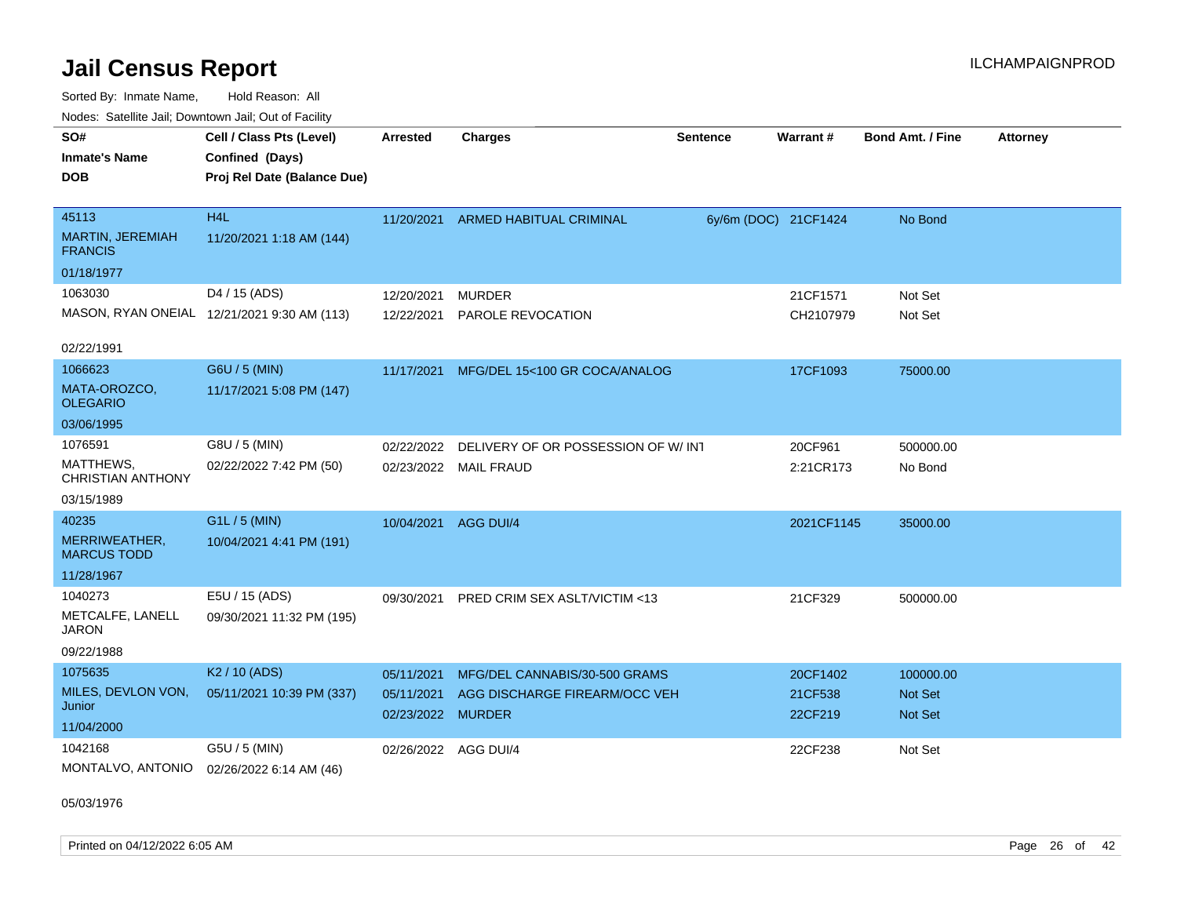Sorted By: Inmate Name, Hold Reason: All Nodes: Satellite Jail; Downtown Jail; Out of Facility

| SO#<br><b>Inmate's Name</b><br><b>DOB</b>          | Cell / Class Pts (Level)<br>Confined (Days)<br>Proj Rel Date (Balance Due) | <b>Arrested</b>                 | <b>Charges</b>                     | <b>Sentence</b> | Warrant#             | <b>Bond Amt. / Fine</b> | <b>Attorney</b> |
|----------------------------------------------------|----------------------------------------------------------------------------|---------------------------------|------------------------------------|-----------------|----------------------|-------------------------|-----------------|
| 45113<br><b>MARTIN, JEREMIAH</b><br><b>FRANCIS</b> | H <sub>4</sub> L<br>11/20/2021 1:18 AM (144)                               | 11/20/2021                      | ARMED HABITUAL CRIMINAL            |                 | 6y/6m (DOC) 21CF1424 | No Bond                 |                 |
| 01/18/1977                                         |                                                                            |                                 |                                    |                 |                      |                         |                 |
| 1063030                                            | D4 / 15 (ADS)                                                              | 12/20/2021                      | <b>MURDER</b>                      |                 | 21CF1571             | Not Set                 |                 |
|                                                    | MASON, RYAN ONEIAL 12/21/2021 9:30 AM (113)                                | 12/22/2021                      | PAROLE REVOCATION                  |                 | CH2107979            | Not Set                 |                 |
| 02/22/1991                                         |                                                                            |                                 |                                    |                 |                      |                         |                 |
| 1066623                                            | G6U / 5 (MIN)                                                              | 11/17/2021                      | MFG/DEL 15<100 GR COCA/ANALOG      |                 | 17CF1093             | 75000.00                |                 |
| MATA-OROZCO,<br><b>OLEGARIO</b>                    | 11/17/2021 5:08 PM (147)                                                   |                                 |                                    |                 |                      |                         |                 |
| 03/06/1995                                         |                                                                            |                                 |                                    |                 |                      |                         |                 |
| 1076591                                            | G8U / 5 (MIN)                                                              | 02/22/2022                      | DELIVERY OF OR POSSESSION OF W/INT |                 | 20CF961              | 500000.00               |                 |
| MATTHEWS,<br><b>CHRISTIAN ANTHONY</b>              | 02/22/2022 7:42 PM (50)                                                    |                                 | 02/23/2022 MAIL FRAUD              |                 | 2:21CR173            | No Bond                 |                 |
| 03/15/1989                                         |                                                                            |                                 |                                    |                 |                      |                         |                 |
| 40235                                              | G1L / 5 (MIN)                                                              | 10/04/2021                      | AGG DUI/4                          |                 | 2021CF1145           | 35000.00                |                 |
| MERRIWEATHER,<br><b>MARCUS TODD</b>                | 10/04/2021 4:41 PM (191)                                                   |                                 |                                    |                 |                      |                         |                 |
| 11/28/1967                                         |                                                                            |                                 |                                    |                 |                      |                         |                 |
| 1040273                                            | E5U / 15 (ADS)                                                             | 09/30/2021                      | PRED CRIM SEX ASLT/VICTIM <13      |                 | 21CF329              | 500000.00               |                 |
| METCALFE, LANELL<br>JARON                          | 09/30/2021 11:32 PM (195)                                                  |                                 |                                    |                 |                      |                         |                 |
| 09/22/1988                                         |                                                                            |                                 |                                    |                 |                      |                         |                 |
| 1075635                                            | K <sub>2</sub> / 10 (ADS)                                                  | 05/11/2021                      | MFG/DEL CANNABIS/30-500 GRAMS      |                 | 20CF1402             | 100000.00               |                 |
| MILES, DEVLON VON,<br>Junior                       | 05/11/2021 10:39 PM (337)                                                  | 05/11/2021<br>02/23/2022 MURDER | AGG DISCHARGE FIREARM/OCC VEH      |                 | 21CF538<br>22CF219   | Not Set<br>Not Set      |                 |
| 11/04/2000                                         |                                                                            |                                 |                                    |                 |                      |                         |                 |
| 1042168<br>MONTALVO, ANTONIO                       | G5U / 5 (MIN)<br>02/26/2022 6:14 AM (46)                                   | 02/26/2022 AGG DUI/4            |                                    |                 | 22CF238              | Not Set                 |                 |

05/03/1976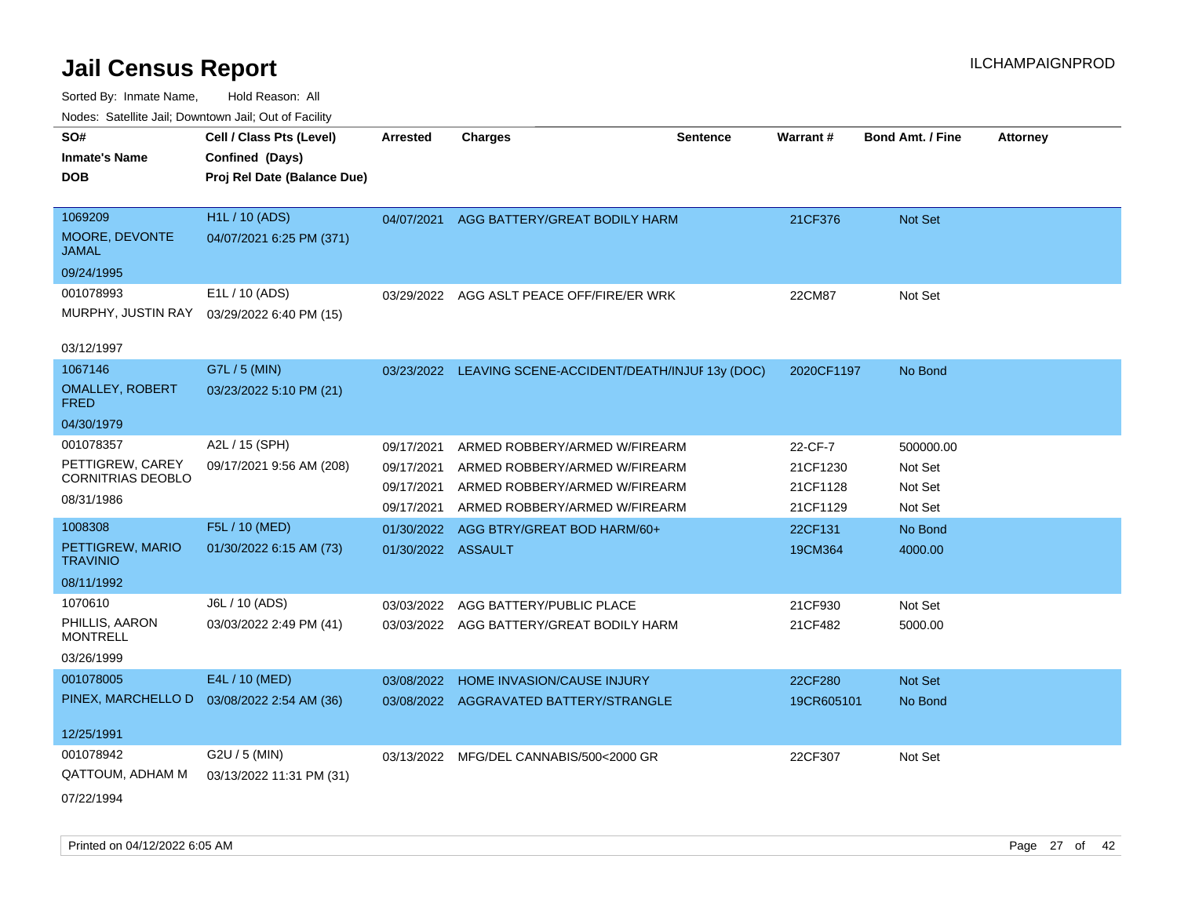| SO#<br><b>Inmate's Name</b><br><b>DOB</b> | Cell / Class Pts (Level)<br>Confined (Days)<br>Proj Rel Date (Balance Due) | <b>Arrested</b>    | <b>Charges</b>                                          | <b>Sentence</b> | Warrant#   | <b>Bond Amt. / Fine</b> | <b>Attorney</b> |
|-------------------------------------------|----------------------------------------------------------------------------|--------------------|---------------------------------------------------------|-----------------|------------|-------------------------|-----------------|
|                                           |                                                                            |                    |                                                         |                 |            |                         |                 |
| 1069209                                   | H1L / 10 (ADS)                                                             | 04/07/2021         | AGG BATTERY/GREAT BODILY HARM                           |                 | 21CF376    | Not Set                 |                 |
| MOORE, DEVONTE<br><b>JAMAL</b>            | 04/07/2021 6:25 PM (371)                                                   |                    |                                                         |                 |            |                         |                 |
| 09/24/1995                                |                                                                            |                    |                                                         |                 |            |                         |                 |
| 001078993                                 | E1L / 10 (ADS)                                                             | 03/29/2022         | AGG ASLT PEACE OFF/FIRE/ER WRK                          |                 | 22CM87     | Not Set                 |                 |
| MURPHY, JUSTIN RAY                        | 03/29/2022 6:40 PM (15)                                                    |                    |                                                         |                 |            |                         |                 |
| 03/12/1997                                |                                                                            |                    |                                                         |                 |            |                         |                 |
| 1067146                                   | G7L / 5 (MIN)                                                              |                    | 03/23/2022 LEAVING SCENE-ACCIDENT/DEATH/INJUF 13y (DOC) |                 | 2020CF1197 | No Bond                 |                 |
| <b>OMALLEY, ROBERT</b><br>FRED            | 03/23/2022 5:10 PM (21)                                                    |                    |                                                         |                 |            |                         |                 |
| 04/30/1979                                |                                                                            |                    |                                                         |                 |            |                         |                 |
| 001078357                                 | A2L / 15 (SPH)                                                             | 09/17/2021         | ARMED ROBBERY/ARMED W/FIREARM                           |                 | 22-CF-7    | 500000.00               |                 |
| PETTIGREW, CAREY                          | 09/17/2021 9:56 AM (208)                                                   | 09/17/2021         | ARMED ROBBERY/ARMED W/FIREARM                           |                 | 21CF1230   | Not Set                 |                 |
| <b>CORNITRIAS DEOBLO</b>                  |                                                                            | 09/17/2021         | ARMED ROBBERY/ARMED W/FIREARM                           |                 | 21CF1128   | Not Set                 |                 |
| 08/31/1986                                |                                                                            | 09/17/2021         | ARMED ROBBERY/ARMED W/FIREARM                           |                 | 21CF1129   | Not Set                 |                 |
| 1008308                                   | F5L / 10 (MED)                                                             | 01/30/2022         | AGG BTRY/GREAT BOD HARM/60+                             |                 | 22CF131    | No Bond                 |                 |
| PETTIGREW, MARIO<br><b>TRAVINIO</b>       | 01/30/2022 6:15 AM (73)                                                    | 01/30/2022 ASSAULT |                                                         |                 | 19CM364    | 4000.00                 |                 |
| 08/11/1992                                |                                                                            |                    |                                                         |                 |            |                         |                 |
| 1070610                                   | J6L / 10 (ADS)                                                             | 03/03/2022         | AGG BATTERY/PUBLIC PLACE                                |                 | 21CF930    | Not Set                 |                 |
| PHILLIS, AARON<br><b>MONTRELL</b>         | 03/03/2022 2:49 PM (41)                                                    |                    | 03/03/2022 AGG BATTERY/GREAT BODILY HARM                |                 | 21CF482    | 5000.00                 |                 |
| 03/26/1999                                |                                                                            |                    |                                                         |                 |            |                         |                 |
| 001078005                                 | E4L / 10 (MED)                                                             | 03/08/2022         | HOME INVASION/CAUSE INJURY                              |                 | 22CF280    | <b>Not Set</b>          |                 |
| PINEX, MARCHELLO D                        | 03/08/2022 2:54 AM (36)                                                    | 03/08/2022         | AGGRAVATED BATTERY/STRANGLE                             |                 | 19CR605101 | No Bond                 |                 |
| 12/25/1991                                |                                                                            |                    |                                                         |                 |            |                         |                 |
| 001078942                                 | G2U / 5 (MIN)                                                              |                    | 03/13/2022 MFG/DEL CANNABIS/500<2000 GR                 |                 | 22CF307    | Not Set                 |                 |
| QATTOUM, ADHAM M                          | 03/13/2022 11:31 PM (31)                                                   |                    |                                                         |                 |            |                         |                 |
| 07/22/1994                                |                                                                            |                    |                                                         |                 |            |                         |                 |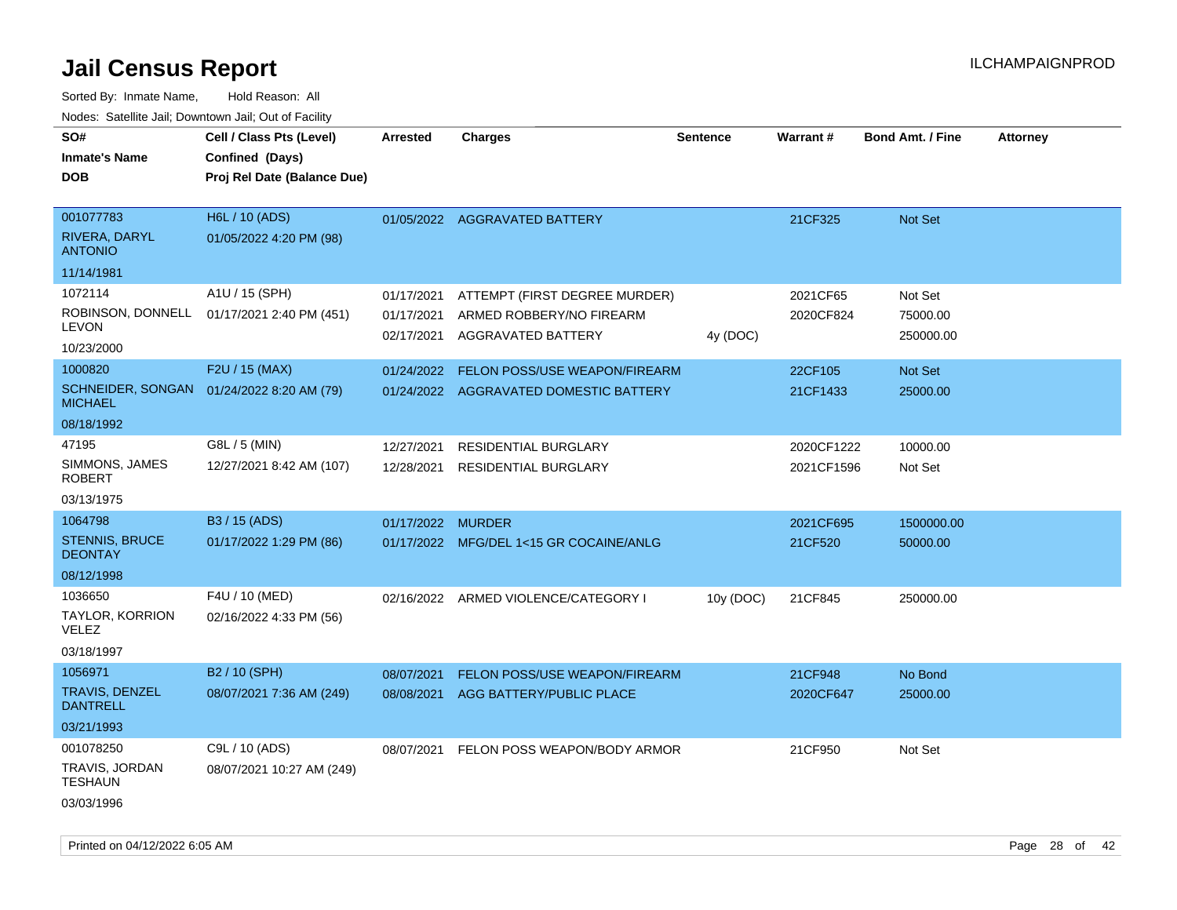| rougs. Calcing Jan, Downtown Jan, Out of Facility |                                             |                          |                                                |                 |            |                         |                 |
|---------------------------------------------------|---------------------------------------------|--------------------------|------------------------------------------------|-----------------|------------|-------------------------|-----------------|
| SO#<br><b>Inmate's Name</b>                       | Cell / Class Pts (Level)<br>Confined (Days) | <b>Arrested</b>          | <b>Charges</b>                                 | <b>Sentence</b> | Warrant#   | <b>Bond Amt. / Fine</b> | <b>Attorney</b> |
| <b>DOB</b>                                        | Proj Rel Date (Balance Due)                 |                          |                                                |                 |            |                         |                 |
| 001077783                                         | H6L / 10 (ADS)                              |                          | 01/05/2022 AGGRAVATED BATTERY                  |                 | 21CF325    | Not Set                 |                 |
| RIVERA, DARYL<br><b>ANTONIO</b>                   | 01/05/2022 4:20 PM (98)                     |                          |                                                |                 |            |                         |                 |
| 11/14/1981                                        |                                             |                          |                                                |                 |            |                         |                 |
| 1072114                                           | A1U / 15 (SPH)                              | 01/17/2021               | ATTEMPT (FIRST DEGREE MURDER)                  |                 | 2021CF65   | Not Set                 |                 |
| LEVON                                             | ROBINSON, DONNELL 01/17/2021 2:40 PM (451)  | 01/17/2021<br>02/17/2021 | ARMED ROBBERY/NO FIREARM<br>AGGRAVATED BATTERY | 4y (DOC)        | 2020CF824  | 75000.00<br>250000.00   |                 |
| 10/23/2000                                        |                                             |                          |                                                |                 |            |                         |                 |
| 1000820                                           | F2U / 15 (MAX)                              | 01/24/2022               | FELON POSS/USE WEAPON/FIREARM                  |                 | 22CF105    | Not Set                 |                 |
| <b>MICHAEL</b>                                    | SCHNEIDER, SONGAN 01/24/2022 8:20 AM (79)   |                          | 01/24/2022 AGGRAVATED DOMESTIC BATTERY         |                 | 21CF1433   | 25000.00                |                 |
| 08/18/1992                                        |                                             |                          |                                                |                 |            |                         |                 |
| 47195                                             | G8L / 5 (MIN)                               | 12/27/2021               | <b>RESIDENTIAL BURGLARY</b>                    |                 | 2020CF1222 | 10000.00                |                 |
| SIMMONS, JAMES<br>ROBERT                          | 12/27/2021 8:42 AM (107)                    | 12/28/2021               | <b>RESIDENTIAL BURGLARY</b>                    |                 | 2021CF1596 | Not Set                 |                 |
| 03/13/1975                                        |                                             |                          |                                                |                 |            |                         |                 |
| 1064798                                           | B3 / 15 (ADS)                               | 01/17/2022               | <b>MURDER</b>                                  |                 | 2021CF695  | 1500000.00              |                 |
| STENNIS, BRUCE<br><b>DEONTAY</b>                  | 01/17/2022 1:29 PM (86)                     |                          | 01/17/2022 MFG/DEL 1<15 GR COCAINE/ANLG        |                 | 21CF520    | 50000.00                |                 |
| 08/12/1998                                        |                                             |                          |                                                |                 |            |                         |                 |
| 1036650                                           | F4U / 10 (MED)                              |                          | 02/16/2022 ARMED VIOLENCE/CATEGORY I           | 10y (DOC)       | 21CF845    | 250000.00               |                 |
| <b>TAYLOR, KORRION</b><br>VELEZ                   | 02/16/2022 4:33 PM (56)                     |                          |                                                |                 |            |                         |                 |
| 03/18/1997                                        |                                             |                          |                                                |                 |            |                         |                 |
| 1056971                                           | B2 / 10 (SPH)                               | 08/07/2021               | FELON POSS/USE WEAPON/FIREARM                  |                 | 21CF948    | No Bond                 |                 |
| <b>TRAVIS, DENZEL</b><br><b>DANTRELL</b>          | 08/07/2021 7:36 AM (249)                    | 08/08/2021               | AGG BATTERY/PUBLIC PLACE                       |                 | 2020CF647  | 25000.00                |                 |
| 03/21/1993                                        |                                             |                          |                                                |                 |            |                         |                 |
| 001078250                                         | C9L / 10 (ADS)                              | 08/07/2021               | FELON POSS WEAPON/BODY ARMOR                   |                 | 21CF950    | Not Set                 |                 |
| TRAVIS, JORDAN<br>TESHAUN                         | 08/07/2021 10:27 AM (249)                   |                          |                                                |                 |            |                         |                 |
| 03/03/1996                                        |                                             |                          |                                                |                 |            |                         |                 |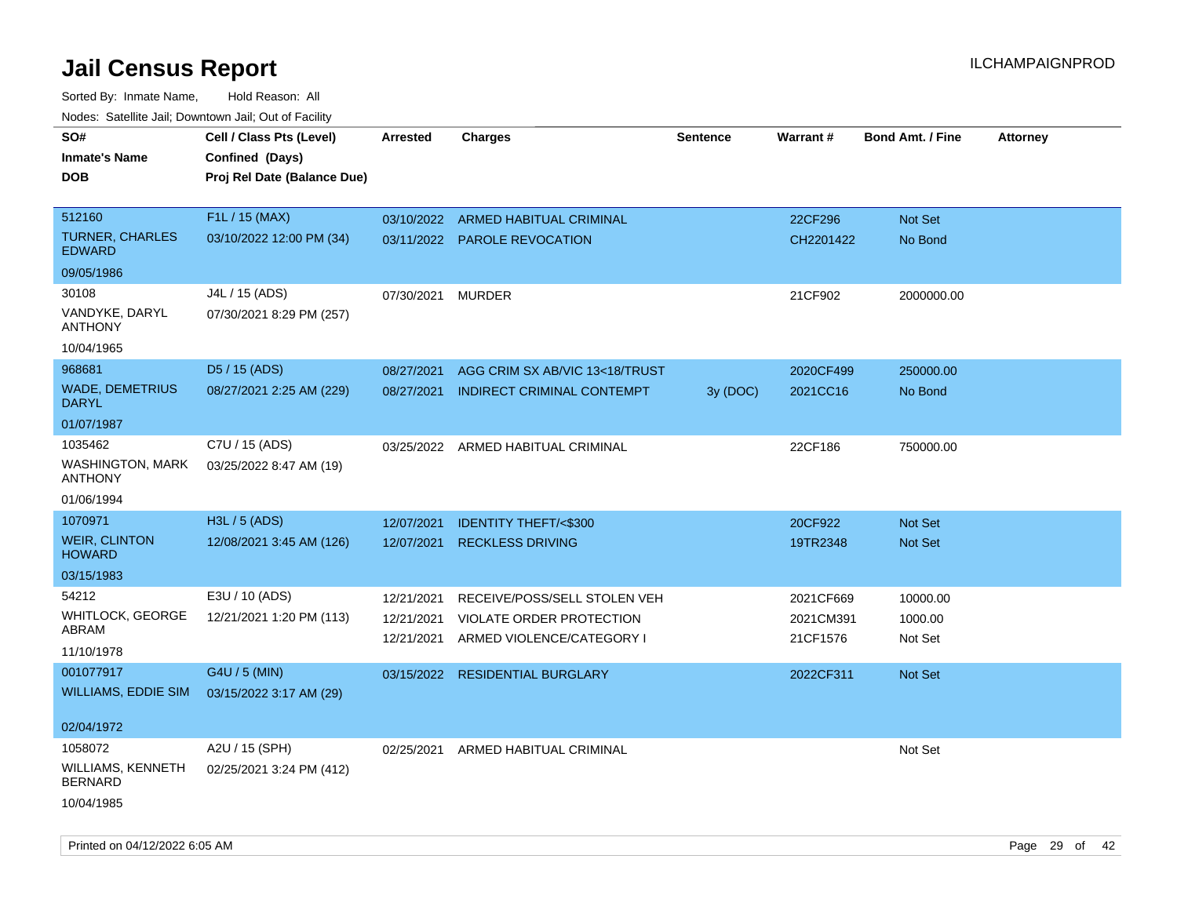| roaco. Catolino cali, Domntonn cali, Out of Facility |                             |            |                                 |                 |           |                         |                 |
|------------------------------------------------------|-----------------------------|------------|---------------------------------|-----------------|-----------|-------------------------|-----------------|
| SO#                                                  | Cell / Class Pts (Level)    | Arrested   | <b>Charges</b>                  | <b>Sentence</b> | Warrant#  | <b>Bond Amt. / Fine</b> | <b>Attorney</b> |
| <b>Inmate's Name</b>                                 | Confined (Days)             |            |                                 |                 |           |                         |                 |
| <b>DOB</b>                                           | Proj Rel Date (Balance Due) |            |                                 |                 |           |                         |                 |
|                                                      |                             |            |                                 |                 |           |                         |                 |
| 512160                                               | F1L / 15 (MAX)              | 03/10/2022 | ARMED HABITUAL CRIMINAL         |                 | 22CF296   | Not Set                 |                 |
| <b>TURNER, CHARLES</b><br><b>EDWARD</b>              | 03/10/2022 12:00 PM (34)    |            | 03/11/2022 PAROLE REVOCATION    |                 | CH2201422 | No Bond                 |                 |
| 09/05/1986                                           |                             |            |                                 |                 |           |                         |                 |
| 30108                                                | J4L / 15 (ADS)              | 07/30/2021 | <b>MURDER</b>                   |                 | 21CF902   | 2000000.00              |                 |
| VANDYKE, DARYL<br><b>ANTHONY</b>                     | 07/30/2021 8:29 PM (257)    |            |                                 |                 |           |                         |                 |
| 10/04/1965                                           |                             |            |                                 |                 |           |                         |                 |
| 968681                                               | D5 / 15 (ADS)               | 08/27/2021 | AGG CRIM SX AB/VIC 13<18/TRUST  |                 | 2020CF499 | 250000.00               |                 |
| <b>WADE, DEMETRIUS</b><br><b>DARYL</b>               | 08/27/2021 2:25 AM (229)    | 08/27/2021 | INDIRECT CRIMINAL CONTEMPT      | 3y (DOC)        | 2021CC16  | No Bond                 |                 |
| 01/07/1987                                           |                             |            |                                 |                 |           |                         |                 |
| 1035462                                              | C7U / 15 (ADS)              | 03/25/2022 | ARMED HABITUAL CRIMINAL         |                 | 22CF186   | 750000.00               |                 |
| <b>WASHINGTON, MARK</b><br><b>ANTHONY</b>            | 03/25/2022 8:47 AM (19)     |            |                                 |                 |           |                         |                 |
| 01/06/1994                                           |                             |            |                                 |                 |           |                         |                 |
| 1070971                                              | H3L / 5 (ADS)               | 12/07/2021 | <b>IDENTITY THEFT/&lt;\$300</b> |                 | 20CF922   | <b>Not Set</b>          |                 |
| <b>WEIR, CLINTON</b><br><b>HOWARD</b>                | 12/08/2021 3:45 AM (126)    | 12/07/2021 | <b>RECKLESS DRIVING</b>         |                 | 19TR2348  | Not Set                 |                 |
| 03/15/1983                                           |                             |            |                                 |                 |           |                         |                 |
| 54212                                                | E3U / 10 (ADS)              | 12/21/2021 | RECEIVE/POSS/SELL STOLEN VEH    |                 | 2021CF669 | 10000.00                |                 |
| WHITLOCK, GEORGE                                     | 12/21/2021 1:20 PM (113)    | 12/21/2021 | VIOLATE ORDER PROTECTION        |                 | 2021CM391 | 1000.00                 |                 |
| ABRAM                                                |                             | 12/21/2021 | ARMED VIOLENCE/CATEGORY I       |                 | 21CF1576  | Not Set                 |                 |
| 11/10/1978                                           |                             |            |                                 |                 |           |                         |                 |
| 001077917                                            | G4U / 5 (MIN)               | 03/15/2022 | <b>RESIDENTIAL BURGLARY</b>     |                 | 2022CF311 | <b>Not Set</b>          |                 |
| WILLIAMS, EDDIE SIM                                  | 03/15/2022 3:17 AM (29)     |            |                                 |                 |           |                         |                 |
|                                                      |                             |            |                                 |                 |           |                         |                 |
| 02/04/1972                                           |                             |            |                                 |                 |           |                         |                 |
| 1058072                                              | A2U / 15 (SPH)              | 02/25/2021 | ARMED HABITUAL CRIMINAL         |                 |           | Not Set                 |                 |
| WILLIAMS, KENNETH<br><b>BERNARD</b>                  | 02/25/2021 3:24 PM (412)    |            |                                 |                 |           |                         |                 |
| 10/04/1985                                           |                             |            |                                 |                 |           |                         |                 |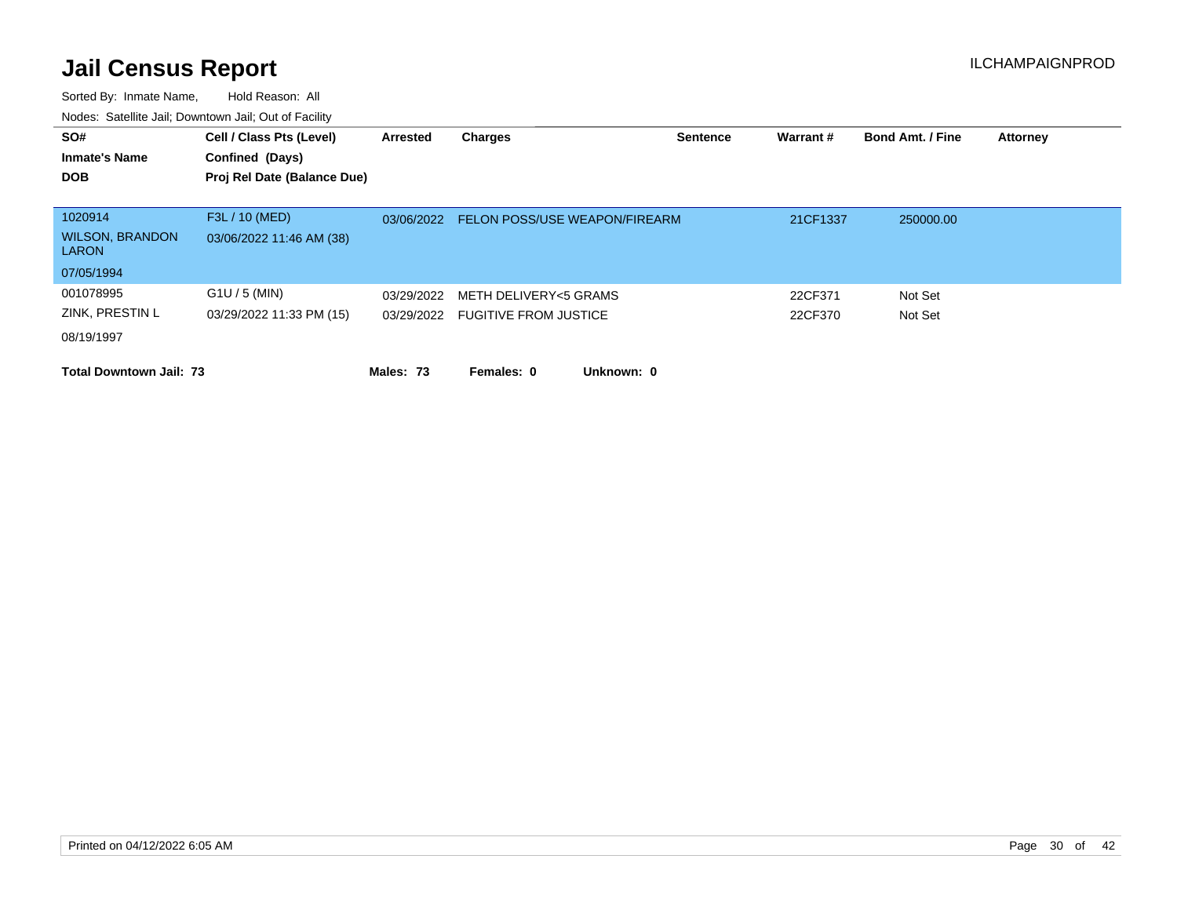| SO#<br><b>Inmate's Name</b><br><b>DOB</b>                       | Cell / Class Pts (Level)<br>Confined (Days)<br>Proj Rel Date (Balance Due) | Arrested   | <b>Charges</b>                                            | <b>Sentence</b> | Warrant#           | <b>Bond Amt. / Fine</b> | <b>Attorney</b> |
|-----------------------------------------------------------------|----------------------------------------------------------------------------|------------|-----------------------------------------------------------|-----------------|--------------------|-------------------------|-----------------|
| 1020914<br><b>WILSON, BRANDON</b><br><b>LARON</b><br>07/05/1994 | F3L / 10 (MED)<br>03/06/2022 11:46 AM (38)                                 | 03/06/2022 | <b>FELON POSS/USE WEAPON/FIREARM</b>                      |                 | 21CF1337           | 250000.00               |                 |
| 001078995<br>ZINK, PRESTIN L<br>08/19/1997                      | $G1U / 5$ (MIN)<br>03/29/2022 11:33 PM (15)                                | 03/29/2022 | METH DELIVERY<5 GRAMS<br>03/29/2022 FUGITIVE FROM JUSTICE |                 | 22CF371<br>22CF370 | Not Set<br>Not Set      |                 |
| <b>Total Downtown Jail: 73</b>                                  |                                                                            | Males: 73  | Females: 0<br>Unknown: 0                                  |                 |                    |                         |                 |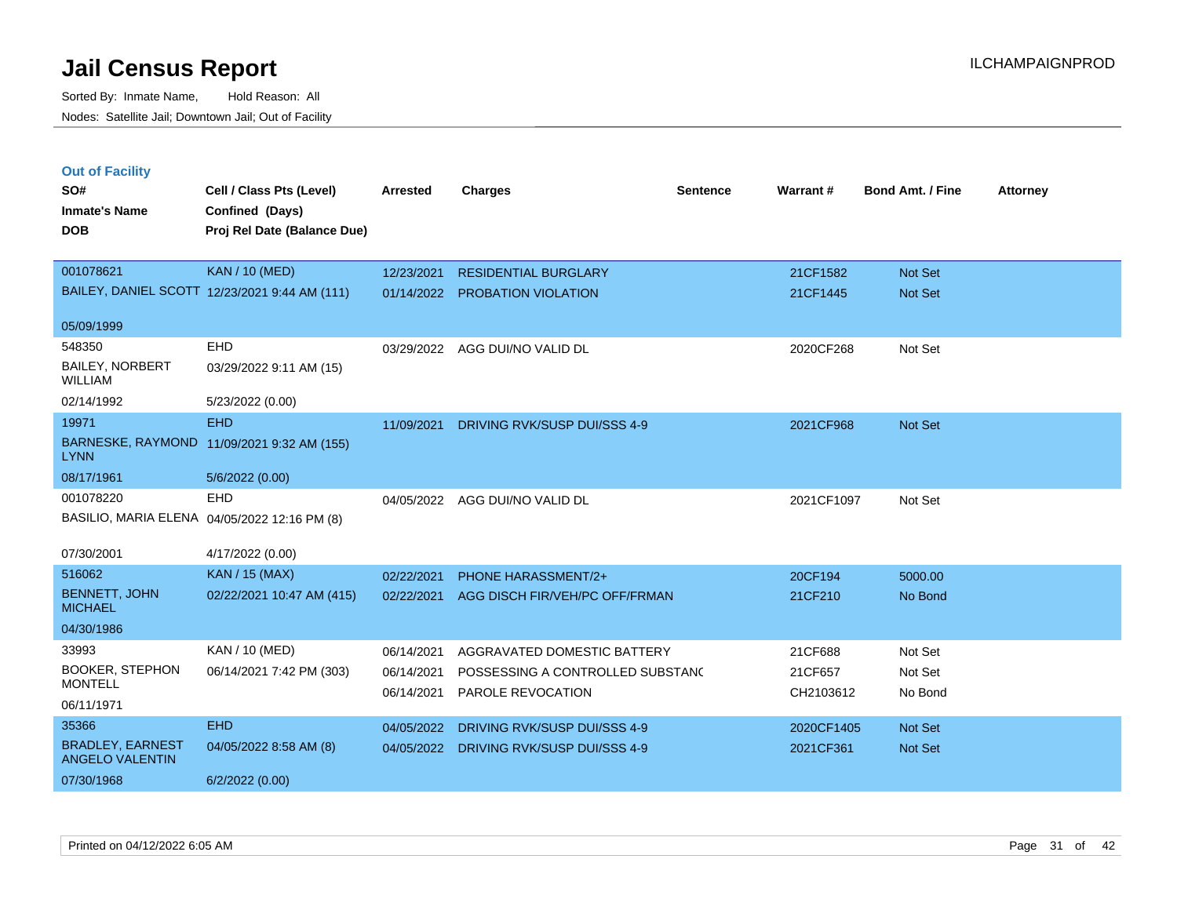|  | <b>Out of Facility</b> |  |
|--|------------------------|--|
|  |                        |  |

| SO#<br><b>Inmate's Name</b>                       | Cell / Class Pts (Level)<br>Confined (Days)   | <b>Arrested</b> | <b>Charges</b>                                                   | <b>Sentence</b> | Warrant#             | <b>Bond Amt. / Fine</b> | <b>Attorney</b> |
|---------------------------------------------------|-----------------------------------------------|-----------------|------------------------------------------------------------------|-----------------|----------------------|-------------------------|-----------------|
| <b>DOB</b>                                        | Proj Rel Date (Balance Due)                   |                 |                                                                  |                 |                      |                         |                 |
| 001078621                                         | <b>KAN / 10 (MED)</b>                         | 12/23/2021      | <b>RESIDENTIAL BURGLARY</b>                                      |                 | 21CF1582             | Not Set                 |                 |
|                                                   | BAILEY, DANIEL SCOTT 12/23/2021 9:44 AM (111) |                 | 01/14/2022 PROBATION VIOLATION                                   |                 | 21CF1445             | Not Set                 |                 |
| 05/09/1999                                        |                                               |                 |                                                                  |                 |                      |                         |                 |
| 548350                                            | EHD                                           | 03/29/2022      | AGG DUI/NO VALID DL                                              |                 | 2020CF268            | Not Set                 |                 |
| <b>BAILEY, NORBERT</b><br><b>WILLIAM</b>          | 03/29/2022 9:11 AM (15)                       |                 |                                                                  |                 |                      |                         |                 |
| 02/14/1992                                        | 5/23/2022 (0.00)                              |                 |                                                                  |                 |                      |                         |                 |
| 19971                                             | <b>EHD</b>                                    | 11/09/2021      | DRIVING RVK/SUSP DUI/SSS 4-9                                     |                 | 2021CF968            | Not Set                 |                 |
| <b>LYNN</b>                                       | BARNESKE, RAYMOND 11/09/2021 9:32 AM (155)    |                 |                                                                  |                 |                      |                         |                 |
| 08/17/1961                                        | 5/6/2022 (0.00)                               |                 |                                                                  |                 |                      |                         |                 |
| 001078220                                         | EHD                                           |                 | 04/05/2022 AGG DUI/NO VALID DL                                   |                 | 2021CF1097           | Not Set                 |                 |
|                                                   | BASILIO, MARIA ELENA 04/05/2022 12:16 PM (8)  |                 |                                                                  |                 |                      |                         |                 |
| 07/30/2001                                        | 4/17/2022 (0.00)                              |                 |                                                                  |                 |                      |                         |                 |
| 516062                                            | <b>KAN / 15 (MAX)</b>                         | 02/22/2021      | PHONE HARASSMENT/2+                                              |                 | 20CF194              | 5000.00                 |                 |
| BENNETT, JOHN<br><b>MICHAEL</b>                   | 02/22/2021 10:47 AM (415)                     | 02/22/2021      | AGG DISCH FIR/VEH/PC OFF/FRMAN                                   |                 | 21CF210              | No Bond                 |                 |
| 04/30/1986                                        |                                               |                 |                                                                  |                 |                      |                         |                 |
| 33993                                             | KAN / 10 (MED)                                | 06/14/2021      | AGGRAVATED DOMESTIC BATTERY                                      |                 | 21CF688              | Not Set                 |                 |
| <b>BOOKER, STEPHON</b><br><b>MONTELL</b>          | 06/14/2021 7:42 PM (303)                      | 06/14/2021      | POSSESSING A CONTROLLED SUBSTANC<br>06/14/2021 PAROLE REVOCATION |                 | 21CF657<br>CH2103612 | Not Set<br>No Bond      |                 |
| 06/11/1971                                        |                                               |                 |                                                                  |                 |                      |                         |                 |
| 35366                                             | <b>EHD</b>                                    | 04/05/2022      | DRIVING RVK/SUSP DUI/SSS 4-9                                     |                 | 2020CF1405           | Not Set                 |                 |
| <b>BRADLEY, EARNEST</b><br><b>ANGELO VALENTIN</b> | 04/05/2022 8:58 AM (8)                        | 04/05/2022      | DRIVING RVK/SUSP DUI/SSS 4-9                                     |                 | 2021CF361            | Not Set                 |                 |
| 07/30/1968                                        | 6/2/2022 (0.00)                               |                 |                                                                  |                 |                      |                         |                 |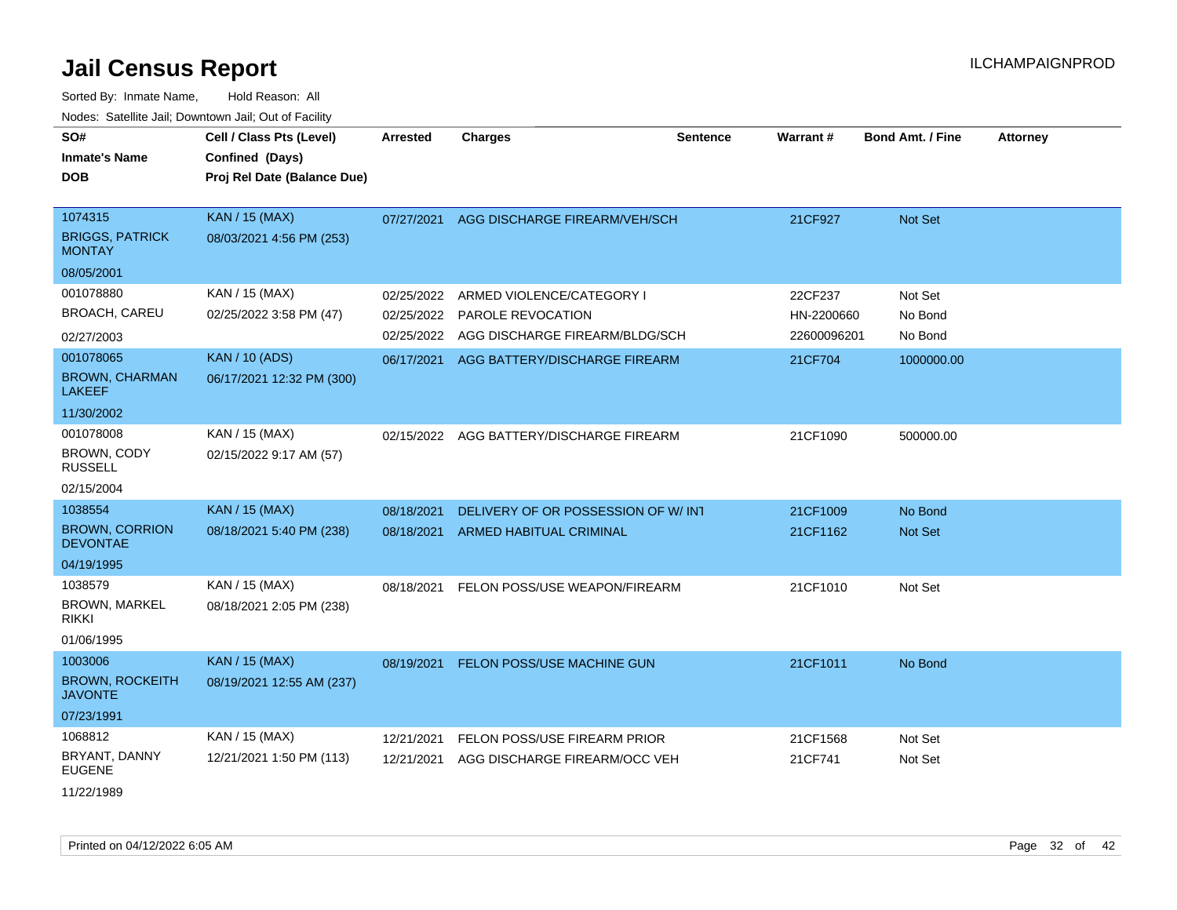| SO#<br><b>Inmate's Name</b><br>DOB                                     | Cell / Class Pts (Level)<br>Confined (Days)<br>Proj Rel Date (Balance Due) | <b>Arrested</b>                        | <b>Charges</b>                                                                   | <b>Sentence</b> | Warrant#                             | <b>Bond Amt. / Fine</b>       | <b>Attorney</b> |
|------------------------------------------------------------------------|----------------------------------------------------------------------------|----------------------------------------|----------------------------------------------------------------------------------|-----------------|--------------------------------------|-------------------------------|-----------------|
| 1074315<br><b>BRIGGS, PATRICK</b><br><b>MONTAY</b>                     | <b>KAN / 15 (MAX)</b><br>08/03/2021 4:56 PM (253)                          | 07/27/2021                             | AGG DISCHARGE FIREARM/VEH/SCH                                                    |                 | 21CF927                              | Not Set                       |                 |
| 08/05/2001                                                             |                                                                            |                                        |                                                                                  |                 |                                      |                               |                 |
| 001078880<br><b>BROACH, CAREU</b>                                      | KAN / 15 (MAX)<br>02/25/2022 3:58 PM (47)                                  | 02/25/2022<br>02/25/2022<br>02/25/2022 | ARMED VIOLENCE/CATEGORY I<br>PAROLE REVOCATION<br>AGG DISCHARGE FIREARM/BLDG/SCH |                 | 22CF237<br>HN-2200660<br>22600096201 | Not Set<br>No Bond<br>No Bond |                 |
| 02/27/2003<br>001078065<br><b>BROWN, CHARMAN</b><br><b>LAKEEF</b>      | <b>KAN / 10 (ADS)</b><br>06/17/2021 12:32 PM (300)                         | 06/17/2021                             | AGG BATTERY/DISCHARGE FIREARM                                                    |                 | 21CF704                              | 1000000.00                    |                 |
| 11/30/2002<br>001078008<br>BROWN, CODY<br><b>RUSSELL</b><br>02/15/2004 | KAN / 15 (MAX)<br>02/15/2022 9:17 AM (57)                                  | 02/15/2022                             | AGG BATTERY/DISCHARGE FIREARM                                                    |                 | 21CF1090                             | 500000.00                     |                 |
| 1038554<br><b>BROWN, CORRION</b><br><b>DEVONTAE</b><br>04/19/1995      | <b>KAN / 15 (MAX)</b><br>08/18/2021 5:40 PM (238)                          | 08/18/2021<br>08/18/2021               | DELIVERY OF OR POSSESSION OF W/INT<br><b>ARMED HABITUAL CRIMINAL</b>             |                 | 21CF1009<br>21CF1162                 | No Bond<br>Not Set            |                 |
| 1038579<br><b>BROWN, MARKEL</b><br>rikki<br>01/06/1995                 | KAN / 15 (MAX)<br>08/18/2021 2:05 PM (238)                                 | 08/18/2021                             | FELON POSS/USE WEAPON/FIREARM                                                    |                 | 21CF1010                             | Not Set                       |                 |
| 1003006<br><b>BROWN, ROCKEITH</b><br><b>JAVONTE</b><br>07/23/1991      | <b>KAN / 15 (MAX)</b><br>08/19/2021 12:55 AM (237)                         | 08/19/2021                             | FELON POSS/USE MACHINE GUN                                                       |                 | 21CF1011                             | No Bond                       |                 |
| 1068812<br>BRYANT, DANNY<br>EUGENE<br>11/22/1989                       | KAN / 15 (MAX)<br>12/21/2021 1:50 PM (113)                                 | 12/21/2021<br>12/21/2021               | FELON POSS/USE FIREARM PRIOR<br>AGG DISCHARGE FIREARM/OCC VEH                    |                 | 21CF1568<br>21CF741                  | Not Set<br>Not Set            |                 |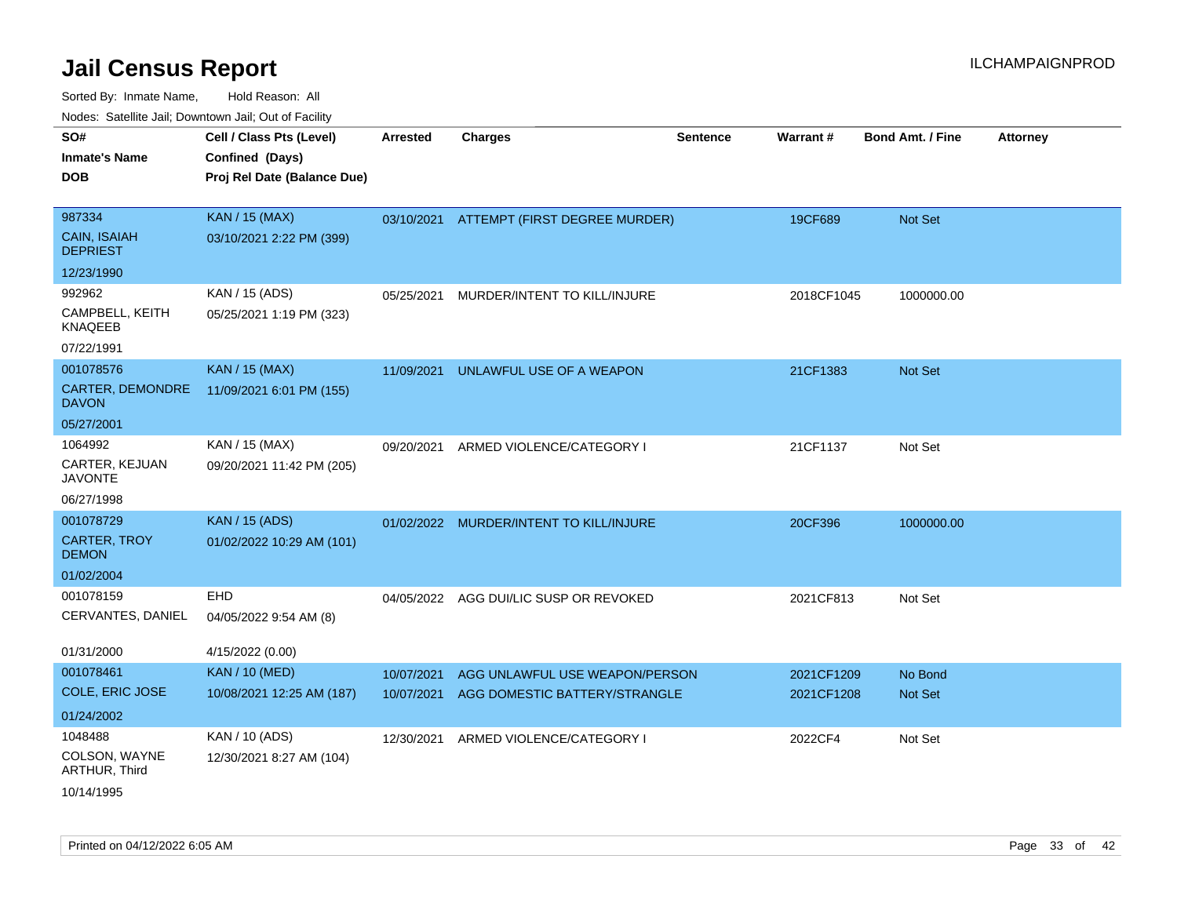| roaco. Calcinio dan, Domnomi dan, Cal or Fability |                                                                            |                 |                                |                 |            |                         |                 |
|---------------------------------------------------|----------------------------------------------------------------------------|-----------------|--------------------------------|-----------------|------------|-------------------------|-----------------|
| SO#<br>Inmate's Name<br>DOB                       | Cell / Class Pts (Level)<br>Confined (Days)<br>Proj Rel Date (Balance Due) | <b>Arrested</b> | <b>Charges</b>                 | <b>Sentence</b> | Warrant#   | <b>Bond Amt. / Fine</b> | <b>Attorney</b> |
| 987334                                            | <b>KAN / 15 (MAX)</b>                                                      | 03/10/2021      | ATTEMPT (FIRST DEGREE MURDER)  |                 | 19CF689    | <b>Not Set</b>          |                 |
| CAIN, ISAIAH<br><b>DEPRIEST</b>                   | 03/10/2021 2:22 PM (399)                                                   |                 |                                |                 |            |                         |                 |
| 12/23/1990                                        |                                                                            |                 |                                |                 |            |                         |                 |
| 992962                                            | KAN / 15 (ADS)                                                             | 05/25/2021      | MURDER/INTENT TO KILL/INJURE   |                 | 2018CF1045 | 1000000.00              |                 |
| CAMPBELL, KEITH<br>KNAQEEB                        | 05/25/2021 1:19 PM (323)                                                   |                 |                                |                 |            |                         |                 |
| 07/22/1991                                        |                                                                            |                 |                                |                 |            |                         |                 |
| 001078576                                         | <b>KAN / 15 (MAX)</b>                                                      | 11/09/2021      | UNLAWFUL USE OF A WEAPON       |                 | 21CF1383   | <b>Not Set</b>          |                 |
| CARTER, DEMONDRE<br>DAVON                         | 11/09/2021 6:01 PM (155)                                                   |                 |                                |                 |            |                         |                 |
| 05/27/2001                                        |                                                                            |                 |                                |                 |            |                         |                 |
| 1064992                                           | KAN / 15 (MAX)                                                             | 09/20/2021      | ARMED VIOLENCE/CATEGORY I      |                 | 21CF1137   | Not Set                 |                 |
| CARTER, KEJUAN<br>JAVONTE                         | 09/20/2021 11:42 PM (205)                                                  |                 |                                |                 |            |                         |                 |
| 06/27/1998                                        |                                                                            |                 |                                |                 |            |                         |                 |
| 001078729                                         | <b>KAN / 15 (ADS)</b>                                                      | 01/02/2022      | MURDER/INTENT TO KILL/INJURE   |                 | 20CF396    | 1000000.00              |                 |
| CARTER, TROY<br><b>DEMON</b>                      | 01/02/2022 10:29 AM (101)                                                  |                 |                                |                 |            |                         |                 |
| 01/02/2004                                        |                                                                            |                 |                                |                 |            |                         |                 |
| 001078159                                         | EHD                                                                        | 04/05/2022      | AGG DUI/LIC SUSP OR REVOKED    |                 | 2021CF813  | Not Set                 |                 |
| CERVANTES, DANIEL                                 | 04/05/2022 9:54 AM (8)                                                     |                 |                                |                 |            |                         |                 |
| 01/31/2000                                        | 4/15/2022 (0.00)                                                           |                 |                                |                 |            |                         |                 |
| 001078461                                         | <b>KAN / 10 (MED)</b>                                                      | 10/07/2021      | AGG UNLAWFUL USE WEAPON/PERSON |                 | 2021CF1209 | No Bond                 |                 |
| COLE, ERIC JOSE                                   | 10/08/2021 12:25 AM (187)                                                  | 10/07/2021      | AGG DOMESTIC BATTERY/STRANGLE  |                 | 2021CF1208 | <b>Not Set</b>          |                 |
| 01/24/2002                                        |                                                                            |                 |                                |                 |            |                         |                 |
| 1048488                                           | KAN / 10 (ADS)                                                             | 12/30/2021      | ARMED VIOLENCE/CATEGORY I      |                 | 2022CF4    | Not Set                 |                 |
| COLSON, WAYNE<br>ARTHUR, Third                    | 12/30/2021 8:27 AM (104)                                                   |                 |                                |                 |            |                         |                 |
| 10/14/1995                                        |                                                                            |                 |                                |                 |            |                         |                 |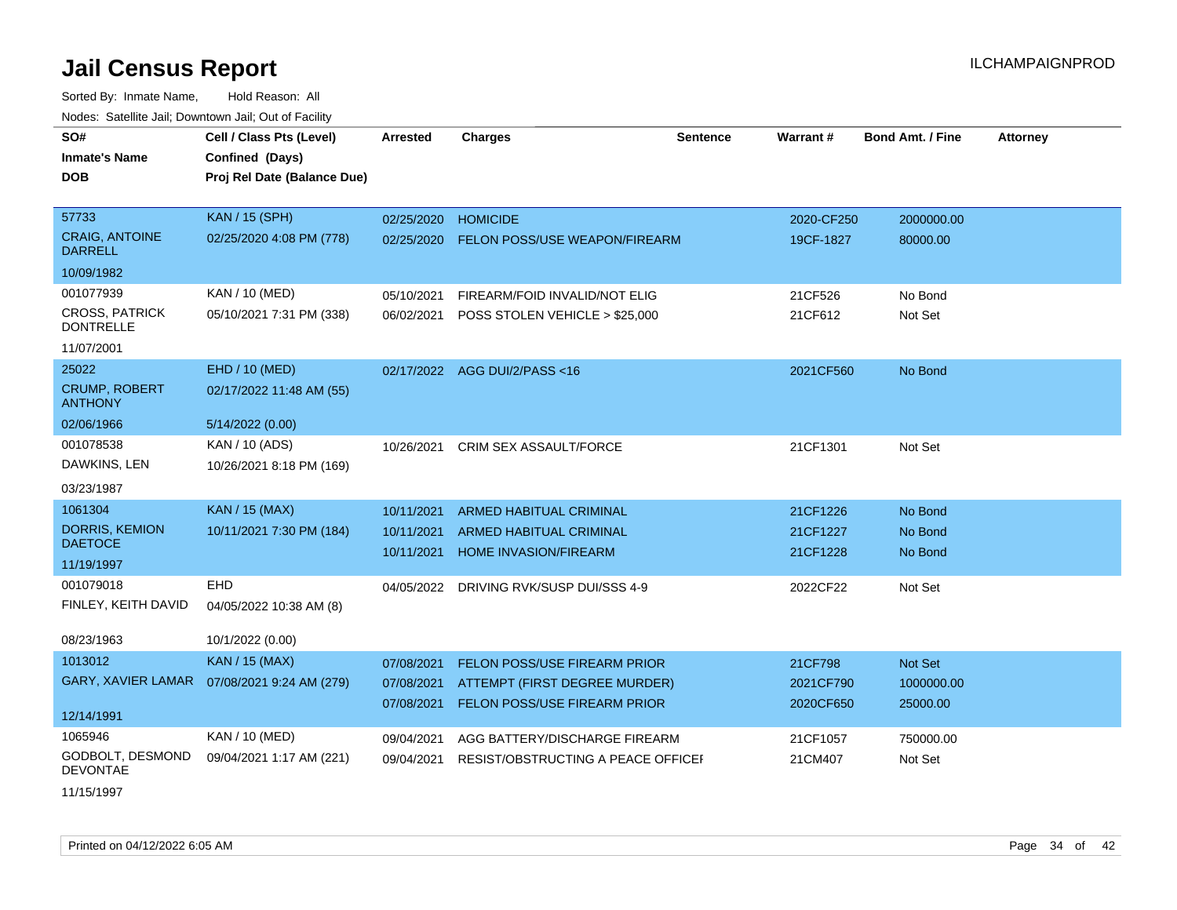| SO#                                       | Cell / Class Pts (Level)                     | <b>Arrested</b> | <b>Charges</b>                          | <b>Sentence</b> | <b>Warrant#</b> | <b>Bond Amt. / Fine</b> | <b>Attorney</b> |
|-------------------------------------------|----------------------------------------------|-----------------|-----------------------------------------|-----------------|-----------------|-------------------------|-----------------|
| <b>Inmate's Name</b>                      | Confined (Days)                              |                 |                                         |                 |                 |                         |                 |
| <b>DOB</b>                                | Proj Rel Date (Balance Due)                  |                 |                                         |                 |                 |                         |                 |
|                                           |                                              |                 |                                         |                 |                 |                         |                 |
| 57733                                     | <b>KAN / 15 (SPH)</b>                        | 02/25/2020      | <b>HOMICIDE</b>                         |                 | 2020-CF250      | 2000000.00              |                 |
| <b>CRAIG, ANTOINE</b><br><b>DARRELL</b>   | 02/25/2020 4:08 PM (778)                     | 02/25/2020      | FELON POSS/USE WEAPON/FIREARM           |                 | 19CF-1827       | 80000.00                |                 |
| 10/09/1982                                |                                              |                 |                                         |                 |                 |                         |                 |
| 001077939                                 | KAN / 10 (MED)                               | 05/10/2021      | FIREARM/FOID INVALID/NOT ELIG           |                 | 21CF526         | No Bond                 |                 |
| <b>CROSS, PATRICK</b><br><b>DONTRELLE</b> | 05/10/2021 7:31 PM (338)                     | 06/02/2021      | POSS STOLEN VEHICLE > \$25,000          |                 | 21CF612         | Not Set                 |                 |
| 11/07/2001                                |                                              |                 |                                         |                 |                 |                         |                 |
| 25022                                     | EHD / 10 (MED)                               |                 | 02/17/2022 AGG DUI/2/PASS<16            |                 | 2021CF560       | No Bond                 |                 |
| <b>CRUMP, ROBERT</b><br><b>ANTHONY</b>    | 02/17/2022 11:48 AM (55)                     |                 |                                         |                 |                 |                         |                 |
| 02/06/1966                                | 5/14/2022 (0.00)                             |                 |                                         |                 |                 |                         |                 |
| 001078538                                 | KAN / 10 (ADS)                               | 10/26/2021      | <b>CRIM SEX ASSAULT/FORCE</b>           |                 | 21CF1301        | Not Set                 |                 |
| DAWKINS, LEN                              | 10/26/2021 8:18 PM (169)                     |                 |                                         |                 |                 |                         |                 |
| 03/23/1987                                |                                              |                 |                                         |                 |                 |                         |                 |
| 1061304                                   | <b>KAN / 15 (MAX)</b>                        | 10/11/2021      | <b>ARMED HABITUAL CRIMINAL</b>          |                 | 21CF1226        | No Bond                 |                 |
| <b>DORRIS, KEMION</b>                     | 10/11/2021 7:30 PM (184)                     | 10/11/2021      | ARMED HABITUAL CRIMINAL                 |                 | 21CF1227        | No Bond                 |                 |
| <b>DAETOCE</b>                            |                                              | 10/11/2021      | <b>HOME INVASION/FIREARM</b>            |                 | 21CF1228        | No Bond                 |                 |
| 11/19/1997                                |                                              |                 |                                         |                 |                 |                         |                 |
| 001079018                                 | <b>EHD</b>                                   |                 | 04/05/2022 DRIVING RVK/SUSP DUI/SSS 4-9 |                 | 2022CF22        | Not Set                 |                 |
| FINLEY, KEITH DAVID                       | 04/05/2022 10:38 AM (8)                      |                 |                                         |                 |                 |                         |                 |
| 08/23/1963                                | 10/1/2022 (0.00)                             |                 |                                         |                 |                 |                         |                 |
| 1013012                                   | <b>KAN / 15 (MAX)</b>                        | 07/08/2021      | FELON POSS/USE FIREARM PRIOR            |                 | 21CF798         | Not Set                 |                 |
|                                           | GARY, XAVIER LAMAR  07/08/2021 9:24 AM (279) | 07/08/2021      | ATTEMPT (FIRST DEGREE MURDER)           |                 | 2021CF790       | 1000000.00              |                 |
|                                           |                                              | 07/08/2021      | FELON POSS/USE FIREARM PRIOR            |                 | 2020CF650       | 25000.00                |                 |
| 12/14/1991                                |                                              |                 |                                         |                 |                 |                         |                 |
| 1065946                                   | KAN / 10 (MED)                               | 09/04/2021      | AGG BATTERY/DISCHARGE FIREARM           |                 | 21CF1057        | 750000.00               |                 |
| GODBOLT, DESMOND<br><b>DEVONTAE</b>       | 09/04/2021 1:17 AM (221)                     | 09/04/2021      | RESIST/OBSTRUCTING A PEACE OFFICEL      |                 | 21CM407         | Not Set                 |                 |
| 11/15/1997                                |                                              |                 |                                         |                 |                 |                         |                 |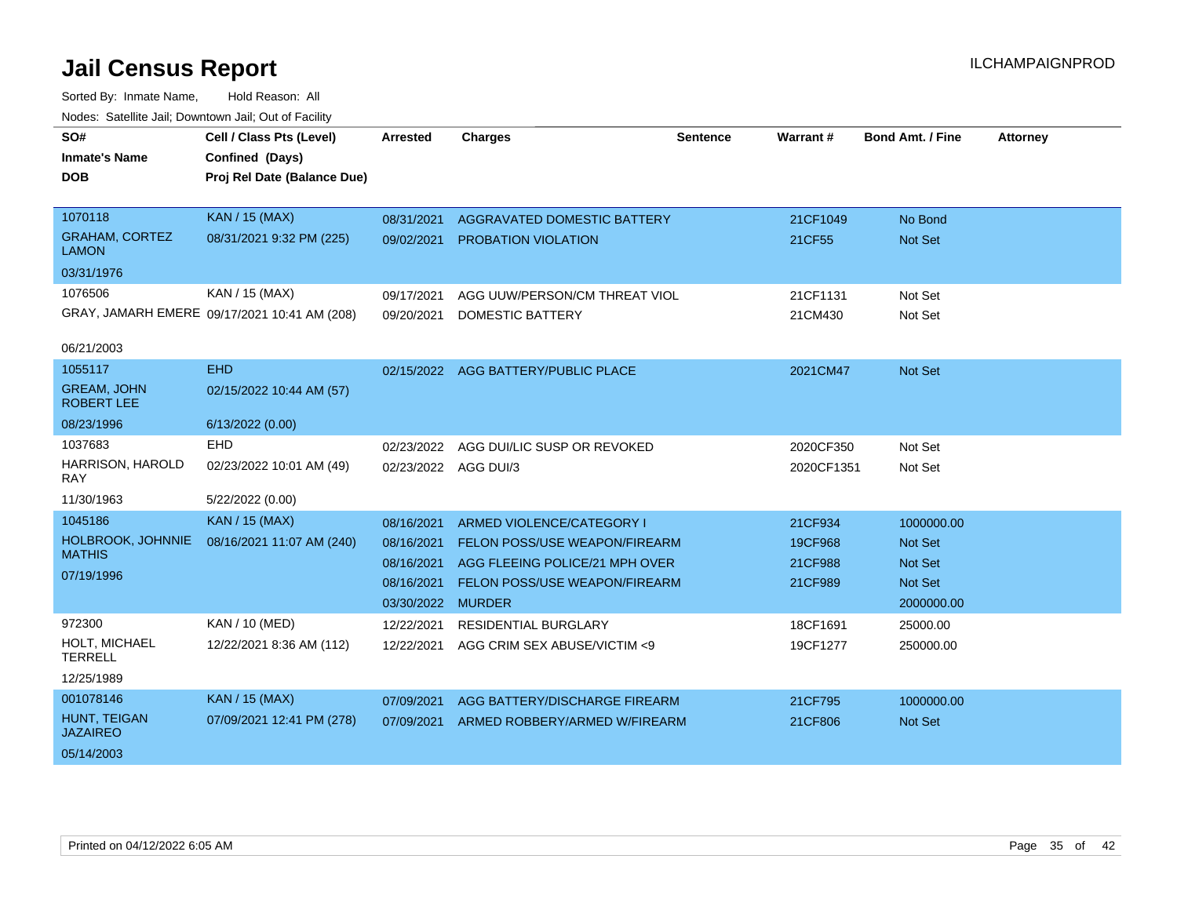| SO#                                     | Cell / Class Pts (Level)                     | Arrested             | <b>Charges</b>                      | <b>Sentence</b> | Warrant#   | <b>Bond Amt. / Fine</b> | <b>Attorney</b> |
|-----------------------------------------|----------------------------------------------|----------------------|-------------------------------------|-----------------|------------|-------------------------|-----------------|
| <b>Inmate's Name</b>                    | Confined (Days)                              |                      |                                     |                 |            |                         |                 |
| <b>DOB</b>                              | Proj Rel Date (Balance Due)                  |                      |                                     |                 |            |                         |                 |
|                                         |                                              |                      |                                     |                 |            |                         |                 |
| 1070118                                 | <b>KAN / 15 (MAX)</b>                        | 08/31/2021           | AGGRAVATED DOMESTIC BATTERY         |                 | 21CF1049   | No Bond                 |                 |
| <b>GRAHAM, CORTEZ</b><br><b>LAMON</b>   | 08/31/2021 9:32 PM (225)                     |                      | 09/02/2021 PROBATION VIOLATION      |                 | 21CF55     | Not Set                 |                 |
| 03/31/1976                              |                                              |                      |                                     |                 |            |                         |                 |
| 1076506                                 | KAN / 15 (MAX)                               | 09/17/2021           | AGG UUW/PERSON/CM THREAT VIOL       |                 | 21CF1131   | Not Set                 |                 |
|                                         | GRAY, JAMARH EMERE 09/17/2021 10:41 AM (208) | 09/20/2021           | <b>DOMESTIC BATTERY</b>             |                 | 21CM430    | Not Set                 |                 |
| 06/21/2003                              |                                              |                      |                                     |                 |            |                         |                 |
| 1055117                                 | <b>EHD</b>                                   |                      | 02/15/2022 AGG BATTERY/PUBLIC PLACE |                 | 2021CM47   | Not Set                 |                 |
| <b>GREAM, JOHN</b><br><b>ROBERT LEE</b> | 02/15/2022 10:44 AM (57)                     |                      |                                     |                 |            |                         |                 |
| 08/23/1996                              | 6/13/2022 (0.00)                             |                      |                                     |                 |            |                         |                 |
| 1037683                                 | EHD                                          | 02/23/2022           | AGG DUI/LIC SUSP OR REVOKED         |                 | 2020CF350  | Not Set                 |                 |
| HARRISON, HAROLD<br><b>RAY</b>          | 02/23/2022 10:01 AM (49)                     | 02/23/2022 AGG DUI/3 |                                     |                 | 2020CF1351 | Not Set                 |                 |
| 11/30/1963                              | 5/22/2022 (0.00)                             |                      |                                     |                 |            |                         |                 |
| 1045186                                 | <b>KAN / 15 (MAX)</b>                        | 08/16/2021           | ARMED VIOLENCE/CATEGORY I           |                 | 21CF934    | 1000000.00              |                 |
| HOLBROOK, JOHNNIE<br><b>MATHIS</b>      | 08/16/2021 11:07 AM (240)                    | 08/16/2021           | FELON POSS/USE WEAPON/FIREARM       |                 | 19CF968    | Not Set                 |                 |
|                                         |                                              | 08/16/2021           | AGG FLEEING POLICE/21 MPH OVER      |                 | 21CF988    | Not Set                 |                 |
| 07/19/1996                              |                                              | 08/16/2021           | FELON POSS/USE WEAPON/FIREARM       |                 | 21CF989    | Not Set                 |                 |
|                                         |                                              | 03/30/2022           | <b>MURDER</b>                       |                 |            | 2000000.00              |                 |
| 972300                                  | KAN / 10 (MED)                               | 12/22/2021           | RESIDENTIAL BURGLARY                |                 | 18CF1691   | 25000.00                |                 |
| HOLT, MICHAEL<br><b>TERRELL</b>         | 12/22/2021 8:36 AM (112)                     | 12/22/2021           | AGG CRIM SEX ABUSE/VICTIM <9        |                 | 19CF1277   | 250000.00               |                 |
| 12/25/1989                              |                                              |                      |                                     |                 |            |                         |                 |
| 001078146                               | <b>KAN / 15 (MAX)</b>                        | 07/09/2021           | AGG BATTERY/DISCHARGE FIREARM       |                 | 21CF795    | 1000000.00              |                 |
| HUNT, TEIGAN<br><b>JAZAIREO</b>         | 07/09/2021 12:41 PM (278)                    | 07/09/2021           | ARMED ROBBERY/ARMED W/FIREARM       |                 | 21CF806    | Not Set                 |                 |
| 05/14/2003                              |                                              |                      |                                     |                 |            |                         |                 |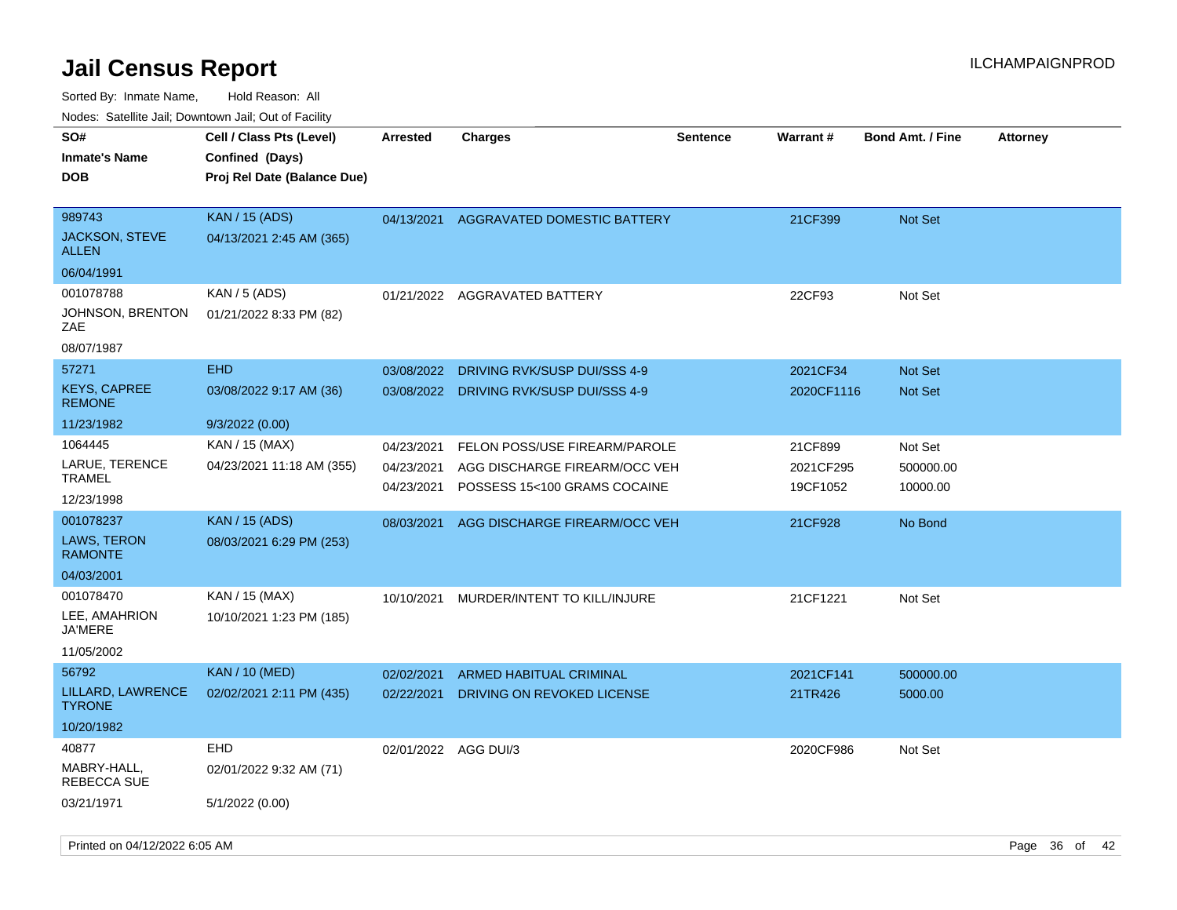| 10000. Catolino can, Domntonn can, Cat or I doint |                                                                            |                          |                                                               |                 |                       |                         |                 |
|---------------------------------------------------|----------------------------------------------------------------------------|--------------------------|---------------------------------------------------------------|-----------------|-----------------------|-------------------------|-----------------|
| SO#<br>Inmate's Name<br><b>DOB</b>                | Cell / Class Pts (Level)<br>Confined (Days)<br>Proj Rel Date (Balance Due) | <b>Arrested</b>          | <b>Charges</b>                                                | <b>Sentence</b> | Warrant#              | <b>Bond Amt. / Fine</b> | <b>Attorney</b> |
| 989743<br>JACKSON, STEVE<br>ALLEN                 | <b>KAN / 15 (ADS)</b><br>04/13/2021 2:45 AM (365)                          | 04/13/2021               | AGGRAVATED DOMESTIC BATTERY                                   |                 | 21CF399               | <b>Not Set</b>          |                 |
| 06/04/1991                                        |                                                                            |                          |                                                               |                 |                       |                         |                 |
| 001078788<br>JOHNSON, BRENTON<br>ZAE              | KAN / 5 (ADS)<br>01/21/2022 8:33 PM (82)                                   | 01/21/2022               | AGGRAVATED BATTERY                                            |                 | 22CF93                | Not Set                 |                 |
| 08/07/1987                                        |                                                                            |                          |                                                               |                 |                       |                         |                 |
| 57271                                             | <b>EHD</b>                                                                 | 03/08/2022               | DRIVING RVK/SUSP DUI/SSS 4-9                                  |                 | 2021CF34              | <b>Not Set</b>          |                 |
| KEYS, CAPREE<br><b>REMONE</b>                     | 03/08/2022 9:17 AM (36)                                                    | 03/08/2022               | DRIVING RVK/SUSP DUI/SSS 4-9                                  |                 | 2020CF1116            | <b>Not Set</b>          |                 |
| 11/23/1982                                        | 9/3/2022 (0.00)                                                            |                          |                                                               |                 |                       |                         |                 |
| 1064445                                           | KAN / 15 (MAX)                                                             | 04/23/2021               | FELON POSS/USE FIREARM/PAROLE                                 |                 | 21CF899               | Not Set                 |                 |
| LARUE, TERENCE<br>TRAMEL                          | 04/23/2021 11:18 AM (355)                                                  | 04/23/2021<br>04/23/2021 | AGG DISCHARGE FIREARM/OCC VEH<br>POSSESS 15<100 GRAMS COCAINE |                 | 2021CF295<br>19CF1052 | 500000.00<br>10000.00   |                 |
| 12/23/1998                                        |                                                                            |                          |                                                               |                 |                       |                         |                 |
| 001078237                                         | <b>KAN / 15 (ADS)</b>                                                      | 08/03/2021               | AGG DISCHARGE FIREARM/OCC VEH                                 |                 | 21CF928               | No Bond                 |                 |
| LAWS, TERON<br><b>RAMONTE</b>                     | 08/03/2021 6:29 PM (253)                                                   |                          |                                                               |                 |                       |                         |                 |
| 04/03/2001                                        |                                                                            |                          |                                                               |                 |                       |                         |                 |
| 001078470                                         | KAN / 15 (MAX)                                                             | 10/10/2021               | MURDER/INTENT TO KILL/INJURE                                  |                 | 21CF1221              | Not Set                 |                 |
| LEE, AMAHRION<br>JA'MERE                          | 10/10/2021 1:23 PM (185)                                                   |                          |                                                               |                 |                       |                         |                 |
| 11/05/2002                                        |                                                                            |                          |                                                               |                 |                       |                         |                 |
| 56792                                             | <b>KAN / 10 (MED)</b>                                                      | 02/02/2021               | <b>ARMED HABITUAL CRIMINAL</b>                                |                 | 2021CF141             | 500000.00               |                 |
| LILLARD, LAWRENCE<br><b>TYRONE</b>                | 02/02/2021 2:11 PM (435)                                                   | 02/22/2021               | DRIVING ON REVOKED LICENSE                                    |                 | 21TR426               | 5000.00                 |                 |
| 10/20/1982                                        |                                                                            |                          |                                                               |                 |                       |                         |                 |
| 40877                                             | <b>EHD</b>                                                                 | 02/01/2022               | AGG DUI/3                                                     |                 | 2020CF986             | Not Set                 |                 |
| MABRY-HALL,<br>REBECCA SUE                        | 02/01/2022 9:32 AM (71)                                                    |                          |                                                               |                 |                       |                         |                 |
| 03/21/1971                                        | 5/1/2022 (0.00)                                                            |                          |                                                               |                 |                       |                         |                 |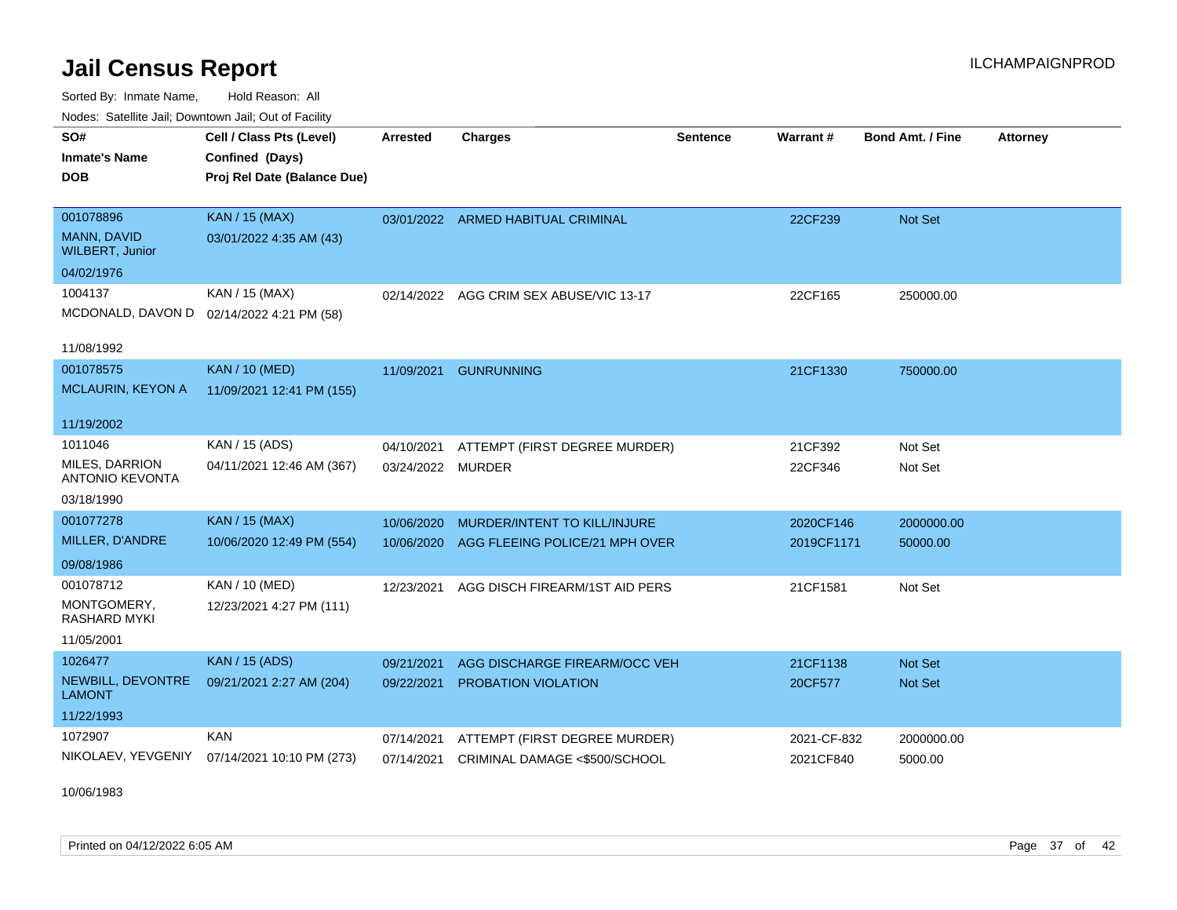Sorted By: Inmate Name, Hold Reason: All Nodes: Satellite Jail; Downtown Jail; Out of Facility

| SO#                                             |                                           |                   |                                    |                 |             | Bond Amt. / Fine |                 |
|-------------------------------------------------|-------------------------------------------|-------------------|------------------------------------|-----------------|-------------|------------------|-----------------|
|                                                 | Cell / Class Pts (Level)                  | <b>Arrested</b>   | <b>Charges</b>                     | <b>Sentence</b> | Warrant#    |                  | <b>Attorney</b> |
| <b>Inmate's Name</b>                            | Confined (Days)                           |                   |                                    |                 |             |                  |                 |
| <b>DOB</b>                                      | Proj Rel Date (Balance Due)               |                   |                                    |                 |             |                  |                 |
|                                                 |                                           |                   |                                    |                 |             |                  |                 |
| 001078896                                       | <b>KAN / 15 (MAX)</b>                     |                   | 03/01/2022 ARMED HABITUAL CRIMINAL |                 | 22CF239     | <b>Not Set</b>   |                 |
| MANN, DAVID<br><b>WILBERT, Junior</b>           | 03/01/2022 4:35 AM (43)                   |                   |                                    |                 |             |                  |                 |
| 04/02/1976                                      |                                           |                   |                                    |                 |             |                  |                 |
| 1004137                                         | KAN / 15 (MAX)                            | 02/14/2022        | AGG CRIM SEX ABUSE/VIC 13-17       |                 | 22CF165     | 250000.00        |                 |
|                                                 | MCDONALD, DAVON D 02/14/2022 4:21 PM (58) |                   |                                    |                 |             |                  |                 |
|                                                 |                                           |                   |                                    |                 |             |                  |                 |
| 11/08/1992                                      |                                           |                   |                                    |                 |             |                  |                 |
| 001078575                                       | <b>KAN / 10 (MED)</b>                     | 11/09/2021        | <b>GUNRUNNING</b>                  |                 | 21CF1330    | 750000.00        |                 |
| <b>MCLAURIN, KEYON A</b>                        | 11/09/2021 12:41 PM (155)                 |                   |                                    |                 |             |                  |                 |
|                                                 |                                           |                   |                                    |                 |             |                  |                 |
| 11/19/2002                                      |                                           |                   |                                    |                 |             |                  |                 |
| 1011046                                         | KAN / 15 (ADS)                            | 04/10/2021        | ATTEMPT (FIRST DEGREE MURDER)      |                 | 21CF392     | Not Set          |                 |
| <b>MILES, DARRION</b><br><b>ANTONIO KEVONTA</b> | 04/11/2021 12:46 AM (367)                 | 03/24/2022 MURDER |                                    |                 | 22CF346     | Not Set          |                 |
| 03/18/1990                                      |                                           |                   |                                    |                 |             |                  |                 |
| 001077278                                       | <b>KAN / 15 (MAX)</b>                     | 10/06/2020        | MURDER/INTENT TO KILL/INJURE       |                 | 2020CF146   | 2000000.00       |                 |
| MILLER, D'ANDRE                                 | 10/06/2020 12:49 PM (554)                 | 10/06/2020        | AGG FLEEING POLICE/21 MPH OVER     |                 | 2019CF1171  | 50000.00         |                 |
| 09/08/1986                                      |                                           |                   |                                    |                 |             |                  |                 |
| 001078712                                       | KAN / 10 (MED)                            | 12/23/2021        | AGG DISCH FIREARM/1ST AID PERS     |                 | 21CF1581    | Not Set          |                 |
| MONTGOMERY,<br><b>RASHARD MYKI</b>              | 12/23/2021 4:27 PM (111)                  |                   |                                    |                 |             |                  |                 |
| 11/05/2001                                      |                                           |                   |                                    |                 |             |                  |                 |
| 1026477                                         | <b>KAN / 15 (ADS)</b>                     | 09/21/2021        | AGG DISCHARGE FIREARM/OCC VEH      |                 | 21CF1138    | <b>Not Set</b>   |                 |
| NEWBILL, DEVONTRE<br><b>LAMONT</b>              | 09/21/2021 2:27 AM (204)                  | 09/22/2021        | PROBATION VIOLATION                |                 | 20CF577     | Not Set          |                 |
| 11/22/1993                                      |                                           |                   |                                    |                 |             |                  |                 |
| 1072907                                         | KAN                                       | 07/14/2021        | ATTEMPT (FIRST DEGREE MURDER)      |                 | 2021-CF-832 | 2000000.00       |                 |
| NIKOLAEV, YEVGENIY                              | 07/14/2021 10:10 PM (273)                 | 07/14/2021        | CRIMINAL DAMAGE <\$500/SCHOOL      |                 | 2021CF840   | 5000.00          |                 |
|                                                 |                                           |                   |                                    |                 |             |                  |                 |

10/06/1983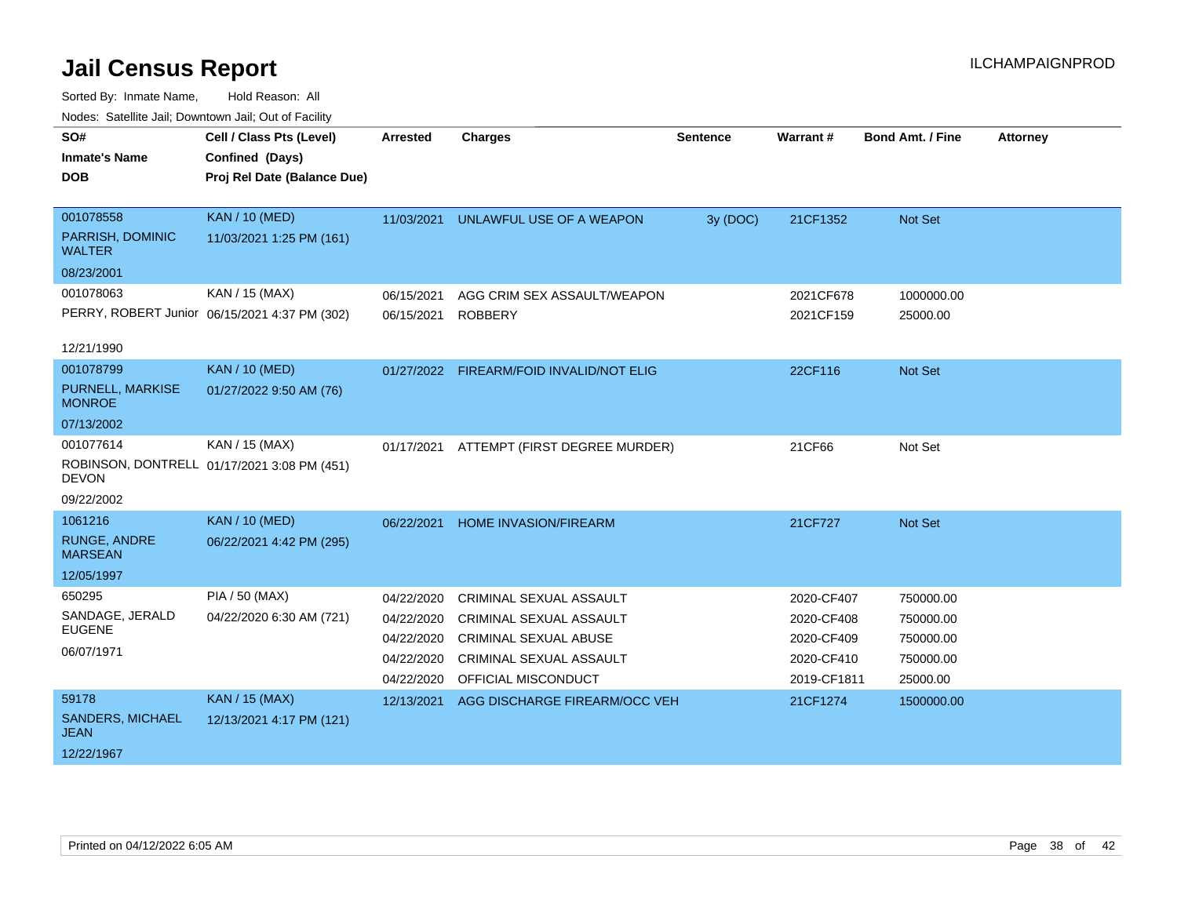| roucs. Oatchite sail, Downtown sail, Out of Facility |                                               |                 |                                          |                 |             |                         |                 |
|------------------------------------------------------|-----------------------------------------------|-----------------|------------------------------------------|-----------------|-------------|-------------------------|-----------------|
| SO#                                                  | Cell / Class Pts (Level)                      | <b>Arrested</b> | <b>Charges</b>                           | <b>Sentence</b> | Warrant#    | <b>Bond Amt. / Fine</b> | <b>Attorney</b> |
| <b>Inmate's Name</b>                                 | Confined (Days)                               |                 |                                          |                 |             |                         |                 |
| <b>DOB</b>                                           | Proj Rel Date (Balance Due)                   |                 |                                          |                 |             |                         |                 |
|                                                      |                                               |                 |                                          |                 |             |                         |                 |
| 001078558                                            | <b>KAN / 10 (MED)</b>                         | 11/03/2021      | UNLAWFUL USE OF A WEAPON                 | 3y (DOC)        | 21CF1352    | Not Set                 |                 |
| PARRISH, DOMINIC<br><b>WALTER</b>                    | 11/03/2021 1:25 PM (161)                      |                 |                                          |                 |             |                         |                 |
| 08/23/2001                                           |                                               |                 |                                          |                 |             |                         |                 |
| 001078063                                            | KAN / 15 (MAX)                                | 06/15/2021      | AGG CRIM SEX ASSAULT/WEAPON              |                 | 2021CF678   | 1000000.00              |                 |
|                                                      | PERRY, ROBERT Junior 06/15/2021 4:37 PM (302) | 06/15/2021      | <b>ROBBERY</b>                           |                 | 2021CF159   | 25000.00                |                 |
|                                                      |                                               |                 |                                          |                 |             |                         |                 |
| 12/21/1990                                           |                                               |                 |                                          |                 |             |                         |                 |
| 001078799                                            | <b>KAN / 10 (MED)</b>                         |                 | 01/27/2022 FIREARM/FOID INVALID/NOT ELIG |                 | 22CF116     | Not Set                 |                 |
| PURNELL, MARKISE<br><b>MONROE</b>                    | 01/27/2022 9:50 AM (76)                       |                 |                                          |                 |             |                         |                 |
| 07/13/2002                                           |                                               |                 |                                          |                 |             |                         |                 |
| 001077614                                            | KAN / 15 (MAX)                                | 01/17/2021      | ATTEMPT (FIRST DEGREE MURDER)            |                 | 21CF66      | Not Set                 |                 |
| <b>DEVON</b>                                         | ROBINSON, DONTRELL 01/17/2021 3:08 PM (451)   |                 |                                          |                 |             |                         |                 |
| 09/22/2002                                           |                                               |                 |                                          |                 |             |                         |                 |
| 1061216                                              | <b>KAN / 10 (MED)</b>                         | 06/22/2021      | <b>HOME INVASION/FIREARM</b>             |                 | 21CF727     | Not Set                 |                 |
| <b>RUNGE, ANDRE</b><br><b>MARSEAN</b>                | 06/22/2021 4:42 PM (295)                      |                 |                                          |                 |             |                         |                 |
| 12/05/1997                                           |                                               |                 |                                          |                 |             |                         |                 |
| 650295                                               | <b>PIA / 50 (MAX)</b>                         | 04/22/2020      | <b>CRIMINAL SEXUAL ASSAULT</b>           |                 | 2020-CF407  | 750000.00               |                 |
| SANDAGE, JERALD                                      | 04/22/2020 6:30 AM (721)                      | 04/22/2020      | <b>CRIMINAL SEXUAL ASSAULT</b>           |                 | 2020-CF408  | 750000.00               |                 |
| <b>EUGENE</b>                                        |                                               | 04/22/2020      | <b>CRIMINAL SEXUAL ABUSE</b>             |                 | 2020-CF409  | 750000.00               |                 |
| 06/07/1971                                           |                                               | 04/22/2020      | <b>CRIMINAL SEXUAL ASSAULT</b>           |                 | 2020-CF410  | 750000.00               |                 |
|                                                      |                                               | 04/22/2020      | OFFICIAL MISCONDUCT                      |                 | 2019-CF1811 | 25000.00                |                 |
| 59178                                                | <b>KAN / 15 (MAX)</b>                         | 12/13/2021      | AGG DISCHARGE FIREARM/OCC VEH            |                 | 21CF1274    | 1500000.00              |                 |
| <b>SANDERS, MICHAEL</b><br><b>JEAN</b>               | 12/13/2021 4:17 PM (121)                      |                 |                                          |                 |             |                         |                 |
| 12/22/1967                                           |                                               |                 |                                          |                 |             |                         |                 |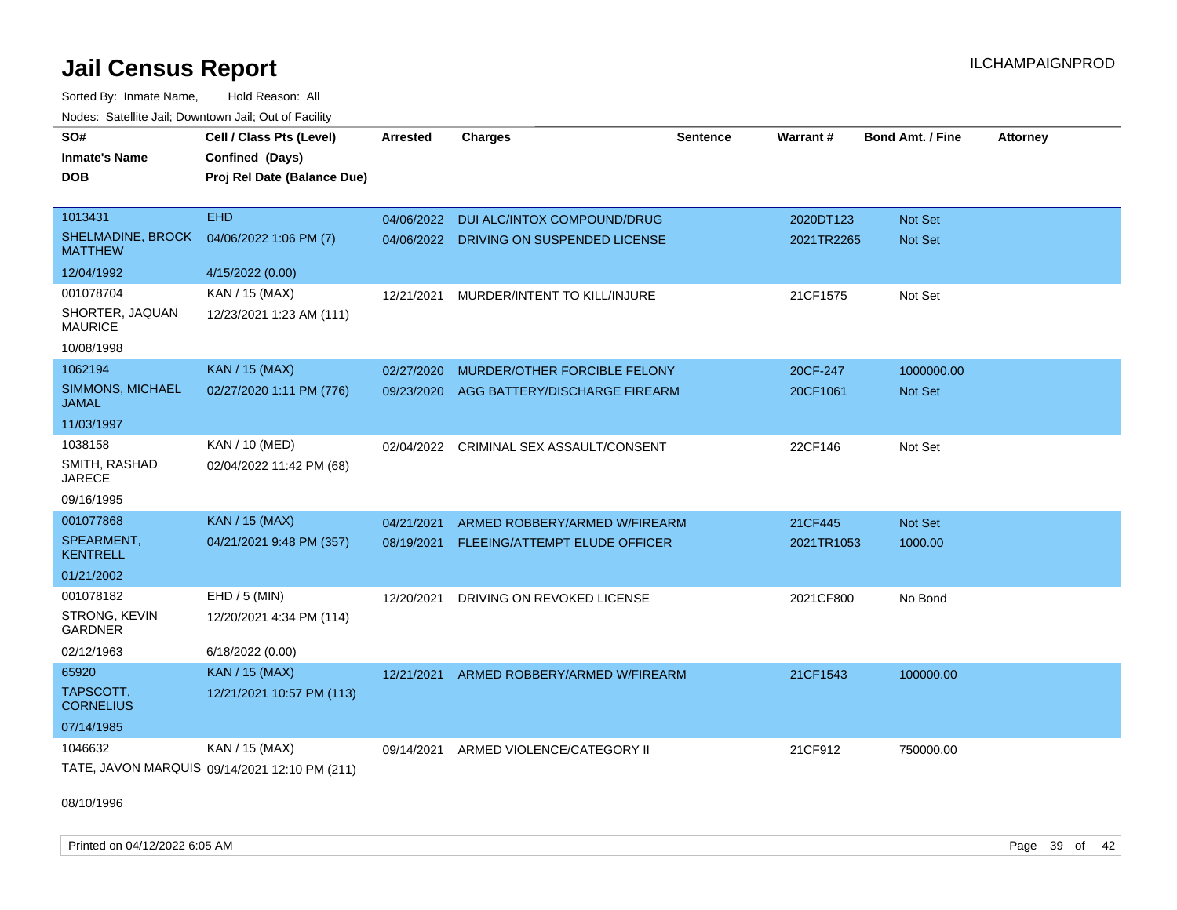Sorted By: Inmate Name, Hold Reason: All Nodes: Satellite Jail; Downtown Jail; Out of Facility

| SO#                                     | Cell / Class Pts (Level)                      | <b>Arrested</b> | <b>Charges</b>                           | Sentence | <b>Warrant#</b> | Bond Amt. / Fine | <b>Attorney</b> |
|-----------------------------------------|-----------------------------------------------|-----------------|------------------------------------------|----------|-----------------|------------------|-----------------|
| <b>Inmate's Name</b>                    | Confined (Days)                               |                 |                                          |          |                 |                  |                 |
| <b>DOB</b>                              | Proj Rel Date (Balance Due)                   |                 |                                          |          |                 |                  |                 |
|                                         |                                               |                 |                                          |          |                 |                  |                 |
| 1013431                                 | <b>EHD</b>                                    | 04/06/2022      | DUI ALC/INTOX COMPOUND/DRUG              |          | 2020DT123       | <b>Not Set</b>   |                 |
| SHELMADINE, BROCK<br><b>MATTHEW</b>     | 04/06/2022 1:06 PM (7)                        |                 | 04/06/2022 DRIVING ON SUSPENDED LICENSE  |          | 2021TR2265      | <b>Not Set</b>   |                 |
| 12/04/1992                              | 4/15/2022 (0.00)                              |                 |                                          |          |                 |                  |                 |
| 001078704                               | KAN / 15 (MAX)                                | 12/21/2021      | MURDER/INTENT TO KILL/INJURE             |          | 21CF1575        | Not Set          |                 |
| SHORTER, JAQUAN<br><b>MAURICE</b>       | 12/23/2021 1:23 AM (111)                      |                 |                                          |          |                 |                  |                 |
| 10/08/1998                              |                                               |                 |                                          |          |                 |                  |                 |
| 1062194                                 | KAN / 15 (MAX)                                | 02/27/2020      | MURDER/OTHER FORCIBLE FELONY             |          | 20CF-247        | 1000000.00       |                 |
| <b>SIMMONS, MICHAEL</b><br><b>JAMAL</b> | 02/27/2020 1:11 PM (776)                      |                 | 09/23/2020 AGG BATTERY/DISCHARGE FIREARM |          | 20CF1061        | Not Set          |                 |
| 11/03/1997                              |                                               |                 |                                          |          |                 |                  |                 |
| 1038158                                 | KAN / 10 (MED)                                | 02/04/2022      | CRIMINAL SEX ASSAULT/CONSENT             |          | 22CF146         | Not Set          |                 |
| SMITH, RASHAD<br><b>JARECE</b>          | 02/04/2022 11:42 PM (68)                      |                 |                                          |          |                 |                  |                 |
| 09/16/1995                              |                                               |                 |                                          |          |                 |                  |                 |
| 001077868                               | <b>KAN / 15 (MAX)</b>                         | 04/21/2021      | ARMED ROBBERY/ARMED W/FIREARM            |          | 21CF445         | <b>Not Set</b>   |                 |
| SPEARMENT,<br><b>KENTRELL</b>           | 04/21/2021 9:48 PM (357)                      |                 | 08/19/2021 FLEEING/ATTEMPT ELUDE OFFICER |          | 2021TR1053      | 1000.00          |                 |
| 01/21/2002                              |                                               |                 |                                          |          |                 |                  |                 |
| 001078182                               | EHD / 5 (MIN)                                 | 12/20/2021      | DRIVING ON REVOKED LICENSE               |          | 2021CF800       | No Bond          |                 |
| STRONG, KEVIN<br><b>GARDNER</b>         | 12/20/2021 4:34 PM (114)                      |                 |                                          |          |                 |                  |                 |
| 02/12/1963                              | 6/18/2022 (0.00)                              |                 |                                          |          |                 |                  |                 |
| 65920                                   | <b>KAN / 15 (MAX)</b>                         | 12/21/2021      | ARMED ROBBERY/ARMED W/FIREARM            |          | 21CF1543        | 100000.00        |                 |
| TAPSCOTT.<br><b>CORNELIUS</b>           | 12/21/2021 10:57 PM (113)                     |                 |                                          |          |                 |                  |                 |
| 07/14/1985                              |                                               |                 |                                          |          |                 |                  |                 |
| 1046632                                 | KAN / 15 (MAX)                                | 09/14/2021      | ARMED VIOLENCE/CATEGORY II               |          | 21CF912         | 750000.00        |                 |
|                                         | TATE, JAVON MARQUIS 09/14/2021 12:10 PM (211) |                 |                                          |          |                 |                  |                 |

08/10/1996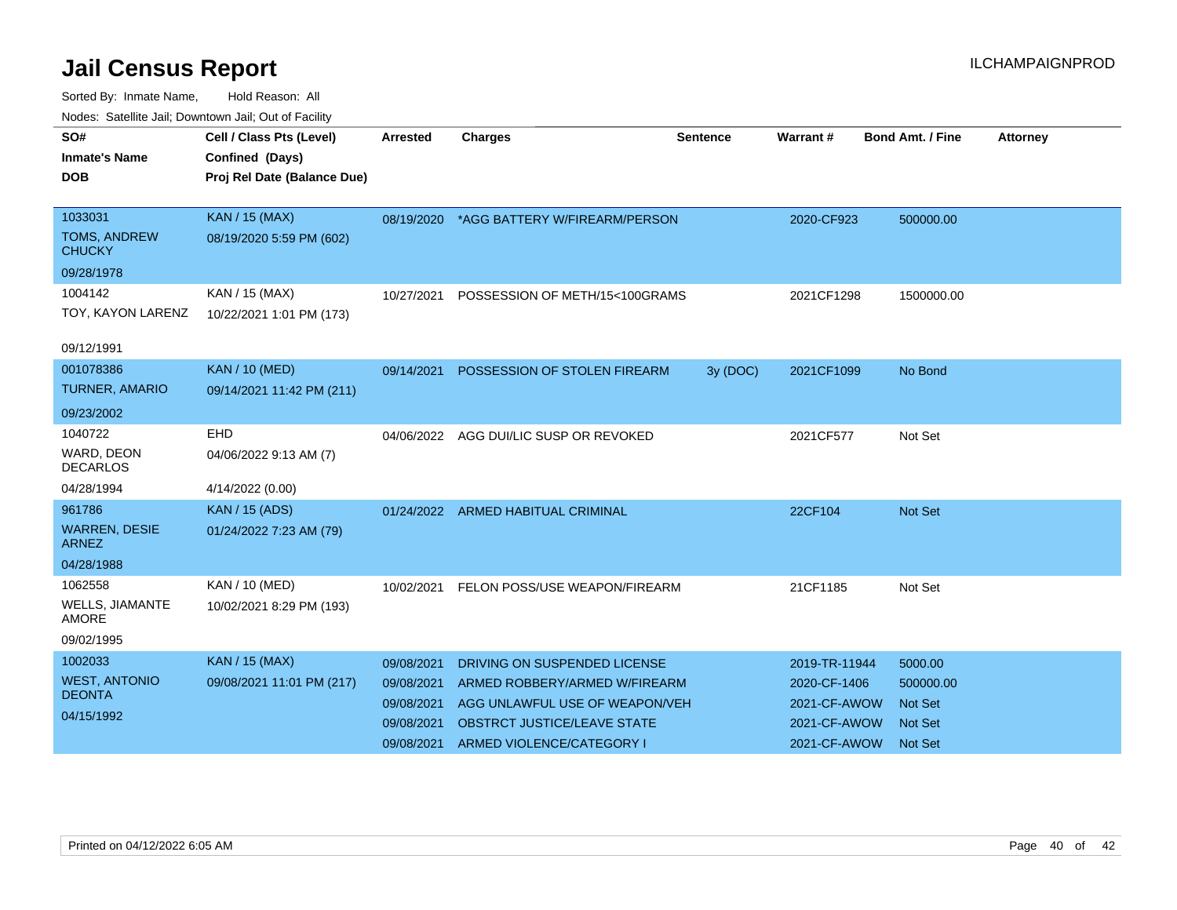| <u>Houco. Catolino dall, Downtown dall, Out of Fuolity</u> |                             |                 |                                          |                 |               |                         |                 |
|------------------------------------------------------------|-----------------------------|-----------------|------------------------------------------|-----------------|---------------|-------------------------|-----------------|
| SO#                                                        | Cell / Class Pts (Level)    | <b>Arrested</b> | <b>Charges</b>                           | <b>Sentence</b> | Warrant#      | <b>Bond Amt. / Fine</b> | <b>Attorney</b> |
| <b>Inmate's Name</b>                                       | Confined (Days)             |                 |                                          |                 |               |                         |                 |
| DOB                                                        | Proj Rel Date (Balance Due) |                 |                                          |                 |               |                         |                 |
|                                                            |                             |                 |                                          |                 |               |                         |                 |
| 1033031                                                    | <b>KAN / 15 (MAX)</b>       |                 | 08/19/2020 *AGG BATTERY W/FIREARM/PERSON |                 | 2020-CF923    | 500000.00               |                 |
| <b>TOMS, ANDREW</b><br><b>CHUCKY</b>                       | 08/19/2020 5:59 PM (602)    |                 |                                          |                 |               |                         |                 |
| 09/28/1978                                                 |                             |                 |                                          |                 |               |                         |                 |
| 1004142                                                    | KAN / 15 (MAX)              | 10/27/2021      | POSSESSION OF METH/15<100GRAMS           |                 | 2021CF1298    | 1500000.00              |                 |
| TOY, KAYON LARENZ                                          | 10/22/2021 1:01 PM (173)    |                 |                                          |                 |               |                         |                 |
|                                                            |                             |                 |                                          |                 |               |                         |                 |
| 09/12/1991                                                 |                             |                 |                                          |                 |               |                         |                 |
| 001078386                                                  | <b>KAN / 10 (MED)</b>       | 09/14/2021      | POSSESSION OF STOLEN FIREARM             | 3y(DOC)         | 2021CF1099    | No Bond                 |                 |
| <b>TURNER, AMARIO</b>                                      | 09/14/2021 11:42 PM (211)   |                 |                                          |                 |               |                         |                 |
| 09/23/2002                                                 |                             |                 |                                          |                 |               |                         |                 |
| 1040722                                                    | <b>EHD</b>                  |                 | 04/06/2022 AGG DUI/LIC SUSP OR REVOKED   |                 | 2021CF577     | Not Set                 |                 |
| WARD, DEON<br><b>DECARLOS</b>                              | 04/06/2022 9:13 AM (7)      |                 |                                          |                 |               |                         |                 |
| 04/28/1994                                                 | 4/14/2022 (0.00)            |                 |                                          |                 |               |                         |                 |
| 961786                                                     | <b>KAN / 15 (ADS)</b>       |                 | 01/24/2022 ARMED HABITUAL CRIMINAL       |                 | 22CF104       | <b>Not Set</b>          |                 |
| <b>WARREN, DESIE</b><br><b>ARNEZ</b>                       | 01/24/2022 7:23 AM (79)     |                 |                                          |                 |               |                         |                 |
| 04/28/1988                                                 |                             |                 |                                          |                 |               |                         |                 |
| 1062558                                                    | <b>KAN / 10 (MED)</b>       | 10/02/2021      | FELON POSS/USE WEAPON/FIREARM            |                 | 21CF1185      | Not Set                 |                 |
| WELLS, JIAMANTE<br><b>AMORE</b>                            | 10/02/2021 8:29 PM (193)    |                 |                                          |                 |               |                         |                 |
| 09/02/1995                                                 |                             |                 |                                          |                 |               |                         |                 |
| 1002033                                                    | <b>KAN / 15 (MAX)</b>       | 09/08/2021      | DRIVING ON SUSPENDED LICENSE             |                 | 2019-TR-11944 | 5000.00                 |                 |
| <b>WEST, ANTONIO</b>                                       | 09/08/2021 11:01 PM (217)   | 09/08/2021      | ARMED ROBBERY/ARMED W/FIREARM            |                 | 2020-CF-1406  | 500000.00               |                 |
| <b>DEONTA</b>                                              |                             | 09/08/2021      | AGG UNLAWFUL USE OF WEAPON/VEH           |                 | 2021-CF-AWOW  | <b>Not Set</b>          |                 |
| 04/15/1992                                                 |                             | 09/08/2021      | OBSTRCT JUSTICE/LEAVE STATE              |                 | 2021-CF-AWOW  | <b>Not Set</b>          |                 |
|                                                            |                             | 09/08/2021      | ARMED VIOLENCE/CATEGORY I                |                 | 2021-CF-AWOW  | <b>Not Set</b>          |                 |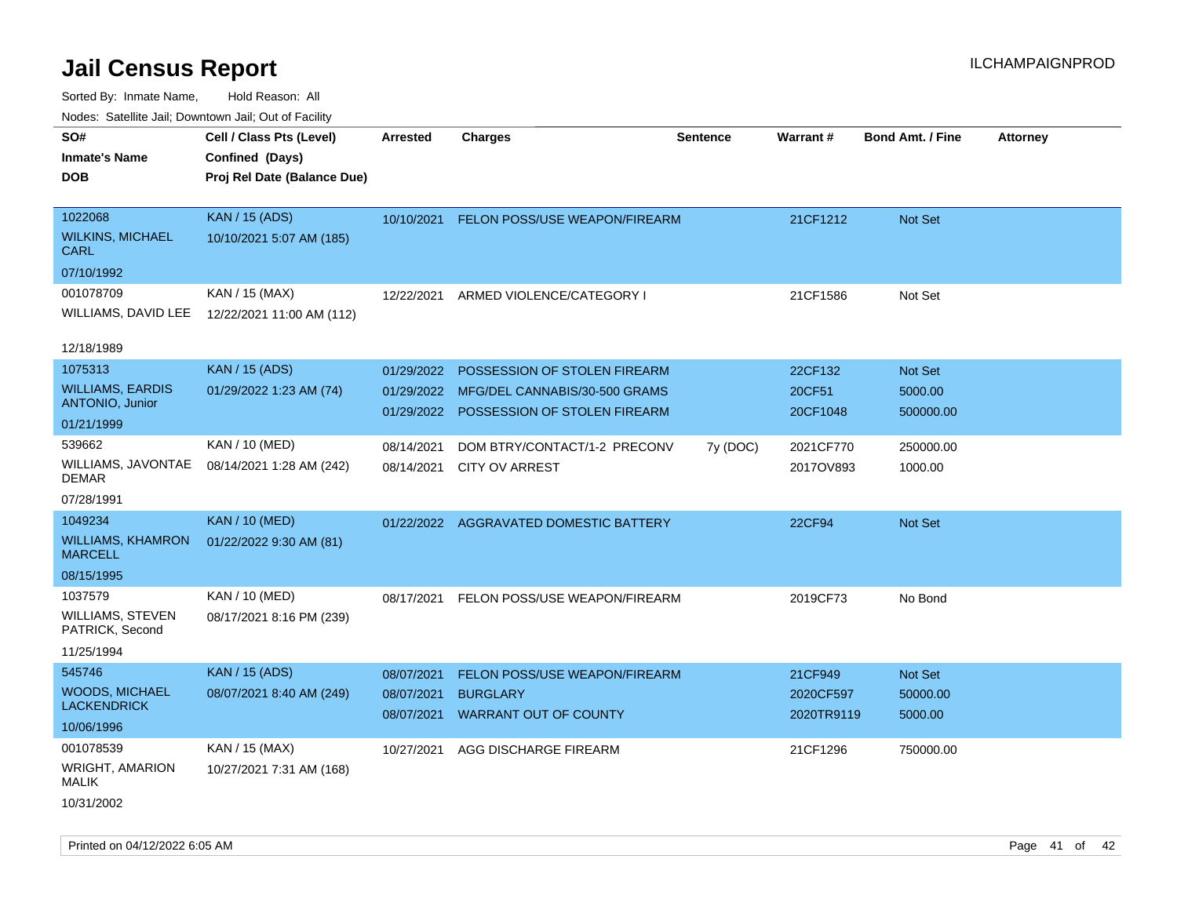| rougs. Calcinic Jan, Downtown Jan, Out of Facility                  |                                                                            |                                        |                                                                                               |                 |                                    |                                 |                 |
|---------------------------------------------------------------------|----------------------------------------------------------------------------|----------------------------------------|-----------------------------------------------------------------------------------------------|-----------------|------------------------------------|---------------------------------|-----------------|
| SO#<br><b>Inmate's Name</b><br><b>DOB</b>                           | Cell / Class Pts (Level)<br>Confined (Days)<br>Proj Rel Date (Balance Due) | <b>Arrested</b>                        | <b>Charges</b>                                                                                | <b>Sentence</b> | Warrant#                           | <b>Bond Amt. / Fine</b>         | <b>Attorney</b> |
| 1022068<br><b>WILKINS, MICHAEL</b><br><b>CARL</b>                   | <b>KAN / 15 (ADS)</b><br>10/10/2021 5:07 AM (185)                          |                                        | 10/10/2021 FELON POSS/USE WEAPON/FIREARM                                                      |                 | 21CF1212                           | Not Set                         |                 |
| 07/10/1992<br>001078709<br>WILLIAMS, DAVID LEE<br>12/18/1989        | KAN / 15 (MAX)<br>12/22/2021 11:00 AM (112)                                | 12/22/2021                             | ARMED VIOLENCE/CATEGORY I                                                                     |                 | 21CF1586                           | Not Set                         |                 |
| 1075313<br><b>WILLIAMS, EARDIS</b><br>ANTONIO, Junior<br>01/21/1999 | <b>KAN / 15 (ADS)</b><br>01/29/2022 1:23 AM (74)                           | 01/29/2022<br>01/29/2022<br>01/29/2022 | POSSESSION OF STOLEN FIREARM<br>MFG/DEL CANNABIS/30-500 GRAMS<br>POSSESSION OF STOLEN FIREARM |                 | 22CF132<br>20CF51<br>20CF1048      | Not Set<br>5000.00<br>500000.00 |                 |
| 539662<br>WILLIAMS, JAVONTAE<br><b>DEMAR</b><br>07/28/1991          | KAN / 10 (MED)<br>08/14/2021 1:28 AM (242)                                 | 08/14/2021<br>08/14/2021               | DOM BTRY/CONTACT/1-2 PRECONV<br><b>CITY OV ARREST</b>                                         | 7y (DOC)        | 2021CF770<br>2017OV893             | 250000.00<br>1000.00            |                 |
| 1049234<br><b>WILLIAMS, KHAMRON</b><br><b>MARCELL</b><br>08/15/1995 | <b>KAN / 10 (MED)</b><br>01/22/2022 9:30 AM (81)                           |                                        | 01/22/2022 AGGRAVATED DOMESTIC BATTERY                                                        |                 | 22CF94                             | Not Set                         |                 |
| 1037579<br><b>WILLIAMS, STEVEN</b><br>PATRICK, Second<br>11/25/1994 | KAN / 10 (MED)<br>08/17/2021 8:16 PM (239)                                 | 08/17/2021                             | FELON POSS/USE WEAPON/FIREARM                                                                 |                 | 2019CF73                           | No Bond                         |                 |
| 545746<br><b>WOODS, MICHAEL</b><br><b>LACKENDRICK</b><br>10/06/1996 | <b>KAN / 15 (ADS)</b><br>08/07/2021 8:40 AM (249)                          | 08/07/2021<br>08/07/2021<br>08/07/2021 | FELON POSS/USE WEAPON/FIREARM<br><b>BURGLARY</b><br><b>WARRANT OUT OF COUNTY</b>              |                 | 21CF949<br>2020CF597<br>2020TR9119 | Not Set<br>50000.00<br>5000.00  |                 |
| 001078539<br><b>WRIGHT, AMARION</b><br><b>MALIK</b><br>10/31/2002   | KAN / 15 (MAX)<br>10/27/2021 7:31 AM (168)                                 | 10/27/2021                             | AGG DISCHARGE FIREARM                                                                         |                 | 21CF1296                           | 750000.00                       |                 |